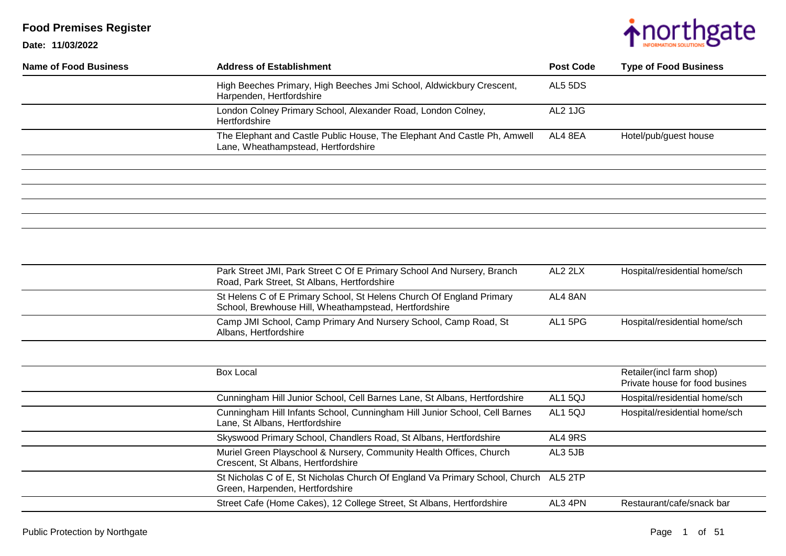

| Name of Food Business | <b>Address of Establishment</b>                                                                                 | <b>Post Code</b> | <b>Type of Food Business</b> |
|-----------------------|-----------------------------------------------------------------------------------------------------------------|------------------|------------------------------|
|                       | High Beeches Primary, High Beeches Jmi School, Aldwickbury Crescent,<br>Harpenden, Hertfordshire                | AL5 5DS          |                              |
|                       | London Colney Primary School, Alexander Road, London Colney,<br>Hertfordshire                                   | AL2 1JG          |                              |
|                       | The Elephant and Castle Public House, The Elephant And Castle Ph, Amwell<br>Lane, Wheathampstead, Hertfordshire | AL4 8EA          | Hotel/pub/guest house        |
|                       |                                                                                                                 |                  |                              |
|                       |                                                                                                                 |                  |                              |

| Park Street JMI, Park Street C Of E Primary School And Nursery, Branch<br>Road, Park Street, St Albans, Hertfordshire         | AL2 2LX | Hospital/residential home/sch |
|-------------------------------------------------------------------------------------------------------------------------------|---------|-------------------------------|
| St Helens C of E Primary School, St Helens Church Of England Primary<br>School, Brewhouse Hill, Wheathampstead, Hertfordshire | AL4 8AN |                               |
| Camp JMI School, Camp Primary And Nursery School, Camp Road, St<br>Albans, Hertfordshire                                      | AL1 5PG | Hospital/residential home/sch |

| <b>Box Local</b>                                                                                                       |         | Retailer(incl farm shop)<br>Private house for food busines |
|------------------------------------------------------------------------------------------------------------------------|---------|------------------------------------------------------------|
| Cunningham Hill Junior School, Cell Barnes Lane, St Albans, Hertfordshire                                              | AL15QJ  | Hospital/residential home/sch                              |
| Cunningham Hill Infants School, Cunningham Hill Junior School, Cell Barnes<br>Lane, St Albans, Hertfordshire           | AL15QJ  | Hospital/residential home/sch                              |
| Skyswood Primary School, Chandlers Road, St Albans, Hertfordshire                                                      | AL4 9RS |                                                            |
| Muriel Green Playschool & Nursery, Community Health Offices, Church<br>Crescent, St Albans, Hertfordshire              | AL3 5JB |                                                            |
| St Nicholas C of E, St Nicholas Church Of England Va Primary School, Church AL5 2TP<br>Green, Harpenden, Hertfordshire |         |                                                            |
| Street Cafe (Home Cakes), 12 College Street, St Albans, Hertfordshire                                                  | AL3 4PN | Restaurant/cafe/snack bar                                  |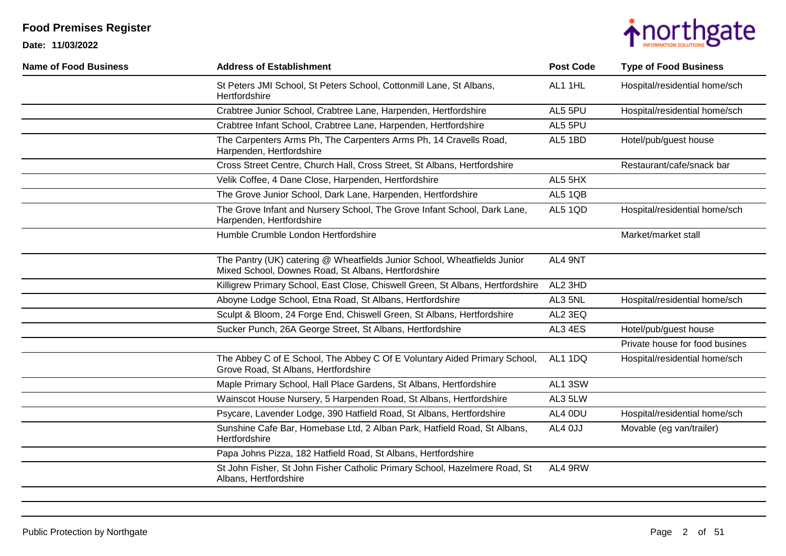

| <b>Name of Food Business</b> | <b>Address of Establishment</b>                                                                                                 | <b>Post Code</b> | <b>Type of Food Business</b>   |
|------------------------------|---------------------------------------------------------------------------------------------------------------------------------|------------------|--------------------------------|
|                              | St Peters JMI School, St Peters School, Cottonmill Lane, St Albans,<br>Hertfordshire                                            | AL1 1HL          | Hospital/residential home/sch  |
|                              | Crabtree Junior School, Crabtree Lane, Harpenden, Hertfordshire                                                                 | AL5 5PU          | Hospital/residential home/sch  |
|                              | Crabtree Infant School, Crabtree Lane, Harpenden, Hertfordshire                                                                 | AL5 5PU          |                                |
|                              | The Carpenters Arms Ph, The Carpenters Arms Ph, 14 Cravells Road,<br>Harpenden, Hertfordshire                                   | AL5 1BD          | Hotel/pub/guest house          |
|                              | Cross Street Centre, Church Hall, Cross Street, St Albans, Hertfordshire                                                        |                  | Restaurant/cafe/snack bar      |
|                              | Velik Coffee, 4 Dane Close, Harpenden, Hertfordshire                                                                            | AL5 5HX          |                                |
|                              | The Grove Junior School, Dark Lane, Harpenden, Hertfordshire                                                                    | AL5 1QB          |                                |
|                              | The Grove Infant and Nursery School, The Grove Infant School, Dark Lane,<br>Harpenden, Hertfordshire                            | AL5 1QD          | Hospital/residential home/sch  |
|                              | Humble Crumble London Hertfordshire                                                                                             |                  | Market/market stall            |
|                              | The Pantry (UK) catering @ Wheatfields Junior School, Wheatfields Junior<br>Mixed School, Downes Road, St Albans, Hertfordshire | AL4 9NT          |                                |
|                              | Killigrew Primary School, East Close, Chiswell Green, St Albans, Hertfordshire                                                  | AL2 3HD          |                                |
|                              | Aboyne Lodge School, Etna Road, St Albans, Hertfordshire                                                                        | AL3 5NL          | Hospital/residential home/sch  |
|                              | Sculpt & Bloom, 24 Forge End, Chiswell Green, St Albans, Hertfordshire                                                          | AL2 3EQ          |                                |
|                              | Sucker Punch, 26A George Street, St Albans, Hertfordshire                                                                       | AL3 4ES          | Hotel/pub/guest house          |
|                              |                                                                                                                                 |                  | Private house for food busines |
|                              | The Abbey C of E School, The Abbey C Of E Voluntary Aided Primary School,<br>Grove Road, St Albans, Hertfordshire               | AL1 1DQ          | Hospital/residential home/sch  |
|                              | Maple Primary School, Hall Place Gardens, St Albans, Hertfordshire                                                              | AL1 3SW          |                                |
|                              | Wainscot House Nursery, 5 Harpenden Road, St Albans, Hertfordshire                                                              | AL3 5LW          |                                |
|                              | Psycare, Lavender Lodge, 390 Hatfield Road, St Albans, Hertfordshire                                                            | AL4 0DU          | Hospital/residential home/sch  |
|                              | Sunshine Cafe Bar, Homebase Ltd, 2 Alban Park, Hatfield Road, St Albans,<br>Hertfordshire                                       | AL4 OJJ          | Movable (eg van/trailer)       |
|                              | Papa Johns Pizza, 182 Hatfield Road, St Albans, Hertfordshire                                                                   |                  |                                |
|                              | St John Fisher, St John Fisher Catholic Primary School, Hazelmere Road, St<br>Albans, Hertfordshire                             | AL4 9RW          |                                |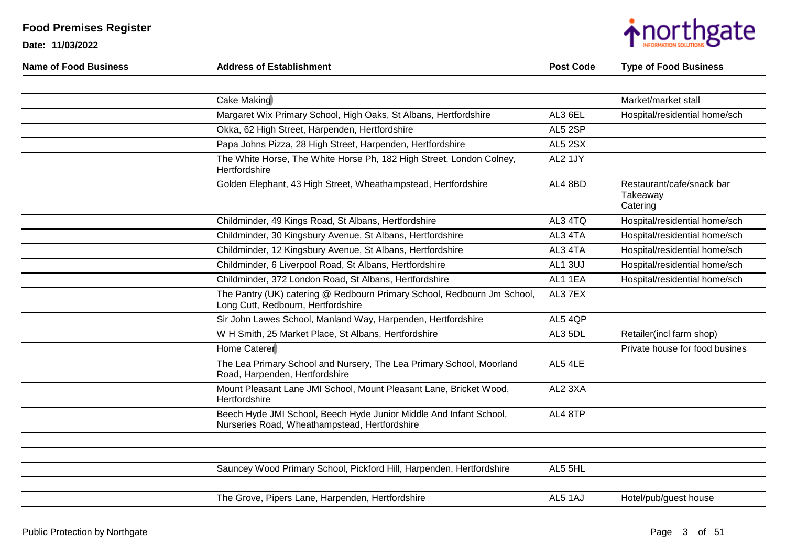

| <b>Name of Food Business</b> | <b>Address of Establishment</b>                                                                                     | <b>Post Code</b> | <b>Type of Food Business</b>                      |
|------------------------------|---------------------------------------------------------------------------------------------------------------------|------------------|---------------------------------------------------|
|                              |                                                                                                                     |                  |                                                   |
|                              | Cake Making                                                                                                         |                  | Market/market stall                               |
|                              | Margaret Wix Primary School, High Oaks, St Albans, Hertfordshire                                                    | AL3 6EL          | Hospital/residential home/sch                     |
|                              | Okka, 62 High Street, Harpenden, Hertfordshire                                                                      | AL5 2SP          |                                                   |
|                              | Papa Johns Pizza, 28 High Street, Harpenden, Hertfordshire                                                          | <b>AL5 2SX</b>   |                                                   |
|                              | The White Horse, The White Horse Ph, 182 High Street, London Colney,<br>Hertfordshire                               | AL2 1JY          |                                                   |
|                              | Golden Elephant, 43 High Street, Wheathampstead, Hertfordshire                                                      | AL4 8BD          | Restaurant/cafe/snack bar<br>Takeaway<br>Catering |
|                              | Childminder, 49 Kings Road, St Albans, Hertfordshire                                                                | AL3 4TQ          | Hospital/residential home/sch                     |
|                              | Childminder, 30 Kingsbury Avenue, St Albans, Hertfordshire                                                          | AL3 4TA          | Hospital/residential home/sch                     |
|                              | Childminder, 12 Kingsbury Avenue, St Albans, Hertfordshire                                                          | AL3 4TA          | Hospital/residential home/sch                     |
|                              | Childminder, 6 Liverpool Road, St Albans, Hertfordshire                                                             | AL1 3UJ          | Hospital/residential home/sch                     |
|                              | Childminder, 372 London Road, St Albans, Hertfordshire                                                              | AL1 1EA          | Hospital/residential home/sch                     |
|                              | The Pantry (UK) catering @ Redbourn Primary School, Redbourn Jm School,<br>Long Cutt, Redbourn, Hertfordshire       | AL3 7EX          |                                                   |
|                              | Sir John Lawes School, Manland Way, Harpenden, Hertfordshire                                                        | AL5 4QP          |                                                   |
|                              | W H Smith, 25 Market Place, St Albans, Hertfordshire                                                                | AL3 5DL          | Retailer(incl farm shop)                          |
|                              | Home Caterer                                                                                                        |                  | Private house for food busines                    |
|                              | The Lea Primary School and Nursery, The Lea Primary School, Moorland<br>Road, Harpenden, Hertfordshire              | AL5 4LE          |                                                   |
|                              | Mount Pleasant Lane JMI School, Mount Pleasant Lane, Bricket Wood,<br>Hertfordshire                                 | AL2 3XA          |                                                   |
|                              | Beech Hyde JMI School, Beech Hyde Junior Middle And Infant School,<br>Nurseries Road, Wheathampstead, Hertfordshire | AL4 8TP          |                                                   |
|                              |                                                                                                                     |                  |                                                   |
|                              |                                                                                                                     |                  |                                                   |
|                              | Sauncey Wood Primary School, Pickford Hill, Harpenden, Hertfordshire                                                | AL5 5HL          |                                                   |
|                              |                                                                                                                     |                  |                                                   |
|                              | The Grove, Pipers Lane, Harpenden, Hertfordshire                                                                    | AL5 1AJ          | Hotel/pub/guest house                             |
|                              |                                                                                                                     |                  |                                                   |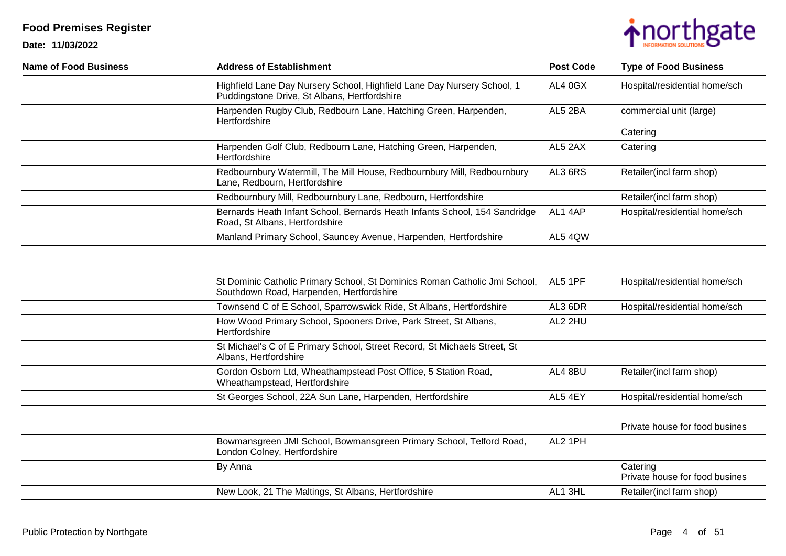



| <b>Name of Food Business</b> | <b>Address of Establishment</b>                                                                                         | <b>Post Code</b> | <b>Type of Food Business</b>               |
|------------------------------|-------------------------------------------------------------------------------------------------------------------------|------------------|--------------------------------------------|
|                              | Highfield Lane Day Nursery School, Highfield Lane Day Nursery School, 1<br>Puddingstone Drive, St Albans, Hertfordshire | AL4 0GX          | Hospital/residential home/sch              |
|                              | Harpenden Rugby Club, Redbourn Lane, Hatching Green, Harpenden,<br>Hertfordshire                                        | AL5 2BA          | commercial unit (large)                    |
|                              |                                                                                                                         |                  | Catering                                   |
|                              | Harpenden Golf Club, Redbourn Lane, Hatching Green, Harpenden,<br>Hertfordshire                                         | AL5 2AX          | Catering                                   |
|                              | Redbournbury Watermill, The Mill House, Redbournbury Mill, Redbournbury<br>Lane, Redbourn, Hertfordshire                | AL3 6RS          | Retailer(incl farm shop)                   |
|                              | Redbournbury Mill, Redbournbury Lane, Redbourn, Hertfordshire                                                           |                  | Retailer(incl farm shop)                   |
|                              | Bernards Heath Infant School, Bernards Heath Infants School, 154 Sandridge<br>Road, St Albans, Hertfordshire            | AL1 4AP          | Hospital/residential home/sch              |
|                              | Manland Primary School, Sauncey Avenue, Harpenden, Hertfordshire                                                        | AL5 4QW          |                                            |
|                              |                                                                                                                         |                  |                                            |
|                              |                                                                                                                         |                  |                                            |
|                              | St Dominic Catholic Primary School, St Dominics Roman Catholic Jmi School,<br>Southdown Road, Harpenden, Hertfordshire  | AL5 1PF          | Hospital/residential home/sch              |
|                              | Townsend C of E School, Sparrowswick Ride, St Albans, Hertfordshire                                                     | AL3 6DR          | Hospital/residential home/sch              |
|                              | How Wood Primary School, Spooners Drive, Park Street, St Albans,<br>Hertfordshire                                       | AL2 2HU          |                                            |
|                              | St Michael's C of E Primary School, Street Record, St Michaels Street, St<br>Albans, Hertfordshire                      |                  |                                            |
|                              | Gordon Osborn Ltd, Wheathampstead Post Office, 5 Station Road,<br>Wheathampstead, Hertfordshire                         | AL4 8BU          | Retailer(incl farm shop)                   |
|                              | St Georges School, 22A Sun Lane, Harpenden, Hertfordshire                                                               | AL5 4EY          | Hospital/residential home/sch              |
|                              |                                                                                                                         |                  |                                            |
|                              |                                                                                                                         |                  | Private house for food busines             |
|                              | Bowmansgreen JMI School, Bowmansgreen Primary School, Telford Road,<br>London Colney, Hertfordshire                     | AL2 1PH          |                                            |
|                              | By Anna                                                                                                                 |                  | Catering<br>Private house for food busines |
|                              | New Look, 21 The Maltings, St Albans, Hertfordshire                                                                     | AL1 3HL          | Retailer(incl farm shop)                   |
|                              |                                                                                                                         |                  |                                            |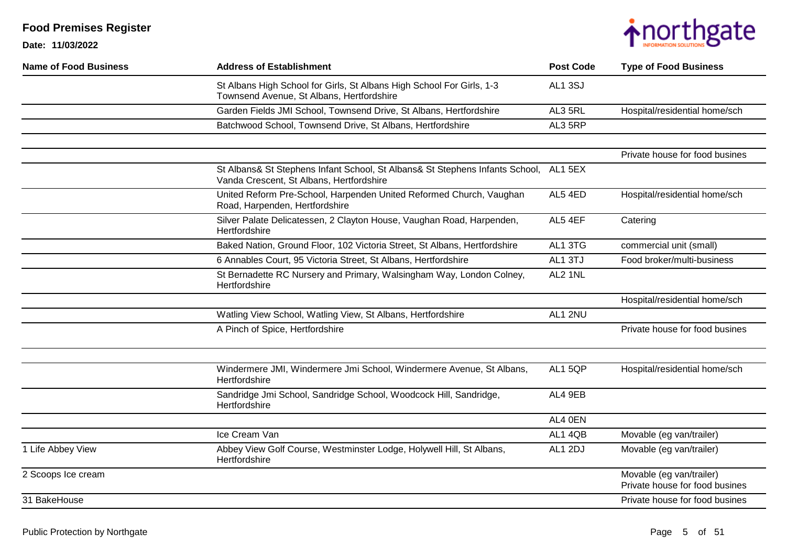

| <b>Name of Food Business</b> | <b>Address of Establishment</b>                                                                                                  | <b>Post Code</b> | <b>Type of Food Business</b>                               |
|------------------------------|----------------------------------------------------------------------------------------------------------------------------------|------------------|------------------------------------------------------------|
|                              | St Albans High School for Girls, St Albans High School For Girls, 1-3<br>Townsend Avenue, St Albans, Hertfordshire               | <b>AL1 3SJ</b>   |                                                            |
|                              | Garden Fields JMI School, Townsend Drive, St Albans, Hertfordshire                                                               | AL3 5RL          | Hospital/residential home/sch                              |
|                              | Batchwood School, Townsend Drive, St Albans, Hertfordshire                                                                       | AL3 5RP          |                                                            |
|                              |                                                                                                                                  |                  | Private house for food busines                             |
|                              | St Albans& St Stephens Infant School, St Albans& St Stephens Infants School, AL1 5EX<br>Vanda Crescent, St Albans, Hertfordshire |                  |                                                            |
|                              | United Reform Pre-School, Harpenden United Reformed Church, Vaughan<br>Road, Harpenden, Hertfordshire                            | AL5 4ED          | Hospital/residential home/sch                              |
|                              | Silver Palate Delicatessen, 2 Clayton House, Vaughan Road, Harpenden,<br>Hertfordshire                                           | AL5 4EF          | Catering                                                   |
|                              | Baked Nation, Ground Floor, 102 Victoria Street, St Albans, Hertfordshire                                                        | AL1 3TG          | commercial unit (small)                                    |
|                              | 6 Annables Court, 95 Victoria Street, St Albans, Hertfordshire                                                                   | AL1 3TJ          | Food broker/multi-business                                 |
|                              | St Bernadette RC Nursery and Primary, Walsingham Way, London Colney,<br>Hertfordshire                                            | AL2 1NL          |                                                            |
|                              |                                                                                                                                  |                  | Hospital/residential home/sch                              |
|                              | Watling View School, Watling View, St Albans, Hertfordshire                                                                      | AL1 2NU          |                                                            |
|                              | A Pinch of Spice, Hertfordshire                                                                                                  |                  | Private house for food busines                             |
|                              | Windermere JMI, Windermere Jmi School, Windermere Avenue, St Albans,<br>Hertfordshire                                            | AL15QP           | Hospital/residential home/sch                              |
|                              | Sandridge Jmi School, Sandridge School, Woodcock Hill, Sandridge,<br>Hertfordshire                                               | AL4 9EB          |                                                            |
|                              |                                                                                                                                  | AL4 0EN          |                                                            |
|                              | Ice Cream Van                                                                                                                    | AL1 4QB          | Movable (eg van/trailer)                                   |
| 1 Life Abbey View            | Abbey View Golf Course, Westminster Lodge, Holywell Hill, St Albans,<br>Hertfordshire                                            | AL1 2DJ          | Movable (eg van/trailer)                                   |
| 2 Scoops Ice cream           |                                                                                                                                  |                  | Movable (eg van/trailer)<br>Private house for food busines |
| 31 BakeHouse                 |                                                                                                                                  |                  | Private house for food busines                             |
|                              |                                                                                                                                  |                  |                                                            |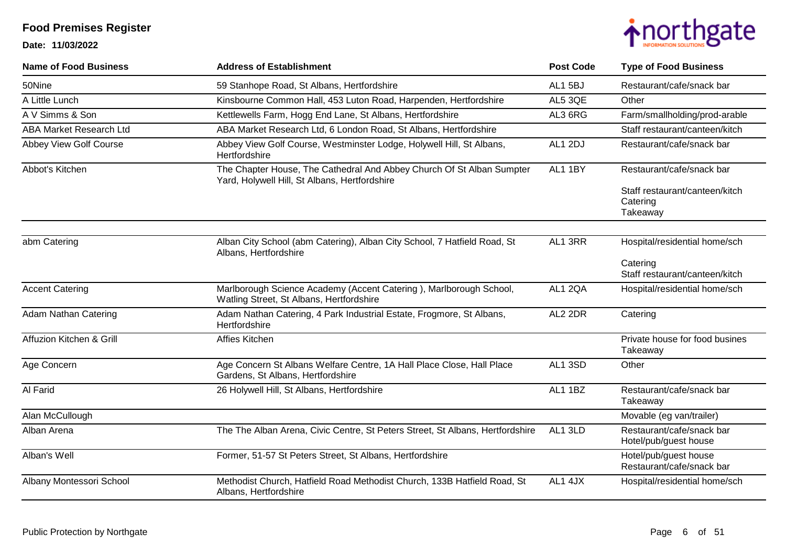

| <b>Name of Food Business</b>   | <b>Address of Establishment</b>                                                                                        | <b>Post Code</b> | <b>Type of Food Business</b>                                                        |
|--------------------------------|------------------------------------------------------------------------------------------------------------------------|------------------|-------------------------------------------------------------------------------------|
| 50Nine                         | 59 Stanhope Road, St Albans, Hertfordshire                                                                             | AL15BJ           | Restaurant/cafe/snack bar                                                           |
| A Little Lunch                 | Kinsbourne Common Hall, 453 Luton Road, Harpenden, Hertfordshire                                                       | AL5 3QE          | Other                                                                               |
| A V Simms & Son                | Kettlewells Farm, Hogg End Lane, St Albans, Hertfordshire                                                              | AL3 6RG          | Farm/smallholding/prod-arable                                                       |
| <b>ABA Market Research Ltd</b> | ABA Market Research Ltd, 6 London Road, St Albans, Hertfordshire                                                       |                  | Staff restaurant/canteen/kitch                                                      |
| Abbey View Golf Course         | Abbey View Golf Course, Westminster Lodge, Holywell Hill, St Albans,<br>Hertfordshire                                  | AL1 2DJ          | Restaurant/cafe/snack bar                                                           |
| Abbot's Kitchen                | The Chapter House, The Cathedral And Abbey Church Of St Alban Sumpter<br>Yard, Holywell Hill, St Albans, Hertfordshire | AL1 1BY          | Restaurant/cafe/snack bar<br>Staff restaurant/canteen/kitch<br>Catering<br>Takeaway |
|                                |                                                                                                                        |                  |                                                                                     |
| abm Catering                   | Alban City School (abm Catering), Alban City School, 7 Hatfield Road, St<br>Albans, Hertfordshire                      | AL1 3RR          | Hospital/residential home/sch<br>Catering<br>Staff restaurant/canteen/kitch         |
| <b>Accent Catering</b>         | Marlborough Science Academy (Accent Catering), Marlborough School,<br>Watling Street, St Albans, Hertfordshire         | AL1 2QA          | Hospital/residential home/sch                                                       |
| <b>Adam Nathan Catering</b>    | Adam Nathan Catering, 4 Park Industrial Estate, Frogmore, St Albans,<br>Hertfordshire                                  | AL2 2DR          | Catering                                                                            |
| Affuzion Kitchen & Grill       | Affies Kitchen                                                                                                         |                  | Private house for food busines<br>Takeaway                                          |
| Age Concern                    | Age Concern St Albans Welfare Centre, 1A Hall Place Close, Hall Place<br>Gardens, St Albans, Hertfordshire             | AL1 3SD          | Other                                                                               |
| Al Farid                       | 26 Holywell Hill, St Albans, Hertfordshire                                                                             | AL1 1BZ          | Restaurant/cafe/snack bar<br>Takeaway                                               |
| Alan McCullough                |                                                                                                                        |                  | Movable (eg van/trailer)                                                            |
| Alban Arena                    | The The Alban Arena, Civic Centre, St Peters Street, St Albans, Hertfordshire                                          | AL1 3LD          | Restaurant/cafe/snack bar<br>Hotel/pub/guest house                                  |
| Alban's Well                   | Former, 51-57 St Peters Street, St Albans, Hertfordshire                                                               |                  | Hotel/pub/guest house<br>Restaurant/cafe/snack bar                                  |
| Albany Montessori School       | Methodist Church, Hatfield Road Methodist Church, 133B Hatfield Road, St<br>Albans, Hertfordshire                      | AL1 4JX          | Hospital/residential home/sch                                                       |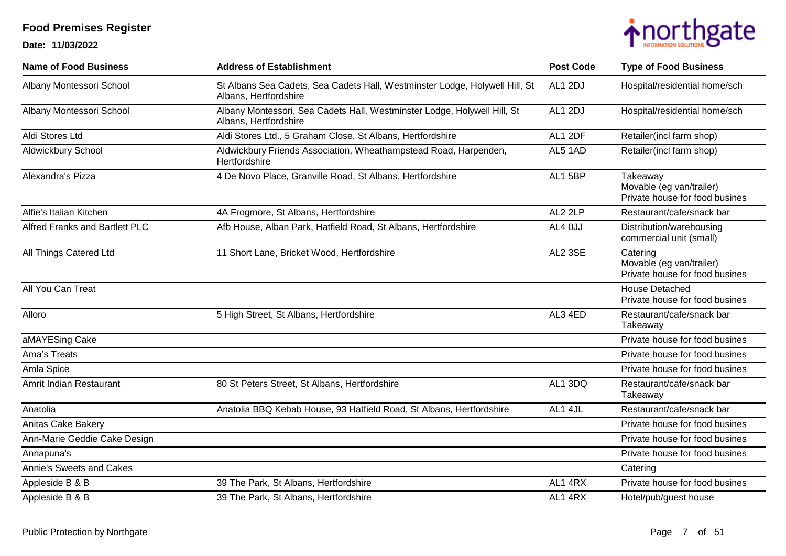

| <b>Name of Food Business</b>   | <b>Address of Establishment</b>                                                                      | <b>Post Code</b> | <b>Type of Food Business</b>                                           |
|--------------------------------|------------------------------------------------------------------------------------------------------|------------------|------------------------------------------------------------------------|
| Albany Montessori School       | St Albans Sea Cadets, Sea Cadets Hall, Westminster Lodge, Holywell Hill, St<br>Albans, Hertfordshire | AL1 2DJ          | Hospital/residential home/sch                                          |
| Albany Montessori School       | Albany Montessori, Sea Cadets Hall, Westminster Lodge, Holywell Hill, St<br>Albans, Hertfordshire    | AL1 2DJ          | Hospital/residential home/sch                                          |
| Aldi Stores Ltd                | Aldi Stores Ltd., 5 Graham Close, St Albans, Hertfordshire                                           | AL1 2DF          | Retailer(incl farm shop)                                               |
| Aldwickbury School             | Aldwickbury Friends Association, Wheathampstead Road, Harpenden,<br>Hertfordshire                    | AL5 1AD          | Retailer(incl farm shop)                                               |
| Alexandra's Pizza              | 4 De Novo Place, Granville Road, St Albans, Hertfordshire                                            | AL1 5BP          | Takeaway<br>Movable (eg van/trailer)<br>Private house for food busines |
| Alfie's Italian Kitchen        | 4A Frogmore, St Albans, Hertfordshire                                                                | AL2 2LP          | Restaurant/cafe/snack bar                                              |
| Alfred Franks and Bartlett PLC | Afb House, Alban Park, Hatfield Road, St Albans, Hertfordshire                                       | AL4 0JJ          | Distribution/warehousing<br>commercial unit (small)                    |
| All Things Catered Ltd         | 11 Short Lane, Bricket Wood, Hertfordshire                                                           | AL2 3SE          | Catering<br>Movable (eg van/trailer)<br>Private house for food busines |
| All You Can Treat              |                                                                                                      |                  | <b>House Detached</b><br>Private house for food busines                |
| Alloro                         | 5 High Street, St Albans, Hertfordshire                                                              | AL3 4ED          | Restaurant/cafe/snack bar<br>Takeaway                                  |
| aMAYESing Cake                 |                                                                                                      |                  | Private house for food busines                                         |
| Ama's Treats                   |                                                                                                      |                  | Private house for food busines                                         |
| Amla Spice                     |                                                                                                      |                  | Private house for food busines                                         |
| Amrit Indian Restaurant        | 80 St Peters Street, St Albans, Hertfordshire                                                        | AL1 3DQ          | Restaurant/cafe/snack bar<br>Takeaway                                  |
| Anatolia                       | Anatolia BBQ Kebab House, 93 Hatfield Road, St Albans, Hertfordshire                                 | AL1 4JL          | Restaurant/cafe/snack bar                                              |
| Anitas Cake Bakery             |                                                                                                      |                  | Private house for food busines                                         |
| Ann-Marie Geddie Cake Design   |                                                                                                      |                  | Private house for food busines                                         |
| Annapuna's                     |                                                                                                      |                  | Private house for food busines                                         |
| Annie's Sweets and Cakes       |                                                                                                      |                  | Catering                                                               |
| Appleside B & B                | 39 The Park, St Albans, Hertfordshire                                                                | AL1 4RX          | Private house for food busines                                         |
| Appleside B & B                | 39 The Park, St Albans, Hertfordshire                                                                | AL1 4RX          | Hotel/pub/guest house                                                  |
|                                |                                                                                                      |                  |                                                                        |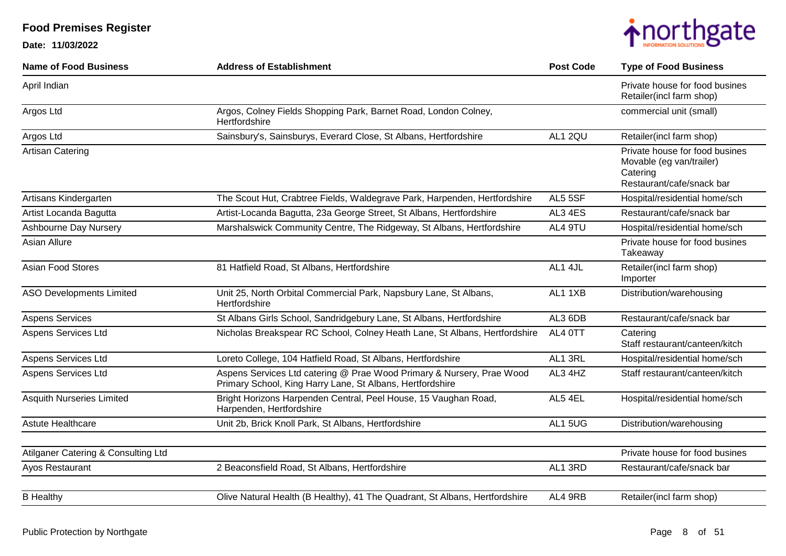

| <b>Name of Food Business</b>        | <b>Address of Establishment</b>                                                                                                    | <b>Post Code</b> | <b>Type of Food Business</b>                                                                        |
|-------------------------------------|------------------------------------------------------------------------------------------------------------------------------------|------------------|-----------------------------------------------------------------------------------------------------|
| April Indian                        |                                                                                                                                    |                  | Private house for food busines<br>Retailer(incl farm shop)                                          |
| Argos Ltd                           | Argos, Colney Fields Shopping Park, Barnet Road, London Colney,<br>Hertfordshire                                                   |                  | commercial unit (small)                                                                             |
| Argos Ltd                           | Sainsbury's, Sainsburys, Everard Close, St Albans, Hertfordshire                                                                   | AL1 2QU          | Retailer(incl farm shop)                                                                            |
| Artisan Catering                    |                                                                                                                                    |                  | Private house for food busines<br>Movable (eg van/trailer)<br>Catering<br>Restaurant/cafe/snack bar |
| Artisans Kindergarten               | The Scout Hut, Crabtree Fields, Waldegrave Park, Harpenden, Hertfordshire                                                          | AL5 5SF          | Hospital/residential home/sch                                                                       |
| Artist Locanda Bagutta              | Artist-Locanda Bagutta, 23a George Street, St Albans, Hertfordshire                                                                | AL3 4ES          | Restaurant/cafe/snack bar                                                                           |
| Ashbourne Day Nursery               | Marshalswick Community Centre, The Ridgeway, St Albans, Hertfordshire                                                              | AL4 9TU          | Hospital/residential home/sch                                                                       |
| Asian Allure                        |                                                                                                                                    |                  | Private house for food busines<br>Takeaway                                                          |
| Asian Food Stores                   | 81 Hatfield Road, St Albans, Hertfordshire                                                                                         | AL1 4JL          | Retailer(incl farm shop)<br>Importer                                                                |
| <b>ASO Developments Limited</b>     | Unit 25, North Orbital Commercial Park, Napsbury Lane, St Albans,<br>Hertfordshire                                                 | AL1 1XB          | Distribution/warehousing                                                                            |
| <b>Aspens Services</b>              | St Albans Girls School, Sandridgebury Lane, St Albans, Hertfordshire                                                               | AL3 6DB          | Restaurant/cafe/snack bar                                                                           |
| Aspens Services Ltd                 | Nicholas Breakspear RC School, Colney Heath Lane, St Albans, Hertfordshire                                                         | AL4 OTT          | Catering<br>Staff restaurant/canteen/kitch                                                          |
| Aspens Services Ltd                 | Loreto College, 104 Hatfield Road, St Albans, Hertfordshire                                                                        | AL1 3RL          | Hospital/residential home/sch                                                                       |
| Aspens Services Ltd                 | Aspens Services Ltd catering @ Prae Wood Primary & Nursery, Prae Wood<br>Primary School, King Harry Lane, St Albans, Hertfordshire | AL3 4HZ          | Staff restaurant/canteen/kitch                                                                      |
| <b>Asquith Nurseries Limited</b>    | Bright Horizons Harpenden Central, Peel House, 15 Vaughan Road,<br>Harpenden, Hertfordshire                                        | AL5 4EL          | Hospital/residential home/sch                                                                       |
| Astute Healthcare                   | Unit 2b, Brick Knoll Park, St Albans, Hertfordshire                                                                                | AL1 5UG          | Distribution/warehousing                                                                            |
| Atilganer Catering & Consulting Ltd |                                                                                                                                    |                  | Private house for food busines                                                                      |
| Ayos Restaurant                     | 2 Beaconsfield Road, St Albans, Hertfordshire                                                                                      | AL1 3RD          | Restaurant/cafe/snack bar                                                                           |
|                                     |                                                                                                                                    |                  |                                                                                                     |
| <b>B</b> Healthy                    | Olive Natural Health (B Healthy), 41 The Quadrant, St Albans, Hertfordshire                                                        | AL4 9RB          | Retailer(incl farm shop)                                                                            |
|                                     |                                                                                                                                    |                  |                                                                                                     |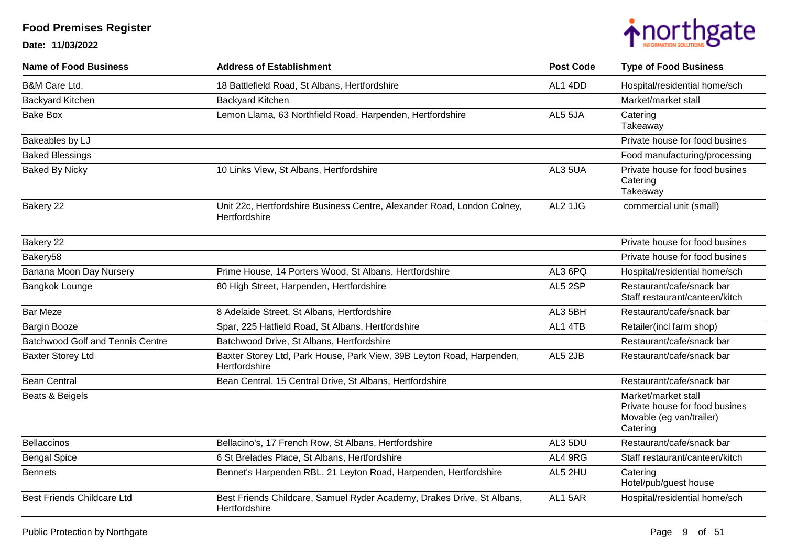

| <b>Name of Food Business</b>            | <b>Address of Establishment</b>                                                          | <b>Post Code</b> | <b>Type of Food Business</b>                                                                  |
|-----------------------------------------|------------------------------------------------------------------------------------------|------------------|-----------------------------------------------------------------------------------------------|
| <b>B&amp;M Care Ltd.</b>                | 18 Battlefield Road, St Albans, Hertfordshire                                            | AL1 4DD          | Hospital/residential home/sch                                                                 |
| <b>Backyard Kitchen</b>                 | <b>Backyard Kitchen</b>                                                                  |                  | Market/market stall                                                                           |
| <b>Bake Box</b>                         | Lemon Llama, 63 Northfield Road, Harpenden, Hertfordshire                                | AL5 5JA          | Catering<br>Takeaway                                                                          |
| Bakeables by LJ                         |                                                                                          |                  | Private house for food busines                                                                |
| <b>Baked Blessings</b>                  |                                                                                          |                  | Food manufacturing/processing                                                                 |
| <b>Baked By Nicky</b>                   | 10 Links View, St Albans, Hertfordshire                                                  | AL3 5UA          | Private house for food busines<br>Catering<br>Takeaway                                        |
| Bakery 22                               | Unit 22c, Hertfordshire Business Centre, Alexander Road, London Colney,<br>Hertfordshire | AL2 1JG          | commercial unit (small)                                                                       |
| Bakery 22                               |                                                                                          |                  | Private house for food busines                                                                |
| Bakery58                                |                                                                                          |                  | Private house for food busines                                                                |
| Banana Moon Day Nursery                 | Prime House, 14 Porters Wood, St Albans, Hertfordshire                                   | AL3 6PQ          | Hospital/residential home/sch                                                                 |
| Bangkok Lounge                          | 80 High Street, Harpenden, Hertfordshire                                                 | AL5 2SP          | Restaurant/cafe/snack bar<br>Staff restaurant/canteen/kitch                                   |
| <b>Bar Meze</b>                         | 8 Adelaide Street, St Albans, Hertfordshire                                              | AL3 5BH          | Restaurant/cafe/snack bar                                                                     |
| Bargin Booze                            | Spar, 225 Hatfield Road, St Albans, Hertfordshire                                        | AL1 4TB          | Retailer(incl farm shop)                                                                      |
| <b>Batchwood Golf and Tennis Centre</b> | Batchwood Drive, St Albans, Hertfordshire                                                |                  | Restaurant/cafe/snack bar                                                                     |
| <b>Baxter Storey Ltd</b>                | Baxter Storey Ltd, Park House, Park View, 39B Leyton Road, Harpenden,<br>Hertfordshire   | AL5 2JB          | Restaurant/cafe/snack bar                                                                     |
| <b>Bean Central</b>                     | Bean Central, 15 Central Drive, St Albans, Hertfordshire                                 |                  | Restaurant/cafe/snack bar                                                                     |
| Beats & Beigels                         |                                                                                          |                  | Market/market stall<br>Private house for food busines<br>Movable (eg van/trailer)<br>Catering |
| <b>Bellaccinos</b>                      | Bellacino's, 17 French Row, St Albans, Hertfordshire                                     | AL3 5DU          | Restaurant/cafe/snack bar                                                                     |
| <b>Bengal Spice</b>                     | 6 St Brelades Place, St Albans, Hertfordshire                                            | AL4 9RG          | Staff restaurant/canteen/kitch                                                                |
| <b>Bennets</b>                          | Bennet's Harpenden RBL, 21 Leyton Road, Harpenden, Hertfordshire                         | AL5 2HU          | Catering<br>Hotel/pub/guest house                                                             |
| <b>Best Friends Childcare Ltd</b>       | Best Friends Childcare, Samuel Ryder Academy, Drakes Drive, St Albans,<br>Hertfordshire  | AL1 5AR          | Hospital/residential home/sch                                                                 |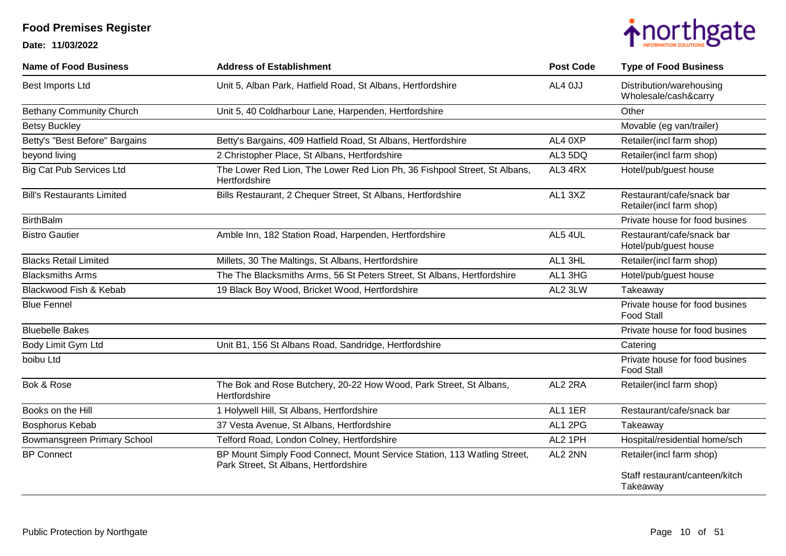

| <b>Name of Food Business</b>      | <b>Address of Establishment</b>                                                                                   | <b>Post Code</b> | <b>Type of Food Business</b>                          |
|-----------------------------------|-------------------------------------------------------------------------------------------------------------------|------------------|-------------------------------------------------------|
| Best Imports Ltd                  | Unit 5, Alban Park, Hatfield Road, St Albans, Hertfordshire                                                       | AL4 OJJ          | Distribution/warehousing<br>Wholesale/cash&carry      |
| <b>Bethany Community Church</b>   | Unit 5, 40 Coldharbour Lane, Harpenden, Hertfordshire                                                             |                  | Other                                                 |
| <b>Betsy Buckley</b>              |                                                                                                                   |                  | Movable (eg van/trailer)                              |
| Betty's "Best Before" Bargains    | Betty's Bargains, 409 Hatfield Road, St Albans, Hertfordshire                                                     | AL4 0XP          | Retailer(incl farm shop)                              |
| beyond living                     | 2 Christopher Place, St Albans, Hertfordshire                                                                     | AL3 5DQ          | Retailer(incl farm shop)                              |
| <b>Big Cat Pub Services Ltd</b>   | The Lower Red Lion, The Lower Red Lion Ph, 36 Fishpool Street, St Albans,<br>Hertfordshire                        | AL3 4RX          | Hotel/pub/guest house                                 |
| <b>Bill's Restaurants Limited</b> | Bills Restaurant, 2 Chequer Street, St Albans, Hertfordshire                                                      | AL1 3XZ          | Restaurant/cafe/snack bar<br>Retailer(incl farm shop) |
| <b>BirthBalm</b>                  |                                                                                                                   |                  | Private house for food busines                        |
| <b>Bistro Gautier</b>             | Amble Inn, 182 Station Road, Harpenden, Hertfordshire                                                             | AL5 4UL          | Restaurant/cafe/snack bar<br>Hotel/pub/guest house    |
| <b>Blacks Retail Limited</b>      | Millets, 30 The Maltings, St Albans, Hertfordshire                                                                | AL1 3HL          | Retailer(incl farm shop)                              |
| <b>Blacksmiths Arms</b>           | The The Blacksmiths Arms, 56 St Peters Street, St Albans, Hertfordshire                                           | AL1 3HG          | Hotel/pub/guest house                                 |
| Blackwood Fish & Kebab            | 19 Black Boy Wood, Bricket Wood, Hertfordshire                                                                    | AL2 3LW          | Takeaway                                              |
| <b>Blue Fennel</b>                |                                                                                                                   |                  | Private house for food busines<br><b>Food Stall</b>   |
| <b>Bluebelle Bakes</b>            |                                                                                                                   |                  | Private house for food busines                        |
| Body Limit Gym Ltd                | Unit B1, 156 St Albans Road, Sandridge, Hertfordshire                                                             |                  | Catering                                              |
| boibu Ltd                         |                                                                                                                   |                  | Private house for food busines<br><b>Food Stall</b>   |
| Bok & Rose                        | The Bok and Rose Butchery, 20-22 How Wood, Park Street, St Albans,<br>Hertfordshire                               | AL2 2RA          | Retailer(incl farm shop)                              |
| Books on the Hill                 | 1 Holywell Hill, St Albans, Hertfordshire                                                                         | AL1 1ER          | Restaurant/cafe/snack bar                             |
| Bosphorus Kebab                   | 37 Vesta Avenue, St Albans, Hertfordshire                                                                         | AL1 2PG          | Takeaway                                              |
| Bowmansgreen Primary School       | Telford Road, London Colney, Hertfordshire                                                                        | AL2 1PH          | Hospital/residential home/sch                         |
| <b>BP Connect</b>                 | BP Mount Simply Food Connect, Mount Service Station, 113 Watling Street,<br>Park Street, St Albans, Hertfordshire | AL2 2NN          | Retailer(incl farm shop)                              |
|                                   |                                                                                                                   |                  | Staff restaurant/canteen/kitch<br>Takeaway            |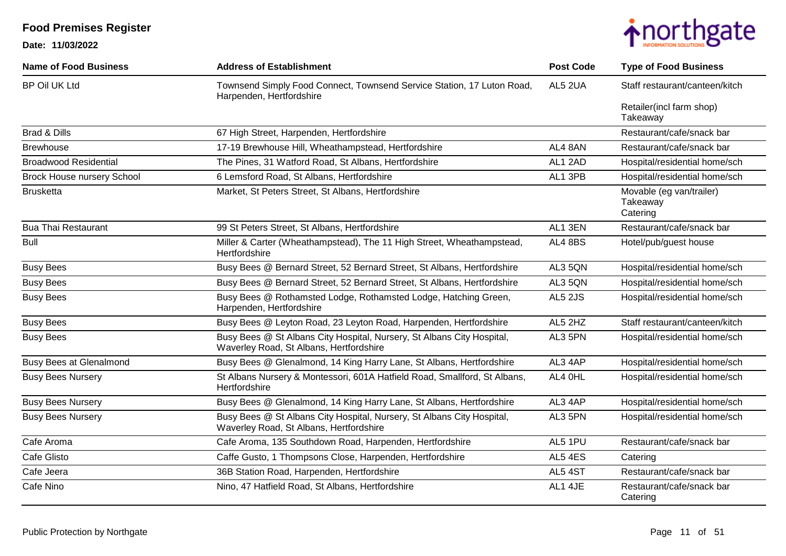

| <b>Name of Food Business</b>      | <b>Address of Establishment</b>                                                                                   | <b>Post Code</b> | <b>Type of Food Business</b>                     |
|-----------------------------------|-------------------------------------------------------------------------------------------------------------------|------------------|--------------------------------------------------|
| <b>BP Oil UK Ltd</b>              | Townsend Simply Food Connect, Townsend Service Station, 17 Luton Road,<br>Harpenden, Hertfordshire                | AL5 2UA          | Staff restaurant/canteen/kitch                   |
|                                   |                                                                                                                   |                  | Retailer(incl farm shop)<br>Takeaway             |
| <b>Brad &amp; Dills</b>           | 67 High Street, Harpenden, Hertfordshire                                                                          |                  | Restaurant/cafe/snack bar                        |
| <b>Brewhouse</b>                  | 17-19 Brewhouse Hill, Wheathampstead, Hertfordshire                                                               | AL4 8AN          | Restaurant/cafe/snack bar                        |
| <b>Broadwood Residential</b>      | The Pines, 31 Watford Road, St Albans, Hertfordshire                                                              | AL1 2AD          | Hospital/residential home/sch                    |
| <b>Brock House nursery School</b> | 6 Lemsford Road, St Albans, Hertfordshire                                                                         | AL1 3PB          | Hospital/residential home/sch                    |
| <b>Brusketta</b>                  | Market, St Peters Street, St Albans, Hertfordshire                                                                |                  | Movable (eg van/trailer)<br>Takeaway<br>Catering |
| <b>Bua Thai Restaurant</b>        | 99 St Peters Street, St Albans, Hertfordshire                                                                     | AL1 3EN          | Restaurant/cafe/snack bar                        |
| <b>Bull</b>                       | Miller & Carter (Wheathampstead), The 11 High Street, Wheathampstead,<br>Hertfordshire                            | AL4 8BS          | Hotel/pub/guest house                            |
| <b>Busy Bees</b>                  | Busy Bees @ Bernard Street, 52 Bernard Street, St Albans, Hertfordshire                                           | AL3 5QN          | Hospital/residential home/sch                    |
| <b>Busy Bees</b>                  | Busy Bees @ Bernard Street, 52 Bernard Street, St Albans, Hertfordshire                                           | AL3 5QN          | Hospital/residential home/sch                    |
| <b>Busy Bees</b>                  | Busy Bees @ Rothamsted Lodge, Rothamsted Lodge, Hatching Green,<br>Harpenden, Hertfordshire                       | AL5 2JS          | Hospital/residential home/sch                    |
| <b>Busy Bees</b>                  | Busy Bees @ Leyton Road, 23 Leyton Road, Harpenden, Hertfordshire                                                 | AL5 2HZ          | Staff restaurant/canteen/kitch                   |
| <b>Busy Bees</b>                  | Busy Bees @ St Albans City Hospital, Nursery, St Albans City Hospital,<br>Waverley Road, St Albans, Hertfordshire | AL3 5PN          | Hospital/residential home/sch                    |
| <b>Busy Bees at Glenalmond</b>    | Busy Bees @ Glenalmond, 14 King Harry Lane, St Albans, Hertfordshire                                              | AL3 4AP          | Hospital/residential home/sch                    |
| <b>Busy Bees Nursery</b>          | St Albans Nursery & Montessori, 601A Hatfield Road, Smallford, St Albans,<br>Hertfordshire                        | AL4 OHL          | Hospital/residential home/sch                    |
| <b>Busy Bees Nursery</b>          | Busy Bees @ Glenalmond, 14 King Harry Lane, St Albans, Hertfordshire                                              | AL3 4AP          | Hospital/residential home/sch                    |
| <b>Busy Bees Nursery</b>          | Busy Bees @ St Albans City Hospital, Nursery, St Albans City Hospital,<br>Waverley Road, St Albans, Hertfordshire | AL3 5PN          | Hospital/residential home/sch                    |
| Cafe Aroma                        | Cafe Aroma, 135 Southdown Road, Harpenden, Hertfordshire                                                          | AL5 1PU          | Restaurant/cafe/snack bar                        |
| Cafe Glisto                       | Caffe Gusto, 1 Thompsons Close, Harpenden, Hertfordshire                                                          | AL5 4ES          | Catering                                         |
| Cafe Jeera                        | 36B Station Road, Harpenden, Hertfordshire                                                                        | AL5 4ST          | Restaurant/cafe/snack bar                        |
| Cafe Nino                         | Nino, 47 Hatfield Road, St Albans, Hertfordshire                                                                  | AL1 4JE          | Restaurant/cafe/snack bar<br>Catering            |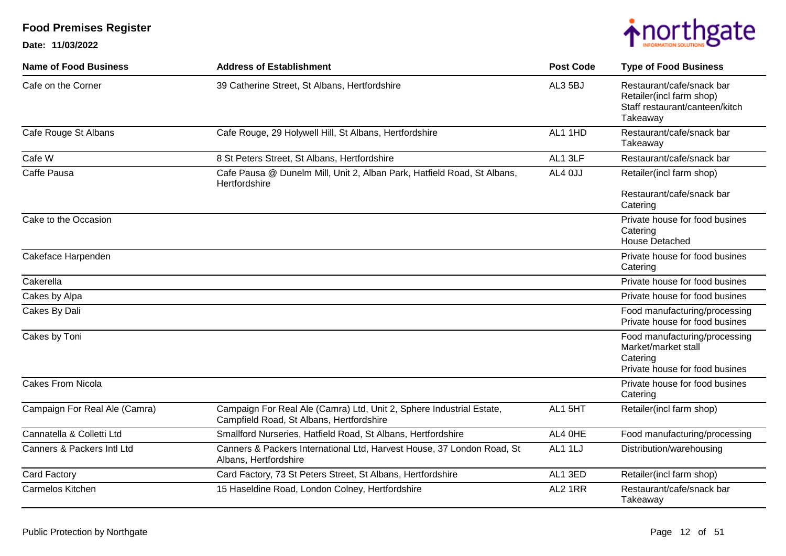

| <b>Name of Food Business</b>  | <b>Address of Establishment</b>                                                                                  | <b>Post Code</b> | <b>Type of Food Business</b>                                                                        |
|-------------------------------|------------------------------------------------------------------------------------------------------------------|------------------|-----------------------------------------------------------------------------------------------------|
| Cafe on the Corner            | 39 Catherine Street, St Albans, Hertfordshire                                                                    | AL3 5BJ          | Restaurant/cafe/snack bar<br>Retailer(incl farm shop)<br>Staff restaurant/canteen/kitch<br>Takeaway |
| Cafe Rouge St Albans          | Cafe Rouge, 29 Holywell Hill, St Albans, Hertfordshire                                                           | AL1 1HD          | Restaurant/cafe/snack bar<br>Takeaway                                                               |
| Cafe W                        | 8 St Peters Street, St Albans, Hertfordshire                                                                     | AL1 3LF          | Restaurant/cafe/snack bar                                                                           |
| Caffe Pausa                   | Cafe Pausa @ Dunelm Mill, Unit 2, Alban Park, Hatfield Road, St Albans,<br>Hertfordshire                         | AL4 0JJ          | Retailer(incl farm shop)                                                                            |
|                               |                                                                                                                  |                  | Restaurant/cafe/snack bar<br>Catering                                                               |
| Cake to the Occasion          |                                                                                                                  |                  | Private house for food busines<br>Catering<br><b>House Detached</b>                                 |
| Cakeface Harpenden            |                                                                                                                  |                  | Private house for food busines<br>Catering                                                          |
| Cakerella                     |                                                                                                                  |                  | Private house for food busines                                                                      |
| Cakes by Alpa                 |                                                                                                                  |                  | Private house for food busines                                                                      |
| Cakes By Dali                 |                                                                                                                  |                  | Food manufacturing/processing<br>Private house for food busines                                     |
| Cakes by Toni                 |                                                                                                                  |                  | Food manufacturing/processing<br>Market/market stall<br>Catering<br>Private house for food busines  |
| <b>Cakes From Nicola</b>      |                                                                                                                  |                  | Private house for food busines<br>Catering                                                          |
| Campaign For Real Ale (Camra) | Campaign For Real Ale (Camra) Ltd, Unit 2, Sphere Industrial Estate,<br>Campfield Road, St Albans, Hertfordshire | AL1 5HT          | Retailer(incl farm shop)                                                                            |
| Cannatella & Colletti Ltd     | Smallford Nurseries, Hatfield Road, St Albans, Hertfordshire                                                     | AL4 OHE          | Food manufacturing/processing                                                                       |
| Canners & Packers Intl Ltd    | Canners & Packers International Ltd, Harvest House, 37 London Road, St<br>Albans, Hertfordshire                  | <b>AL1 1LJ</b>   | Distribution/warehousing                                                                            |
| Card Factory                  | Card Factory, 73 St Peters Street, St Albans, Hertfordshire                                                      | AL1 3ED          | Retailer(incl farm shop)                                                                            |
| Carmelos Kitchen              | 15 Haseldine Road, London Colney, Hertfordshire                                                                  | AL2 1RR          | Restaurant/cafe/snack bar<br>Takeaway                                                               |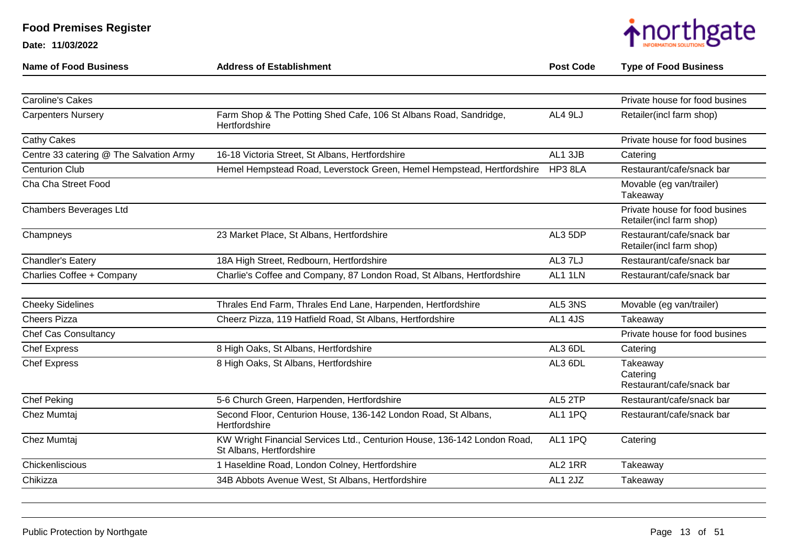| <b>Name of Food Business</b>            | <b>Address of Establishment</b>                                                                      | <b>Post Code</b> | <b>Type of Food Business</b>                               |
|-----------------------------------------|------------------------------------------------------------------------------------------------------|------------------|------------------------------------------------------------|
|                                         |                                                                                                      |                  |                                                            |
| <b>Caroline's Cakes</b>                 |                                                                                                      |                  | Private house for food busines                             |
| <b>Carpenters Nursery</b>               | Farm Shop & The Potting Shed Cafe, 106 St Albans Road, Sandridge,<br>Hertfordshire                   | AL4 9LJ          | Retailer(incl farm shop)                                   |
| Cathy Cakes                             |                                                                                                      |                  | Private house for food busines                             |
| Centre 33 catering @ The Salvation Army | 16-18 Victoria Street, St Albans, Hertfordshire                                                      | AL1 3JB          | Catering                                                   |
| <b>Centurion Club</b>                   | Hemel Hempstead Road, Leverstock Green, Hemel Hempstead, Hertfordshire                               | HP3 8LA          | Restaurant/cafe/snack bar                                  |
| Cha Cha Street Food                     |                                                                                                      |                  | Movable (eg van/trailer)<br>Takeaway                       |
| Chambers Beverages Ltd                  |                                                                                                      |                  | Private house for food busines<br>Retailer(incl farm shop) |
| Champneys                               | 23 Market Place, St Albans, Hertfordshire                                                            | AL3 5DP          | Restaurant/cafe/snack bar<br>Retailer(incl farm shop)      |
| Chandler's Eatery                       | 18A High Street, Redbourn, Hertfordshire                                                             | AL3 7LJ          | Restaurant/cafe/snack bar                                  |
| Charlies Coffee + Company               | Charlie's Coffee and Company, 87 London Road, St Albans, Hertfordshire                               | AL1 1LN          | Restaurant/cafe/snack bar                                  |
|                                         |                                                                                                      |                  |                                                            |
| <b>Cheeky Sidelines</b>                 | Thrales End Farm, Thrales End Lane, Harpenden, Hertfordshire                                         | AL5 3NS          | Movable (eg van/trailer)                                   |
| <b>Cheers Pizza</b>                     | Cheerz Pizza, 119 Hatfield Road, St Albans, Hertfordshire                                            | AL1 4JS          | Takeaway                                                   |
| <b>Chef Cas Consultancy</b>             |                                                                                                      |                  | Private house for food busines                             |
| <b>Chef Express</b>                     | 8 High Oaks, St Albans, Hertfordshire                                                                | AL3 6DL          | Catering                                                   |
| <b>Chef Express</b>                     | 8 High Oaks, St Albans, Hertfordshire                                                                | AL3 6DL          | Takeaway<br>Catering<br>Restaurant/cafe/snack bar          |
| <b>Chef Peking</b>                      | 5-6 Church Green, Harpenden, Hertfordshire                                                           | AL5 2TP          | Restaurant/cafe/snack bar                                  |
| Chez Mumtaj                             | Second Floor, Centurion House, 136-142 London Road, St Albans,<br>Hertfordshire                      | AL1 1PQ          | Restaurant/cafe/snack bar                                  |
| Chez Mumtaj                             | KW Wright Financial Services Ltd., Centurion House, 136-142 London Road,<br>St Albans, Hertfordshire | AL1 1PQ          | Catering                                                   |
| Chickenliscious                         | 1 Haseldine Road, London Colney, Hertfordshire                                                       | AL2 1RR          | Takeaway                                                   |
| Chikizza                                | 34B Abbots Avenue West, St Albans, Hertfordshire                                                     | AL1 2JZ          | Takeaway                                                   |
|                                         |                                                                                                      |                  |                                                            |

**Date: 11/03/2022**

**Food Premises Register**

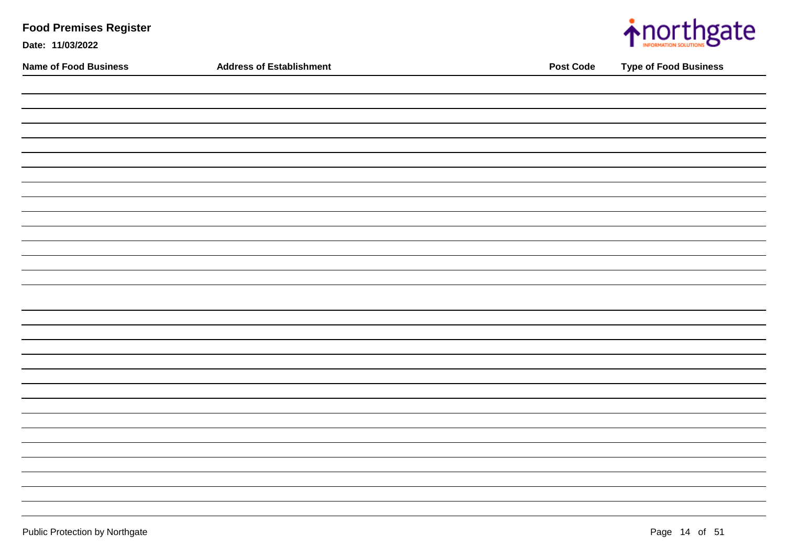| <b>Food Premises Register</b><br>Date: 11/03/2022 |                                 |                  | <u>inorthgate</u>            |
|---------------------------------------------------|---------------------------------|------------------|------------------------------|
| <b>Name of Food Business</b>                      | <b>Address of Establishment</b> | <b>Post Code</b> | <b>Type of Food Business</b> |
|                                                   |                                 |                  |                              |
|                                                   |                                 |                  |                              |
|                                                   |                                 |                  |                              |
|                                                   |                                 |                  |                              |
|                                                   |                                 |                  |                              |
|                                                   |                                 |                  |                              |
|                                                   |                                 |                  |                              |
|                                                   |                                 |                  |                              |
|                                                   |                                 |                  |                              |
|                                                   |                                 |                  |                              |
|                                                   |                                 |                  |                              |
|                                                   |                                 |                  |                              |
|                                                   |                                 |                  |                              |
|                                                   |                                 |                  |                              |
|                                                   |                                 |                  |                              |
|                                                   |                                 |                  |                              |
|                                                   |                                 |                  |                              |
|                                                   |                                 |                  |                              |
|                                                   |                                 |                  |                              |
|                                                   |                                 |                  |                              |
|                                                   |                                 |                  |                              |
|                                                   |                                 |                  |                              |
|                                                   |                                 |                  |                              |
|                                                   |                                 |                  |                              |
|                                                   |                                 |                  |                              |
|                                                   |                                 |                  |                              |
|                                                   |                                 |                  |                              |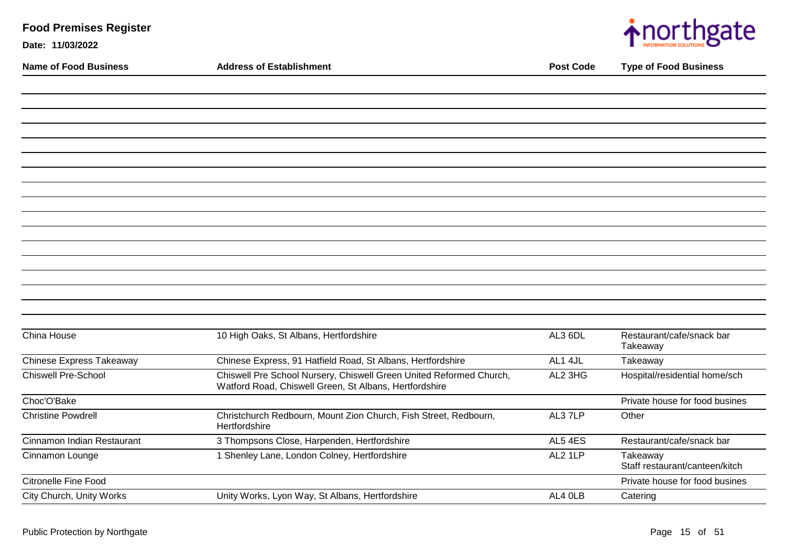| <b>Food Premises Register</b> |                                                                                                                               |                  | $\bigwedge$ northgate                      |
|-------------------------------|-------------------------------------------------------------------------------------------------------------------------------|------------------|--------------------------------------------|
| Date: 11/03/2022              |                                                                                                                               |                  |                                            |
| <b>Name of Food Business</b>  | <b>Address of Establishment</b>                                                                                               | <b>Post Code</b> | <b>Type of Food Business</b>               |
|                               |                                                                                                                               |                  |                                            |
|                               |                                                                                                                               |                  |                                            |
|                               |                                                                                                                               |                  |                                            |
|                               |                                                                                                                               |                  |                                            |
|                               |                                                                                                                               |                  |                                            |
|                               |                                                                                                                               |                  |                                            |
|                               |                                                                                                                               |                  |                                            |
|                               |                                                                                                                               |                  |                                            |
|                               |                                                                                                                               |                  |                                            |
|                               |                                                                                                                               |                  |                                            |
|                               |                                                                                                                               |                  |                                            |
|                               |                                                                                                                               |                  |                                            |
|                               |                                                                                                                               |                  |                                            |
|                               |                                                                                                                               |                  |                                            |
| China House                   | 10 High Oaks, St Albans, Hertfordshire                                                                                        | AL3 6DL          | Restaurant/cafe/snack bar                  |
|                               |                                                                                                                               |                  | Takeaway                                   |
| Chinese Express Takeaway      | Chinese Express, 91 Hatfield Road, St Albans, Hertfordshire                                                                   | AL1 4JL          | Takeaway                                   |
| <b>Chiswell Pre-School</b>    | Chiswell Pre School Nursery, Chiswell Green United Reformed Church,<br>Watford Road, Chiswell Green, St Albans, Hertfordshire | AL2 3HG          | Hospital/residential home/sch              |
| Choc'O'Bake                   |                                                                                                                               |                  | Private house for food busines             |
| <b>Christine Powdrell</b>     | Christchurch Redbourn, Mount Zion Church, Fish Street, Redbourn,<br>Hertfordshire                                             | AL37LP           | Other                                      |
| Cinnamon Indian Restaurant    | 3 Thompsons Close, Harpenden, Hertfordshire                                                                                   | AL5 4ES          | Restaurant/cafe/snack bar                  |
| Cinnamon Lounge               | 1 Shenley Lane, London Colney, Hertfordshire                                                                                  | AL2 1LP          | Takeaway<br>Staff restaurant/canteen/kitch |
| <b>Citronelle Fine Food</b>   |                                                                                                                               |                  | Private house for food busines             |
| City Church, Unity Works      | Unity Works, Lyon Way, St Albans, Hertfordshire                                                                               | AL4 OLB          | Catering                                   |

 $\overline{\phantom{a}}$ 

×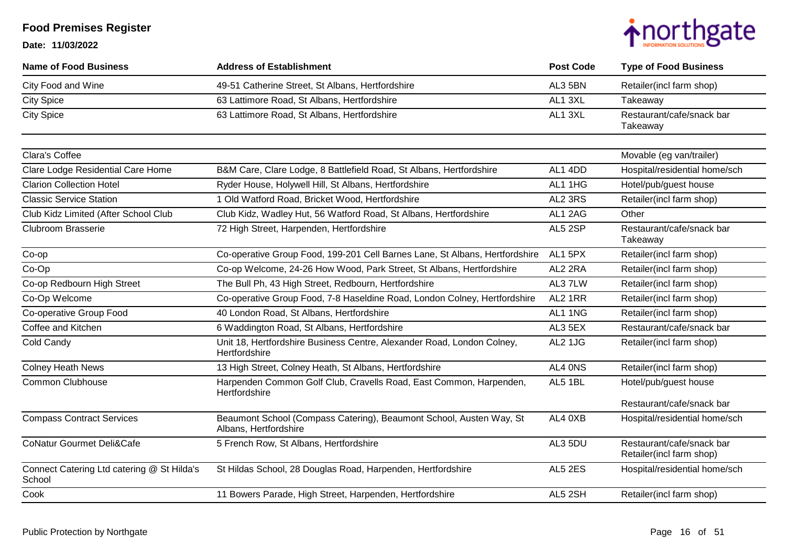

| <b>Name of Food Business</b>                         | <b>Address of Establishment</b>                                                              | <b>Post Code</b> | <b>Type of Food Business</b>                          |
|------------------------------------------------------|----------------------------------------------------------------------------------------------|------------------|-------------------------------------------------------|
| City Food and Wine                                   | 49-51 Catherine Street, St Albans, Hertfordshire                                             | AL3 5BN          | Retailer(incl farm shop)                              |
| <b>City Spice</b>                                    | 63 Lattimore Road, St Albans, Hertfordshire                                                  | AL1 3XL          | Takeaway                                              |
| <b>City Spice</b>                                    | 63 Lattimore Road, St Albans, Hertfordshire                                                  | AL1 3XL          | Restaurant/cafe/snack bar<br>Takeaway                 |
| Clara's Coffee                                       |                                                                                              |                  | Movable (eg van/trailer)                              |
| Clare Lodge Residential Care Home                    | B&M Care, Clare Lodge, 8 Battlefield Road, St Albans, Hertfordshire                          | AL1 4DD          | Hospital/residential home/sch                         |
| <b>Clarion Collection Hotel</b>                      | Ryder House, Holywell Hill, St Albans, Hertfordshire                                         | AL1 1HG          | Hotel/pub/guest house                                 |
| <b>Classic Service Station</b>                       | 1 Old Watford Road, Bricket Wood, Hertfordshire                                              | AL2 3RS          | Retailer(incl farm shop)                              |
| Club Kidz Limited (After School Club                 | Club Kidz, Wadley Hut, 56 Watford Road, St Albans, Hertfordshire                             | AL1 2AG          | Other                                                 |
| <b>Clubroom Brasserie</b>                            | 72 High Street, Harpenden, Hertfordshire                                                     | AL5 2SP          | Restaurant/cafe/snack bar<br>Takeaway                 |
| Co-op                                                | Co-operative Group Food, 199-201 Cell Barnes Lane, St Albans, Hertfordshire                  | AL1 5PX          | Retailer(incl farm shop)                              |
| Co-Op                                                | Co-op Welcome, 24-26 How Wood, Park Street, St Albans, Hertfordshire                         | AL2 2RA          | Retailer(incl farm shop)                              |
| Co-op Redbourn High Street                           | The Bull Ph, 43 High Street, Redbourn, Hertfordshire                                         | AL37LW           | Retailer(incl farm shop)                              |
| Co-Op Welcome                                        | Co-operative Group Food, 7-8 Haseldine Road, London Colney, Hertfordshire                    | AL2 1RR          | Retailer(incl farm shop)                              |
| Co-operative Group Food                              | 40 London Road, St Albans, Hertfordshire                                                     | AL1 1NG          | Retailer(incl farm shop)                              |
| Coffee and Kitchen                                   | 6 Waddington Road, St Albans, Hertfordshire                                                  | AL3 5EX          | Restaurant/cafe/snack bar                             |
| Cold Candy                                           | Unit 18, Hertfordshire Business Centre, Alexander Road, London Colney,<br>Hertfordshire      | AL2 1JG          | Retailer(incl farm shop)                              |
| <b>Colney Heath News</b>                             | 13 High Street, Colney Heath, St Albans, Hertfordshire                                       | AL4 ONS          | Retailer(incl farm shop)                              |
| <b>Common Clubhouse</b>                              | Harpenden Common Golf Club, Cravells Road, East Common, Harpenden,<br>Hertfordshire          | AL5 1BL          | Hotel/pub/guest house                                 |
|                                                      |                                                                                              |                  | Restaurant/cafe/snack bar                             |
| <b>Compass Contract Services</b>                     | Beaumont School (Compass Catering), Beaumont School, Austen Way, St<br>Albans, Hertfordshire | AL4 0XB          | Hospital/residential home/sch                         |
| <b>CoNatur Gourmet Deli&amp;Cafe</b>                 | 5 French Row, St Albans, Hertfordshire                                                       | AL3 5DU          | Restaurant/cafe/snack bar<br>Retailer(incl farm shop) |
| Connect Catering Ltd catering @ St Hilda's<br>School | St Hildas School, 28 Douglas Road, Harpenden, Hertfordshire                                  | AL5 2ES          | Hospital/residential home/sch                         |
| Cook                                                 | 11 Bowers Parade, High Street, Harpenden, Hertfordshire                                      | AL5 2SH          | Retailer(incl farm shop)                              |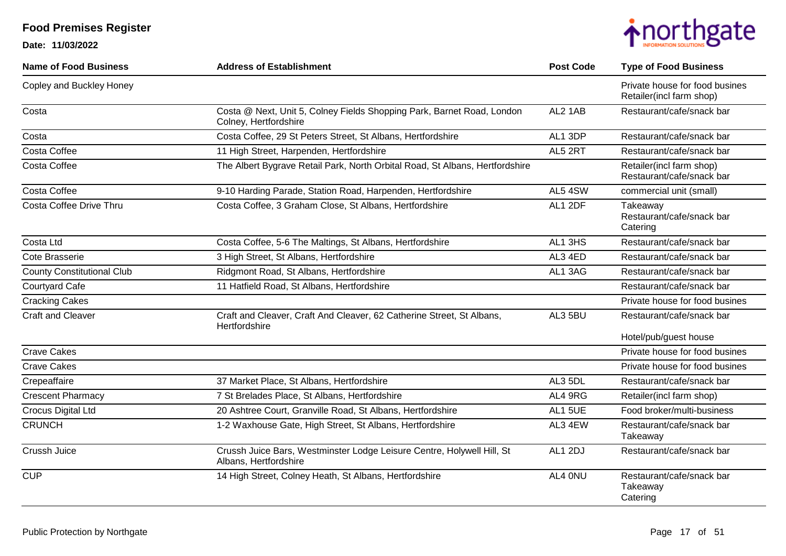

| <b>Name of Food Business</b>      | <b>Address of Establishment</b>                                                                 | <b>Post Code</b> | <b>Type of Food Business</b>                               |
|-----------------------------------|-------------------------------------------------------------------------------------------------|------------------|------------------------------------------------------------|
| Copley and Buckley Honey          |                                                                                                 |                  | Private house for food busines<br>Retailer(incl farm shop) |
| Costa                             | Costa @ Next, Unit 5, Colney Fields Shopping Park, Barnet Road, London<br>Colney, Hertfordshire | AL2 1AB          | Restaurant/cafe/snack bar                                  |
| Costa                             | Costa Coffee, 29 St Peters Street, St Albans, Hertfordshire                                     | AL1 3DP          | Restaurant/cafe/snack bar                                  |
| <b>Costa Coffee</b>               | 11 High Street, Harpenden, Hertfordshire                                                        | AL5 2RT          | Restaurant/cafe/snack bar                                  |
| Costa Coffee                      | The Albert Bygrave Retail Park, North Orbital Road, St Albans, Hertfordshire                    |                  | Retailer(incl farm shop)<br>Restaurant/cafe/snack bar      |
| Costa Coffee                      | 9-10 Harding Parade, Station Road, Harpenden, Hertfordshire                                     | AL5 4SW          | commercial unit (small)                                    |
| Costa Coffee Drive Thru           | Costa Coffee, 3 Graham Close, St Albans, Hertfordshire                                          | AL1 2DF          | Takeaway<br>Restaurant/cafe/snack bar<br>Catering          |
| Costa Ltd                         | Costa Coffee, 5-6 The Maltings, St Albans, Hertfordshire                                        | AL1 3HS          | Restaurant/cafe/snack bar                                  |
| Cote Brasserie                    | 3 High Street, St Albans, Hertfordshire                                                         | AL3 4ED          | Restaurant/cafe/snack bar                                  |
| <b>County Constitutional Club</b> | Ridgmont Road, St Albans, Hertfordshire                                                         | AL1 3AG          | Restaurant/cafe/snack bar                                  |
| <b>Courtyard Cafe</b>             | 11 Hatfield Road, St Albans, Hertfordshire                                                      |                  | Restaurant/cafe/snack bar                                  |
| <b>Cracking Cakes</b>             |                                                                                                 |                  | Private house for food busines                             |
| <b>Craft and Cleaver</b>          | Craft and Cleaver, Craft And Cleaver, 62 Catherine Street, St Albans,<br>Hertfordshire          | AL3 5BU          | Restaurant/cafe/snack bar                                  |
|                                   |                                                                                                 |                  | Hotel/pub/guest house                                      |
| <b>Crave Cakes</b>                |                                                                                                 |                  | Private house for food busines                             |
| <b>Crave Cakes</b>                |                                                                                                 |                  | Private house for food busines                             |
| Crepeaffaire                      | 37 Market Place, St Albans, Hertfordshire                                                       | AL3 5DL          | Restaurant/cafe/snack bar                                  |
| <b>Crescent Pharmacy</b>          | 7 St Brelades Place, St Albans, Hertfordshire                                                   | AL4 9RG          | Retailer(incl farm shop)                                   |
| Crocus Digital Ltd                | 20 Ashtree Court, Granville Road, St Albans, Hertfordshire                                      | AL1 5UE          | Food broker/multi-business                                 |
| <b>CRUNCH</b>                     | 1-2 Waxhouse Gate, High Street, St Albans, Hertfordshire                                        | AL3 4EW          | Restaurant/cafe/snack bar<br>Takeaway                      |
| Crussh Juice                      | Crussh Juice Bars, Westminster Lodge Leisure Centre, Holywell Hill, St<br>Albans, Hertfordshire | AL1 2DJ          | Restaurant/cafe/snack bar                                  |
| <b>CUP</b>                        | 14 High Street, Colney Heath, St Albans, Hertfordshire                                          | AL4 0NU          | Restaurant/cafe/snack bar<br>Takeaway<br>Catering          |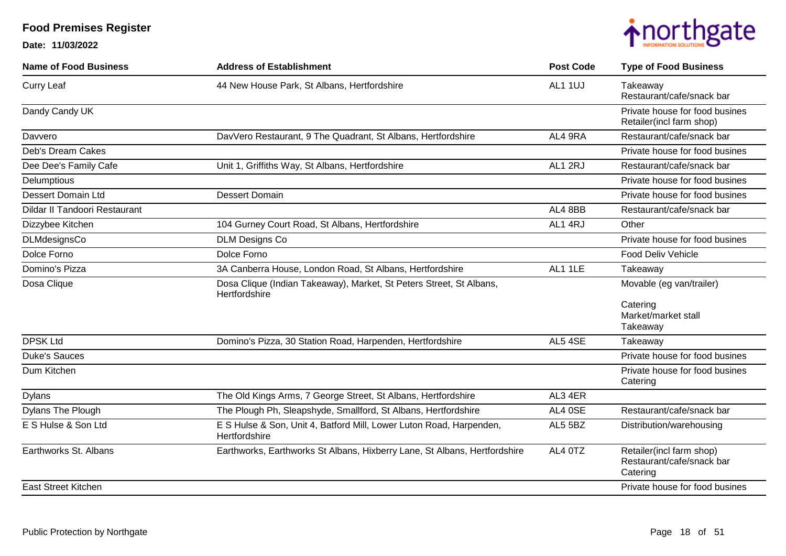

| <b>Name of Food Business</b>  | <b>Address of Establishment</b>                                                      | <b>Post Code</b> | <b>Type of Food Business</b>                                      |
|-------------------------------|--------------------------------------------------------------------------------------|------------------|-------------------------------------------------------------------|
| <b>Curry Leaf</b>             | 44 New House Park, St Albans, Hertfordshire                                          | AL1 1UJ          | Takeaway<br>Restaurant/cafe/snack bar                             |
| Dandy Candy UK                |                                                                                      |                  | Private house for food busines<br>Retailer(incl farm shop)        |
| Davvero                       | DavVero Restaurant, 9 The Quadrant, St Albans, Hertfordshire                         | AL4 9RA          | Restaurant/cafe/snack bar                                         |
| Deb's Dream Cakes             |                                                                                      |                  | Private house for food busines                                    |
| Dee Dee's Family Cafe         | Unit 1, Griffiths Way, St Albans, Hertfordshire                                      | AL1 2RJ          | Restaurant/cafe/snack bar                                         |
| Delumptious                   |                                                                                      |                  | Private house for food busines                                    |
| <b>Dessert Domain Ltd</b>     | <b>Dessert Domain</b>                                                                |                  | Private house for food busines                                    |
| Dildar II Tandoori Restaurant |                                                                                      | AL4 8BB          | Restaurant/cafe/snack bar                                         |
| Dizzybee Kitchen              | 104 Gurney Court Road, St Albans, Hertfordshire                                      | AL1 4RJ          | Other                                                             |
| DLMdesignsCo                  | <b>DLM Designs Co</b>                                                                |                  | Private house for food busines                                    |
| Dolce Forno                   | Dolce Forno                                                                          |                  | <b>Food Deliv Vehicle</b>                                         |
| Domino's Pizza                | 3A Canberra House, London Road, St Albans, Hertfordshire                             | AL1 1LE          | Takeaway                                                          |
| Dosa Clique                   | Dosa Clique (Indian Takeaway), Market, St Peters Street, St Albans,<br>Hertfordshire |                  | Movable (eg van/trailer)                                          |
|                               |                                                                                      |                  | Catering<br>Market/market stall<br>Takeaway                       |
| <b>DPSK Ltd</b>               | Domino's Pizza, 30 Station Road, Harpenden, Hertfordshire                            | AL5 4SE          | Takeaway                                                          |
| <b>Duke's Sauces</b>          |                                                                                      |                  | Private house for food busines                                    |
| Dum Kitchen                   |                                                                                      |                  | Private house for food busines<br>Catering                        |
| <b>Dylans</b>                 | The Old Kings Arms, 7 George Street, St Albans, Hertfordshire                        | AL3 4ER          |                                                                   |
| Dylans The Plough             | The Plough Ph, Sleapshyde, Smallford, St Albans, Hertfordshire                       | AL4 0SE          | Restaurant/cafe/snack bar                                         |
| E S Hulse & Son Ltd           | E S Hulse & Son, Unit 4, Batford Mill, Lower Luton Road, Harpenden,<br>Hertfordshire | AL5 5BZ          | Distribution/warehousing                                          |
| Earthworks St. Albans         | Earthworks, Earthworks St Albans, Hixberry Lane, St Albans, Hertfordshire            | AL4 0TZ          | Retailer(incl farm shop)<br>Restaurant/cafe/snack bar<br>Catering |
| <b>East Street Kitchen</b>    |                                                                                      |                  | Private house for food busines                                    |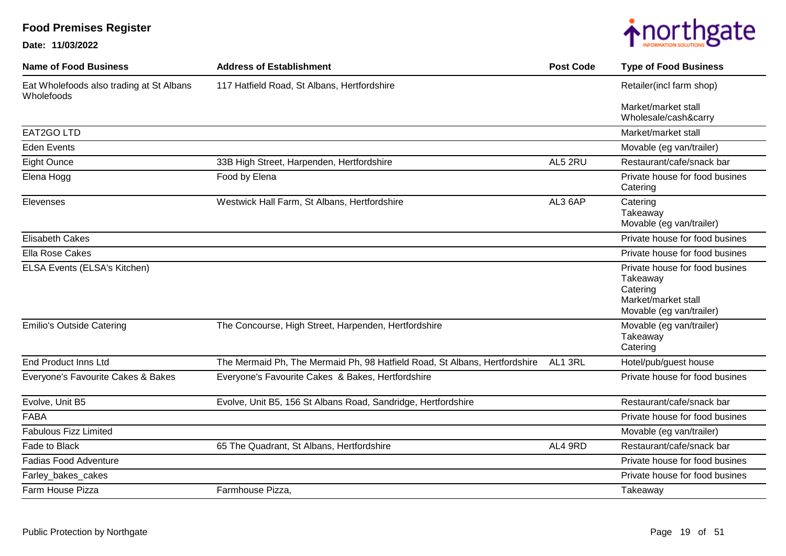

| <b>Name of Food Business</b>                           | <b>Address of Establishment</b>                                            | <b>Post Code</b> | <b>Type of Food Business</b>                                                                              |
|--------------------------------------------------------|----------------------------------------------------------------------------|------------------|-----------------------------------------------------------------------------------------------------------|
| Eat Wholefoods also trading at St Albans<br>Wholefoods | 117 Hatfield Road, St Albans, Hertfordshire                                |                  | Retailer(incl farm shop)                                                                                  |
|                                                        |                                                                            |                  | Market/market stall<br>Wholesale/cash&carry                                                               |
| EAT2GO LTD                                             |                                                                            |                  | Market/market stall                                                                                       |
| <b>Eden Events</b>                                     |                                                                            |                  | Movable (eg van/trailer)                                                                                  |
| <b>Eight Ounce</b>                                     | 33B High Street, Harpenden, Hertfordshire                                  | AL5 2RU          | Restaurant/cafe/snack bar                                                                                 |
| Elena Hogg                                             | Food by Elena                                                              |                  | Private house for food busines<br>Catering                                                                |
| Elevenses                                              | Westwick Hall Farm, St Albans, Hertfordshire                               | AL3 6AP          | Catering<br>Takeaway<br>Movable (eg van/trailer)                                                          |
| <b>Elisabeth Cakes</b>                                 |                                                                            |                  | Private house for food busines                                                                            |
| <b>Ella Rose Cakes</b>                                 |                                                                            |                  | Private house for food busines                                                                            |
| ELSA Events (ELSA's Kitchen)                           |                                                                            |                  | Private house for food busines<br>Takeaway<br>Catering<br>Market/market stall<br>Movable (eg van/trailer) |
| <b>Emilio's Outside Catering</b>                       | The Concourse, High Street, Harpenden, Hertfordshire                       |                  | Movable (eg van/trailer)<br>Takeaway<br>Catering                                                          |
| <b>End Product Inns Ltd</b>                            | The Mermaid Ph, The Mermaid Ph, 98 Hatfield Road, St Albans, Hertfordshire | AL1 3RL          | Hotel/pub/guest house                                                                                     |
| Everyone's Favourite Cakes & Bakes                     | Everyone's Favourite Cakes & Bakes, Hertfordshire                          |                  | Private house for food busines                                                                            |
| Evolve, Unit B5                                        | Evolve, Unit B5, 156 St Albans Road, Sandridge, Hertfordshire              |                  | Restaurant/cafe/snack bar                                                                                 |
| <b>FABA</b>                                            |                                                                            |                  | Private house for food busines                                                                            |
| <b>Fabulous Fizz Limited</b>                           |                                                                            |                  | Movable (eg van/trailer)                                                                                  |
| Fade to Black                                          | 65 The Quadrant, St Albans, Hertfordshire                                  | AL4 9RD          | Restaurant/cafe/snack bar                                                                                 |
| <b>Fadias Food Adventure</b>                           |                                                                            |                  | Private house for food busines                                                                            |
| Farley_bakes_cakes                                     |                                                                            |                  | Private house for food busines                                                                            |
| Farm House Pizza                                       | Farmhouse Pizza,                                                           |                  | Takeaway                                                                                                  |
|                                                        |                                                                            |                  |                                                                                                           |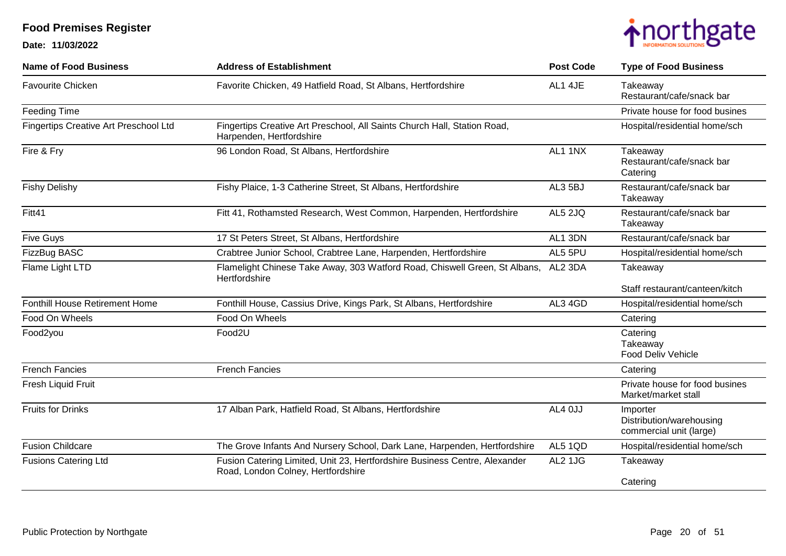

| <b>Name of Food Business</b>          | <b>Address of Establishment</b>                                                                                  | <b>Post Code</b> | <b>Type of Food Business</b>                                    |
|---------------------------------------|------------------------------------------------------------------------------------------------------------------|------------------|-----------------------------------------------------------------|
| <b>Favourite Chicken</b>              | Favorite Chicken, 49 Hatfield Road, St Albans, Hertfordshire                                                     | AL1 4JE          | Takeaway<br>Restaurant/cafe/snack bar                           |
| <b>Feeding Time</b>                   |                                                                                                                  |                  | Private house for food busines                                  |
| Fingertips Creative Art Preschool Ltd | Fingertips Creative Art Preschool, All Saints Church Hall, Station Road,<br>Harpenden, Hertfordshire             |                  | Hospital/residential home/sch                                   |
| Fire & Fry                            | 96 London Road, St Albans, Hertfordshire                                                                         | AL1 1NX          | Takeaway<br>Restaurant/cafe/snack bar<br>Catering               |
| <b>Fishy Delishy</b>                  | Fishy Plaice, 1-3 Catherine Street, St Albans, Hertfordshire                                                     | AL3 5BJ          | Restaurant/cafe/snack bar<br>Takeaway                           |
| Fitt41                                | Fitt 41, Rothamsted Research, West Common, Harpenden, Hertfordshire                                              | AL5 2JQ          | Restaurant/cafe/snack bar<br>Takeaway                           |
| <b>Five Guys</b>                      | 17 St Peters Street, St Albans, Hertfordshire                                                                    | AL1 3DN          | Restaurant/cafe/snack bar                                       |
| FizzBug BASC                          | Crabtree Junior School, Crabtree Lane, Harpenden, Hertfordshire                                                  | AL5 5PU          | Hospital/residential home/sch                                   |
| Flame Light LTD                       | Flamelight Chinese Take Away, 303 Watford Road, Chiswell Green, St Albans,<br>Hertfordshire                      | AL2 3DA          | Takeaway                                                        |
|                                       |                                                                                                                  |                  | Staff restaurant/canteen/kitch                                  |
| <b>Fonthill House Retirement Home</b> | Fonthill House, Cassius Drive, Kings Park, St Albans, Hertfordshire                                              | AL3 4GD          | Hospital/residential home/sch                                   |
| Food On Wheels                        | Food On Wheels                                                                                                   |                  | Catering                                                        |
| Food2you                              | Food2U                                                                                                           |                  | Catering<br>Takeaway<br><b>Food Deliv Vehicle</b>               |
| <b>French Fancies</b>                 | <b>French Fancies</b>                                                                                            |                  | Catering                                                        |
| Fresh Liquid Fruit                    |                                                                                                                  |                  | Private house for food busines<br>Market/market stall           |
| <b>Fruits for Drinks</b>              | 17 Alban Park, Hatfield Road, St Albans, Hertfordshire                                                           | AL4 0JJ          | Importer<br>Distribution/warehousing<br>commercial unit (large) |
| <b>Fusion Childcare</b>               | The Grove Infants And Nursery School, Dark Lane, Harpenden, Hertfordshire                                        | AL5 1QD          | Hospital/residential home/sch                                   |
| <b>Fusions Catering Ltd</b>           | Fusion Catering Limited, Unit 23, Hertfordshire Business Centre, Alexander<br>Road, London Colney, Hertfordshire | AL2 1JG          | Takeaway                                                        |
|                                       |                                                                                                                  |                  | Catering                                                        |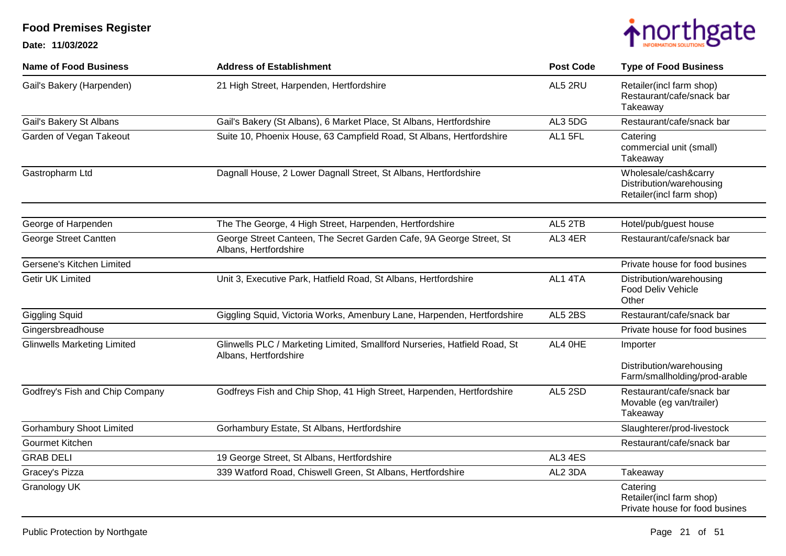

| <b>Name of Food Business</b>       | <b>Address of Establishment</b>                                                                    | <b>Post Code</b> | <b>Type of Food Business</b>                                                 |
|------------------------------------|----------------------------------------------------------------------------------------------------|------------------|------------------------------------------------------------------------------|
| Gail's Bakery (Harpenden)          | 21 High Street, Harpenden, Hertfordshire                                                           | AL5 2RU          | Retailer(incl farm shop)<br>Restaurant/cafe/snack bar<br>Takeaway            |
| Gail's Bakery St Albans            | Gail's Bakery (St Albans), 6 Market Place, St Albans, Hertfordshire                                | AL3 5DG          | Restaurant/cafe/snack bar                                                    |
| Garden of Vegan Takeout            | Suite 10, Phoenix House, 63 Campfield Road, St Albans, Hertfordshire                               | AL1 5FL          | Catering<br>commercial unit (small)<br>Takeaway                              |
| Gastropharm Ltd                    | Dagnall House, 2 Lower Dagnall Street, St Albans, Hertfordshire                                    |                  | Wholesale/cash&carry<br>Distribution/warehousing<br>Retailer(incl farm shop) |
| George of Harpenden                | The The George, 4 High Street, Harpenden, Hertfordshire                                            | AL5 2TB          | Hotel/pub/guest house                                                        |
| George Street Cantten              | George Street Canteen, The Secret Garden Cafe, 9A George Street, St<br>Albans, Hertfordshire       | AL3 4ER          | Restaurant/cafe/snack bar                                                    |
| Gersene's Kitchen Limited          |                                                                                                    |                  | Private house for food busines                                               |
| <b>Getir UK Limited</b>            | Unit 3, Executive Park, Hatfield Road, St Albans, Hertfordshire                                    | AL1 4TA          | Distribution/warehousing<br><b>Food Deliv Vehicle</b><br>Other               |
| <b>Giggling Squid</b>              | Giggling Squid, Victoria Works, Amenbury Lane, Harpenden, Hertfordshire                            | AL5 2BS          | Restaurant/cafe/snack bar                                                    |
| Gingersbreadhouse                  |                                                                                                    |                  | Private house for food busines                                               |
| <b>Glinwells Marketing Limited</b> | Glinwells PLC / Marketing Limited, Smallford Nurseries, Hatfield Road, St<br>Albans, Hertfordshire | AL4 OHE          | Importer                                                                     |
|                                    |                                                                                                    |                  | Distribution/warehousing<br>Farm/smallholding/prod-arable                    |
| Godfrey's Fish and Chip Company    | Godfreys Fish and Chip Shop, 41 High Street, Harpenden, Hertfordshire                              | AL5 2SD          | Restaurant/cafe/snack bar<br>Movable (eg van/trailer)<br>Takeaway            |
| <b>Gorhambury Shoot Limited</b>    | Gorhambury Estate, St Albans, Hertfordshire                                                        |                  | Slaughterer/prod-livestock                                                   |
| Gourmet Kitchen                    |                                                                                                    |                  | Restaurant/cafe/snack bar                                                    |
| <b>GRAB DELI</b>                   | 19 George Street, St Albans, Hertfordshire                                                         | AL3 4ES          |                                                                              |
| Gracey's Pizza                     | 339 Watford Road, Chiswell Green, St Albans, Hertfordshire                                         | AL2 3DA          | Takeaway                                                                     |
| Granology UK                       |                                                                                                    |                  | Catering<br>Retailer(incl farm shop)<br>Private house for food busines       |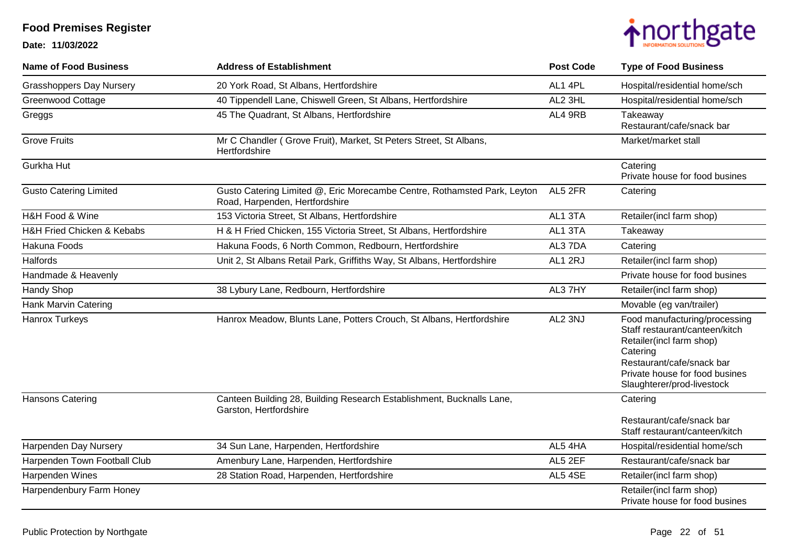

| <b>Name of Food Business</b>    | <b>Address of Establishment</b>                                                                            | <b>Post Code</b> | <b>Type of Food Business</b>                                                                                                                                                                         |
|---------------------------------|------------------------------------------------------------------------------------------------------------|------------------|------------------------------------------------------------------------------------------------------------------------------------------------------------------------------------------------------|
| <b>Grasshoppers Day Nursery</b> | 20 York Road, St Albans, Hertfordshire                                                                     | AL1 4PL          | Hospital/residential home/sch                                                                                                                                                                        |
| <b>Greenwood Cottage</b>        | 40 Tippendell Lane, Chiswell Green, St Albans, Hertfordshire                                               | AL2 3HL          | Hospital/residential home/sch                                                                                                                                                                        |
| Greggs                          | 45 The Quadrant, St Albans, Hertfordshire                                                                  | AL4 9RB          | Takeaway<br>Restaurant/cafe/snack bar                                                                                                                                                                |
| <b>Grove Fruits</b>             | Mr C Chandler (Grove Fruit), Market, St Peters Street, St Albans,<br>Hertfordshire                         |                  | Market/market stall                                                                                                                                                                                  |
| <b>Gurkha Hut</b>               |                                                                                                            |                  | Catering<br>Private house for food busines                                                                                                                                                           |
| <b>Gusto Catering Limited</b>   | Gusto Catering Limited @, Eric Morecambe Centre, Rothamsted Park, Leyton<br>Road, Harpenden, Hertfordshire | AL5 2FR          | Catering                                                                                                                                                                                             |
| H&H Food & Wine                 | 153 Victoria Street, St Albans, Hertfordshire                                                              | AL1 3TA          | Retailer(incl farm shop)                                                                                                                                                                             |
| H&H Fried Chicken & Kebabs      | H & H Fried Chicken, 155 Victoria Street, St Albans, Hertfordshire                                         | AL1 3TA          | Takeaway                                                                                                                                                                                             |
| Hakuna Foods                    | Hakuna Foods, 6 North Common, Redbourn, Hertfordshire                                                      | AL3 7DA          | Catering                                                                                                                                                                                             |
| <b>Halfords</b>                 | Unit 2, St Albans Retail Park, Griffiths Way, St Albans, Hertfordshire                                     | AL1 2RJ          | Retailer(incl farm shop)                                                                                                                                                                             |
| Handmade & Heavenly             |                                                                                                            |                  | Private house for food busines                                                                                                                                                                       |
| <b>Handy Shop</b>               | 38 Lybury Lane, Redbourn, Hertfordshire                                                                    | AL3 7HY          | Retailer(incl farm shop)                                                                                                                                                                             |
| Hank Marvin Catering            |                                                                                                            |                  | Movable (eg van/trailer)                                                                                                                                                                             |
| <b>Hanrox Turkeys</b>           | Hanrox Meadow, Blunts Lane, Potters Crouch, St Albans, Hertfordshire                                       | AL2 3NJ          | Food manufacturing/processing<br>Staff restaurant/canteen/kitch<br>Retailer(incl farm shop)<br>Catering<br>Restaurant/cafe/snack bar<br>Private house for food busines<br>Slaughterer/prod-livestock |
| <b>Hansons Catering</b>         | Canteen Building 28, Building Research Establishment, Bucknalls Lane,<br>Garston, Hertfordshire            |                  | Catering                                                                                                                                                                                             |
|                                 |                                                                                                            |                  | Restaurant/cafe/snack bar<br>Staff restaurant/canteen/kitch                                                                                                                                          |
| Harpenden Day Nursery           | 34 Sun Lane, Harpenden, Hertfordshire                                                                      | AL5 4HA          | Hospital/residential home/sch                                                                                                                                                                        |
| Harpenden Town Football Club    | Amenbury Lane, Harpenden, Hertfordshire                                                                    | AL5 2EF          | Restaurant/cafe/snack bar                                                                                                                                                                            |
| Harpenden Wines                 | 28 Station Road, Harpenden, Hertfordshire                                                                  | AL5 4SE          | Retailer(incl farm shop)                                                                                                                                                                             |
| Harpendenbury Farm Honey        |                                                                                                            |                  | Retailer(incl farm shop)<br>Private house for food busines                                                                                                                                           |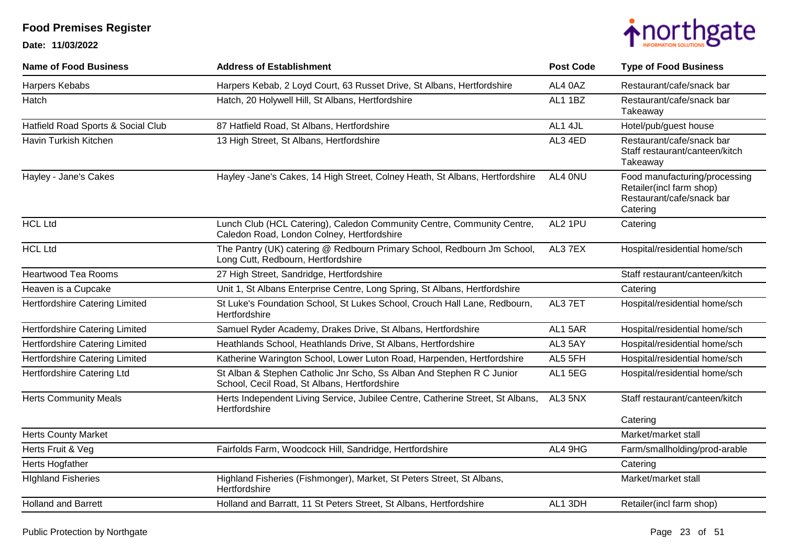

| <b>Name of Food Business</b>       | <b>Address of Establishment</b>                                                                                       | <b>Post Code</b> | <b>Type of Food Business</b>                                                                       |
|------------------------------------|-----------------------------------------------------------------------------------------------------------------------|------------------|----------------------------------------------------------------------------------------------------|
| Harpers Kebabs                     | Harpers Kebab, 2 Loyd Court, 63 Russet Drive, St Albans, Hertfordshire                                                | AL4 0AZ          | Restaurant/cafe/snack bar                                                                          |
| Hatch                              | Hatch, 20 Holywell Hill, St Albans, Hertfordshire                                                                     | AL1 1BZ          | Restaurant/cafe/snack bar<br>Takeaway                                                              |
| Hatfield Road Sports & Social Club | 87 Hatfield Road, St Albans, Hertfordshire                                                                            | AL1 4JL          | Hotel/pub/guest house                                                                              |
| Havin Turkish Kitchen              | 13 High Street, St Albans, Hertfordshire                                                                              | AL3 4ED          | Restaurant/cafe/snack bar<br>Staff restaurant/canteen/kitch<br>Takeaway                            |
| Hayley - Jane's Cakes              | Hayley -Jane's Cakes, 14 High Street, Colney Heath, St Albans, Hertfordshire                                          | AL4 0NU          | Food manufacturing/processing<br>Retailer(incl farm shop)<br>Restaurant/cafe/snack bar<br>Catering |
| <b>HCL Ltd</b>                     | Lunch Club (HCL Catering), Caledon Community Centre, Community Centre,<br>Caledon Road, London Colney, Hertfordshire  | AL2 1PU          | Catering                                                                                           |
| <b>HCL Ltd</b>                     | The Pantry (UK) catering @ Redbourn Primary School, Redbourn Jm School,<br>Long Cutt, Redbourn, Hertfordshire         | AL3 7EX          | Hospital/residential home/sch                                                                      |
| <b>Heartwood Tea Rooms</b>         | 27 High Street, Sandridge, Hertfordshire                                                                              |                  | Staff restaurant/canteen/kitch                                                                     |
| Heaven is a Cupcake                | Unit 1, St Albans Enterprise Centre, Long Spring, St Albans, Hertfordshire                                            |                  | Catering                                                                                           |
| Hertfordshire Catering Limited     | St Luke's Foundation School, St Lukes School, Crouch Hall Lane, Redbourn,<br>Hertfordshire                            | AL3 7ET          | Hospital/residential home/sch                                                                      |
| Hertfordshire Catering Limited     | Samuel Ryder Academy, Drakes Drive, St Albans, Hertfordshire                                                          | AL1 5AR          | Hospital/residential home/sch                                                                      |
| Hertfordshire Catering Limited     | Heathlands School, Heathlands Drive, St Albans, Hertfordshire                                                         | AL3 5AY          | Hospital/residential home/sch                                                                      |
| Hertfordshire Catering Limited     | Katherine Warington School, Lower Luton Road, Harpenden, Hertfordshire                                                | AL5 5FH          | Hospital/residential home/sch                                                                      |
| Hertfordshire Catering Ltd         | St Alban & Stephen Catholic Jnr Scho, Ss Alban And Stephen R C Junior<br>School, Cecil Road, St Albans, Hertfordshire | AL1 5EG          | Hospital/residential home/sch                                                                      |
| <b>Herts Community Meals</b>       | Herts Independent Living Service, Jubilee Centre, Catherine Street, St Albans,<br>Hertfordshire                       | AL3 5NX          | Staff restaurant/canteen/kitch                                                                     |
|                                    |                                                                                                                       |                  | Catering                                                                                           |
| <b>Herts County Market</b>         |                                                                                                                       |                  | Market/market stall                                                                                |
| Herts Fruit & Veg                  | Fairfolds Farm, Woodcock Hill, Sandridge, Hertfordshire                                                               | AL4 9HG          | Farm/smallholding/prod-arable                                                                      |
| Herts Hogfather                    |                                                                                                                       |                  | Catering                                                                                           |
| <b>Highland Fisheries</b>          | Highland Fisheries (Fishmonger), Market, St Peters Street, St Albans,<br>Hertfordshire                                |                  | Market/market stall                                                                                |
| <b>Holland and Barrett</b>         | Holland and Barratt, 11 St Peters Street, St Albans, Hertfordshire                                                    | AL1 3DH          | Retailer(incl farm shop)                                                                           |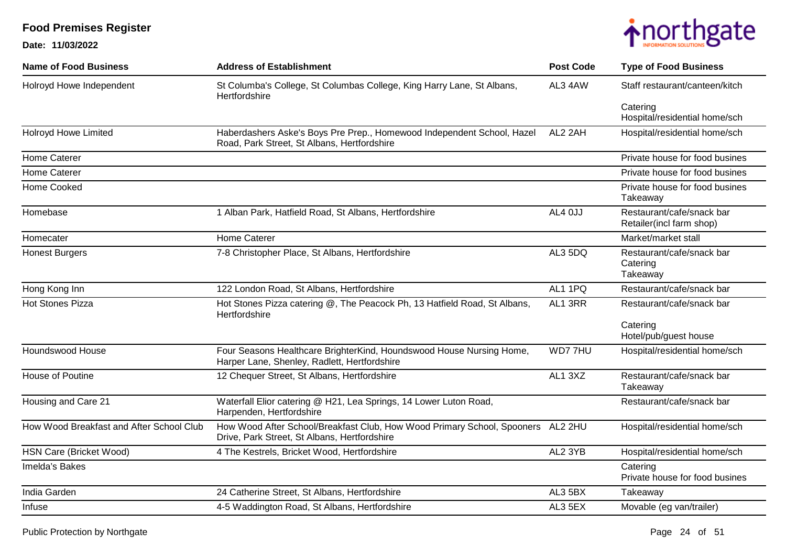

| <b>Name of Food Business</b>             | <b>Address of Establishment</b>                                                                                                 | <b>Post Code</b> | <b>Type of Food Business</b>                          |
|------------------------------------------|---------------------------------------------------------------------------------------------------------------------------------|------------------|-------------------------------------------------------|
| Holroyd Howe Independent                 | St Columba's College, St Columbas College, King Harry Lane, St Albans,<br>Hertfordshire                                         | AL3 4AW          | Staff restaurant/canteen/kitch                        |
|                                          |                                                                                                                                 |                  | Catering<br>Hospital/residential home/sch             |
| <b>Holroyd Howe Limited</b>              | Haberdashers Aske's Boys Pre Prep., Homewood Independent School, Hazel<br>Road, Park Street, St Albans, Hertfordshire           | AL2 2AH          | Hospital/residential home/sch                         |
| <b>Home Caterer</b>                      |                                                                                                                                 |                  | Private house for food busines                        |
| <b>Home Caterer</b>                      |                                                                                                                                 |                  | Private house for food busines                        |
| Home Cooked                              |                                                                                                                                 |                  | Private house for food busines<br>Takeaway            |
| Homebase                                 | 1 Alban Park, Hatfield Road, St Albans, Hertfordshire                                                                           | AL4 OJJ          | Restaurant/cafe/snack bar<br>Retailer(incl farm shop) |
| Homecater                                | Home Caterer                                                                                                                    |                  | Market/market stall                                   |
| <b>Honest Burgers</b>                    | 7-8 Christopher Place, St Albans, Hertfordshire                                                                                 | AL3 5DQ          | Restaurant/cafe/snack bar<br>Catering<br>Takeaway     |
| Hong Kong Inn                            | 122 London Road, St Albans, Hertfordshire                                                                                       | AL1 1PQ          | Restaurant/cafe/snack bar                             |
| <b>Hot Stones Pizza</b>                  | Hot Stones Pizza catering @, The Peacock Ph, 13 Hatfield Road, St Albans,<br>Hertfordshire                                      | AL1 3RR          | Restaurant/cafe/snack bar                             |
|                                          |                                                                                                                                 |                  | Catering<br>Hotel/pub/guest house                     |
| Houndswood House                         | Four Seasons Healthcare BrighterKind, Houndswood House Nursing Home,<br>Harper Lane, Shenley, Radlett, Hertfordshire            | WD77HU           | Hospital/residential home/sch                         |
| House of Poutine                         | 12 Chequer Street, St Albans, Hertfordshire                                                                                     | AL1 3XZ          | Restaurant/cafe/snack bar<br>Takeaway                 |
| Housing and Care 21                      | Waterfall Elior catering @ H21, Lea Springs, 14 Lower Luton Road,<br>Harpenden, Hertfordshire                                   |                  | Restaurant/cafe/snack bar                             |
| How Wood Breakfast and After School Club | How Wood After School/Breakfast Club, How Wood Primary School, Spooners AL2 2HU<br>Drive, Park Street, St Albans, Hertfordshire |                  | Hospital/residential home/sch                         |
| HSN Care (Bricket Wood)                  | 4 The Kestrels, Bricket Wood, Hertfordshire                                                                                     | AL2 3YB          | Hospital/residential home/sch                         |
| Imelda's Bakes                           |                                                                                                                                 |                  | Catering<br>Private house for food busines            |
| India Garden                             | 24 Catherine Street, St Albans, Hertfordshire                                                                                   | AL3 5BX          | Takeaway                                              |
| Infuse                                   | 4-5 Waddington Road, St Albans, Hertfordshire                                                                                   | AL3 5EX          | Movable (eg van/trailer)                              |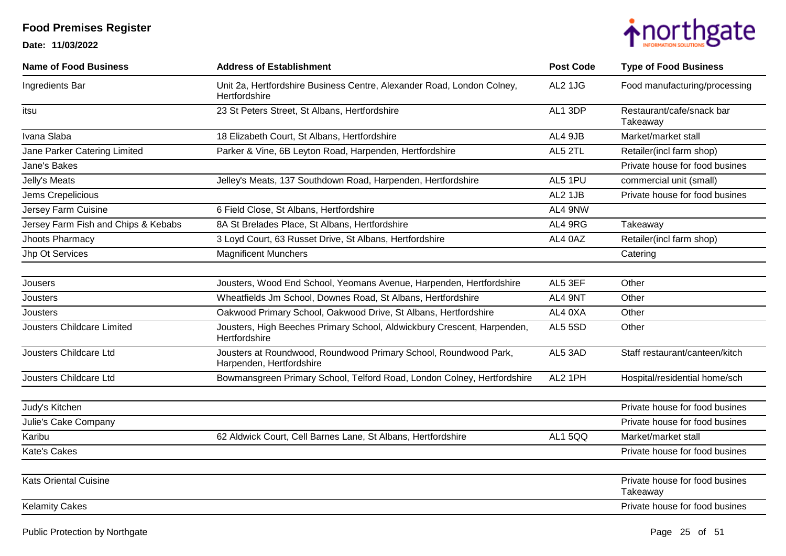

| <b>Name of Food Business</b>        | <b>Address of Establishment</b>                                                              | <b>Post Code</b> | <b>Type of Food Business</b>               |
|-------------------------------------|----------------------------------------------------------------------------------------------|------------------|--------------------------------------------|
| Ingredients Bar                     | Unit 2a, Hertfordshire Business Centre, Alexander Road, London Colney,<br>Hertfordshire      | AL2 1JG          | Food manufacturing/processing              |
| itsu                                | 23 St Peters Street, St Albans, Hertfordshire                                                | AL1 3DP          | Restaurant/cafe/snack bar<br>Takeaway      |
| Ivana Slaba                         | 18 Elizabeth Court, St Albans, Hertfordshire                                                 | AL4 9JB          | Market/market stall                        |
| Jane Parker Catering Limited        | Parker & Vine, 6B Leyton Road, Harpenden, Hertfordshire                                      | AL5 2TL          | Retailer(incl farm shop)                   |
| Jane's Bakes                        |                                                                                              |                  | Private house for food busines             |
| Jelly's Meats                       | Jelley's Meats, 137 Southdown Road, Harpenden, Hertfordshire                                 | AL5 1PU          | commercial unit (small)                    |
| Jems Crepelicious                   |                                                                                              | AL2 1JB          | Private house for food busines             |
| Jersey Farm Cuisine                 | 6 Field Close, St Albans, Hertfordshire                                                      | AL4 9NW          |                                            |
| Jersey Farm Fish and Chips & Kebabs | 8A St Brelades Place, St Albans, Hertfordshire                                               | AL4 9RG          | Takeaway                                   |
| Jhoots Pharmacy                     | 3 Loyd Court, 63 Russet Drive, St Albans, Hertfordshire                                      | AL4 0AZ          | Retailer(incl farm shop)                   |
| Jhp Ot Services                     | <b>Magnificent Munchers</b>                                                                  |                  | Catering                                   |
|                                     |                                                                                              |                  |                                            |
| Jousers                             | Jousters, Wood End School, Yeomans Avenue, Harpenden, Hertfordshire                          | AL5 3EF          | Other                                      |
| Jousters                            | Wheatfields Jm School, Downes Road, St Albans, Hertfordshire                                 | AL4 9NT          | Other                                      |
| Jousters                            | Oakwood Primary School, Oakwood Drive, St Albans, Hertfordshire                              | AL4 0XA          | Other                                      |
| Jousters Childcare Limited          | Jousters, High Beeches Primary School, Aldwickbury Crescent, Harpenden,<br>Hertfordshire     | AL5 5SD          | Other                                      |
| Jousters Childcare Ltd              | Jousters at Roundwood, Roundwood Primary School, Roundwood Park,<br>Harpenden, Hertfordshire | AL5 3AD          | Staff restaurant/canteen/kitch             |
| Jousters Childcare Ltd              | Bowmansgreen Primary School, Telford Road, London Colney, Hertfordshire                      | AL2 1PH          | Hospital/residential home/sch              |
|                                     |                                                                                              |                  |                                            |
| Judy's Kitchen                      |                                                                                              |                  | Private house for food busines             |
| Julie's Cake Company                |                                                                                              |                  | Private house for food busines             |
| Karibu                              | 62 Aldwick Court, Cell Barnes Lane, St Albans, Hertfordshire                                 | AL15QQ           | Market/market stall                        |
| Kate's Cakes                        |                                                                                              |                  | Private house for food busines             |
|                                     |                                                                                              |                  |                                            |
| <b>Kats Oriental Cuisine</b>        |                                                                                              |                  | Private house for food busines<br>Takeaway |
| <b>Kelamity Cakes</b>               |                                                                                              |                  | Private house for food busines             |
|                                     |                                                                                              |                  |                                            |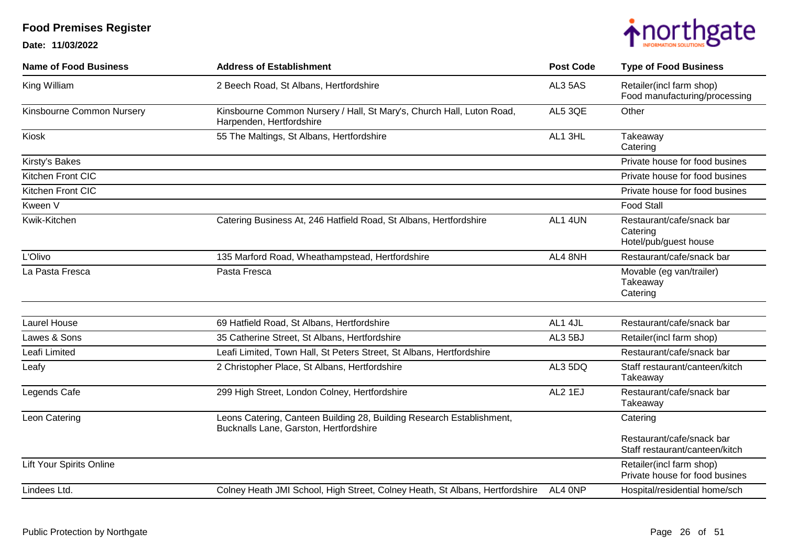

| <b>Name of Food Business</b> | <b>Address of Establishment</b>                                                                                 | <b>Post Code</b> | <b>Type of Food Business</b>                                   |
|------------------------------|-----------------------------------------------------------------------------------------------------------------|------------------|----------------------------------------------------------------|
| King William                 | 2 Beech Road, St Albans, Hertfordshire                                                                          | AL3 5AS          | Retailer(incl farm shop)<br>Food manufacturing/processing      |
| Kinsbourne Common Nursery    | Kinsbourne Common Nursery / Hall, St Mary's, Church Hall, Luton Road,<br>Harpenden, Hertfordshire               | AL5 3QE          | Other                                                          |
| Kiosk                        | 55 The Maltings, St Albans, Hertfordshire                                                                       | AL1 3HL          | Takeaway<br>Catering                                           |
| Kirsty's Bakes               |                                                                                                                 |                  | Private house for food busines                                 |
| Kitchen Front CIC            |                                                                                                                 |                  | Private house for food busines                                 |
| Kitchen Front CIC            |                                                                                                                 |                  | Private house for food busines                                 |
| Kween V                      |                                                                                                                 |                  | <b>Food Stall</b>                                              |
| Kwik-Kitchen                 | Catering Business At, 246 Hatfield Road, St Albans, Hertfordshire                                               | AL1 4UN          | Restaurant/cafe/snack bar<br>Catering<br>Hotel/pub/guest house |
| L'Olivo                      | 135 Marford Road, Wheathampstead, Hertfordshire                                                                 | AL4 8NH          | Restaurant/cafe/snack bar                                      |
| La Pasta Fresca              | Pasta Fresca                                                                                                    |                  | Movable (eg van/trailer)<br>Takeaway<br>Catering               |
|                              |                                                                                                                 |                  |                                                                |
| <b>Laurel House</b>          | 69 Hatfield Road, St Albans, Hertfordshire                                                                      | AL1 4JL          | Restaurant/cafe/snack bar                                      |
| Lawes & Sons                 | 35 Catherine Street, St Albans, Hertfordshire                                                                   | AL3 5BJ          | Retailer(incl farm shop)                                       |
| Leafi Limited                | Leafi Limited, Town Hall, St Peters Street, St Albans, Hertfordshire                                            |                  | Restaurant/cafe/snack bar                                      |
| Leafy                        | 2 Christopher Place, St Albans, Hertfordshire                                                                   | AL3 5DQ          | Staff restaurant/canteen/kitch<br>Takeaway                     |
| Legends Cafe                 | 299 High Street, London Colney, Hertfordshire                                                                   | AL2 1EJ          | Restaurant/cafe/snack bar<br>Takeaway                          |
| Leon Catering                | Leons Catering, Canteen Building 28, Building Research Establishment,<br>Bucknalls Lane, Garston, Hertfordshire |                  | Catering                                                       |
|                              |                                                                                                                 |                  | Restaurant/cafe/snack bar<br>Staff restaurant/canteen/kitch    |
| Lift Your Spirits Online     |                                                                                                                 |                  | Retailer(incl farm shop)<br>Private house for food busines     |
| Lindees Ltd.                 | Colney Heath JMI School, High Street, Colney Heath, St Albans, Hertfordshire                                    | AL4 ONP          | Hospital/residential home/sch                                  |
|                              |                                                                                                                 |                  |                                                                |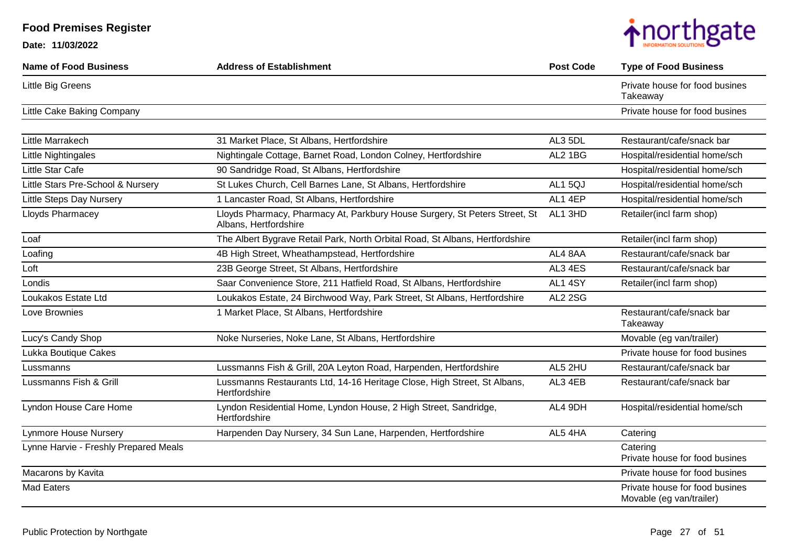| <b>Name of Food Business</b>          | <b>Address of Establishment</b>                                                                     | <b>Post Code</b> | <b>Type of Food Business</b>                               |
|---------------------------------------|-----------------------------------------------------------------------------------------------------|------------------|------------------------------------------------------------|
| Little Big Greens                     |                                                                                                     |                  | Private house for food busines<br>Takeaway                 |
| Little Cake Baking Company            |                                                                                                     |                  | Private house for food busines                             |
| Little Marrakech                      | 31 Market Place, St Albans, Hertfordshire                                                           | AL3 5DL          | Restaurant/cafe/snack bar                                  |
| Little Nightingales                   | Nightingale Cottage, Barnet Road, London Colney, Hertfordshire                                      | AL2 1BG          | Hospital/residential home/sch                              |
| Little Star Cafe                      | 90 Sandridge Road, St Albans, Hertfordshire                                                         |                  | Hospital/residential home/sch                              |
| Little Stars Pre-School & Nursery     | St Lukes Church, Cell Barnes Lane, St Albans, Hertfordshire                                         | AL15QJ           | Hospital/residential home/sch                              |
| <b>Little Steps Day Nursery</b>       | 1 Lancaster Road, St Albans, Hertfordshire                                                          | AL1 4EP          | Hospital/residential home/sch                              |
| Lloyds Pharmacey                      | Lloyds Pharmacy, Pharmacy At, Parkbury House Surgery, St Peters Street, St<br>Albans, Hertfordshire | AL1 3HD          | Retailer(incl farm shop)                                   |
| Loaf                                  | The Albert Bygrave Retail Park, North Orbital Road, St Albans, Hertfordshire                        |                  | Retailer(incl farm shop)                                   |
| Loafing                               | 4B High Street, Wheathampstead, Hertfordshire                                                       | AL4 8AA          | Restaurant/cafe/snack bar                                  |
| Loft                                  | 23B George Street, St Albans, Hertfordshire                                                         | AL3 4ES          | Restaurant/cafe/snack bar                                  |
| Londis                                | Saar Convenience Store, 211 Hatfield Road, St Albans, Hertfordshire                                 | AL1 4SY          | Retailer(incl farm shop)                                   |
| Loukakos Estate Ltd                   | Loukakos Estate, 24 Birchwood Way, Park Street, St Albans, Hertfordshire                            | <b>AL2 2SG</b>   |                                                            |
| Love Brownies                         | 1 Market Place, St Albans, Hertfordshire                                                            |                  | Restaurant/cafe/snack bar<br>Takeaway                      |
| Lucy's Candy Shop                     | Noke Nurseries, Noke Lane, St Albans, Hertfordshire                                                 |                  | Movable (eg van/trailer)                                   |
| Lukka Boutique Cakes                  |                                                                                                     |                  | Private house for food busines                             |
| Lussmanns                             | Lussmanns Fish & Grill, 20A Leyton Road, Harpenden, Hertfordshire                                   | AL5 2HU          | Restaurant/cafe/snack bar                                  |
| Lussmanns Fish & Grill                | Lussmanns Restaurants Ltd, 14-16 Heritage Close, High Street, St Albans,<br>Hertfordshire           | AL3 4EB          | Restaurant/cafe/snack bar                                  |
| Lyndon House Care Home                | Lyndon Residential Home, Lyndon House, 2 High Street, Sandridge,<br>Hertfordshire                   | AL4 9DH          | Hospital/residential home/sch                              |
| Lynmore House Nursery                 | Harpenden Day Nursery, 34 Sun Lane, Harpenden, Hertfordshire                                        | AL5 4HA          | Catering                                                   |
| Lynne Harvie - Freshly Prepared Meals |                                                                                                     |                  | Catering<br>Private house for food busines                 |
| Macarons by Kavita                    |                                                                                                     |                  | Private house for food busines                             |
| <b>Mad Eaters</b>                     |                                                                                                     |                  | Private house for food busines<br>Movable (eg van/trailer) |

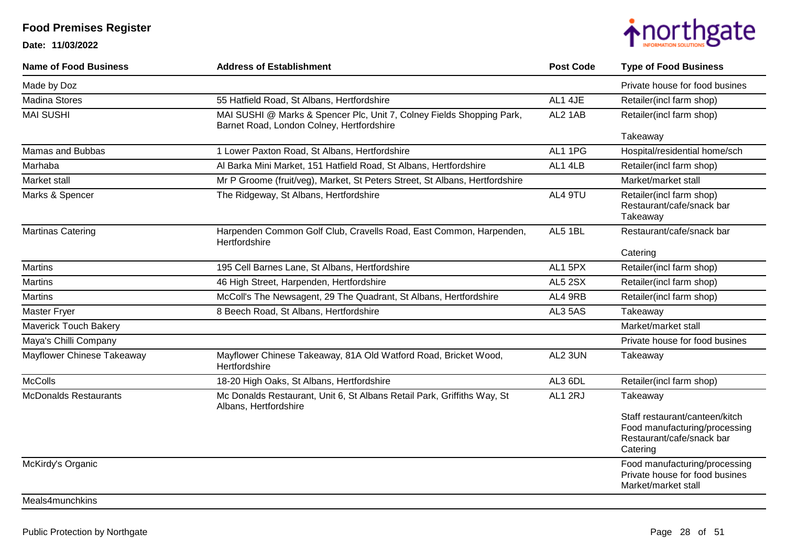**Date: 11/03/2022**



| <b>Name of Food Business</b> | <b>Address of Establishment</b>                                                                                    | <b>Post Code</b> | <b>Type of Food Business</b>                                                                             |
|------------------------------|--------------------------------------------------------------------------------------------------------------------|------------------|----------------------------------------------------------------------------------------------------------|
| Made by Doz                  |                                                                                                                    |                  | Private house for food busines                                                                           |
| <b>Madina Stores</b>         | 55 Hatfield Road, St Albans, Hertfordshire                                                                         | AL1 4JE          | Retailer(incl farm shop)                                                                                 |
| <b>MAI SUSHI</b>             | MAI SUSHI @ Marks & Spencer Plc, Unit 7, Colney Fields Shopping Park,<br>Barnet Road, London Colney, Hertfordshire | AL2 1AB          | Retailer(incl farm shop)                                                                                 |
|                              |                                                                                                                    |                  | Takeaway                                                                                                 |
| Mamas and Bubbas             | 1 Lower Paxton Road, St Albans, Hertfordshire                                                                      | AL1 1PG          | Hospital/residential home/sch                                                                            |
| Marhaba                      | Al Barka Mini Market, 151 Hatfield Road, St Albans, Hertfordshire                                                  | AL1 4LB          | Retailer(incl farm shop)                                                                                 |
| Market stall                 | Mr P Groome (fruit/veg), Market, St Peters Street, St Albans, Hertfordshire                                        |                  | Market/market stall                                                                                      |
| Marks & Spencer              | The Ridgeway, St Albans, Hertfordshire                                                                             | AL4 9TU          | Retailer(incl farm shop)<br>Restaurant/cafe/snack bar<br>Takeaway                                        |
| <b>Martinas Catering</b>     | Harpenden Common Golf Club, Cravells Road, East Common, Harpenden,<br>Hertfordshire                                | AL5 1BL          | Restaurant/cafe/snack bar                                                                                |
|                              |                                                                                                                    |                  | Catering                                                                                                 |
| <b>Martins</b>               | 195 Cell Barnes Lane, St Albans, Hertfordshire                                                                     | AL1 5PX          | Retailer(incl farm shop)                                                                                 |
| <b>Martins</b>               | 46 High Street, Harpenden, Hertfordshire                                                                           | <b>AL5 2SX</b>   | Retailer(incl farm shop)                                                                                 |
| <b>Martins</b>               | McColl's The Newsagent, 29 The Quadrant, St Albans, Hertfordshire                                                  | AL4 9RB          | Retailer(incl farm shop)                                                                                 |
| <b>Master Fryer</b>          | 8 Beech Road, St Albans, Hertfordshire                                                                             | AL3 5AS          | Takeaway                                                                                                 |
| <b>Maverick Touch Bakery</b> |                                                                                                                    |                  | Market/market stall                                                                                      |
| Maya's Chilli Company        |                                                                                                                    |                  | Private house for food busines                                                                           |
| Mayflower Chinese Takeaway   | Mayflower Chinese Takeaway, 81A Old Watford Road, Bricket Wood,<br>Hertfordshire                                   | AL2 3UN          | Takeaway                                                                                                 |
| <b>McColls</b>               | 18-20 High Oaks, St Albans, Hertfordshire                                                                          | AL3 6DL          | Retailer(incl farm shop)                                                                                 |
| <b>McDonalds Restaurants</b> | Mc Donalds Restaurant, Unit 6, St Albans Retail Park, Griffiths Way, St<br>Albans, Hertfordshire                   | AL1 2RJ          | Takeaway                                                                                                 |
|                              |                                                                                                                    |                  | Staff restaurant/canteen/kitch<br>Food manufacturing/processing<br>Restaurant/cafe/snack bar<br>Catering |
| McKirdy's Organic            |                                                                                                                    |                  | Food manufacturing/processing<br>Private house for food busines<br>Market/market stall                   |

#### Meals4munchkins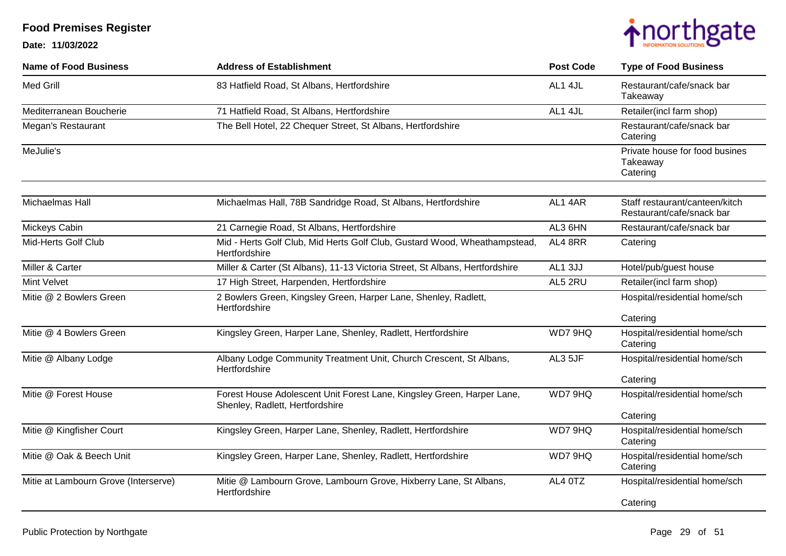

| <b>Name of Food Business</b>         | <b>Address of Establishment</b>                                                                           | <b>Post Code</b> | <b>Type of Food Business</b>                                |
|--------------------------------------|-----------------------------------------------------------------------------------------------------------|------------------|-------------------------------------------------------------|
| Med Grill                            | 83 Hatfield Road, St Albans, Hertfordshire                                                                | AL1 4JL          | Restaurant/cafe/snack bar<br>Takeaway                       |
| Mediterranean Boucherie              | 71 Hatfield Road, St Albans, Hertfordshire                                                                | AL1 4JL          | Retailer(incl farm shop)                                    |
| Megan's Restaurant                   | The Bell Hotel, 22 Chequer Street, St Albans, Hertfordshire                                               |                  | Restaurant/cafe/snack bar<br>Catering                       |
| MeJulie's                            |                                                                                                           |                  | Private house for food busines<br>Takeaway<br>Catering      |
| Michaelmas Hall                      | Michaelmas Hall, 78B Sandridge Road, St Albans, Hertfordshire                                             | AL14AR           | Staff restaurant/canteen/kitch<br>Restaurant/cafe/snack bar |
| Mickeys Cabin                        | 21 Carnegie Road, St Albans, Hertfordshire                                                                | AL3 6HN          | Restaurant/cafe/snack bar                                   |
| Mid-Herts Golf Club                  | Mid - Herts Golf Club, Mid Herts Golf Club, Gustard Wood, Wheathampstead,<br>Hertfordshire                | AL4 8RR          | Catering                                                    |
| Miller & Carter                      | Miller & Carter (St Albans), 11-13 Victoria Street, St Albans, Hertfordshire                              | AL1 3JJ          | Hotel/pub/guest house                                       |
| <b>Mint Velvet</b>                   | 17 High Street, Harpenden, Hertfordshire                                                                  | AL5 2RU          | Retailer(incl farm shop)                                    |
| Mitie @ 2 Bowlers Green              | 2 Bowlers Green, Kingsley Green, Harper Lane, Shenley, Radlett,<br>Hertfordshire                          |                  | Hospital/residential home/sch                               |
|                                      |                                                                                                           |                  | Catering                                                    |
| Mitie @ 4 Bowlers Green              | Kingsley Green, Harper Lane, Shenley, Radlett, Hertfordshire                                              | WD7 9HQ          | Hospital/residential home/sch<br>Catering                   |
| Mitie @ Albany Lodge                 | Albany Lodge Community Treatment Unit, Church Crescent, St Albans,<br>Hertfordshire                       | AL3 5JF          | Hospital/residential home/sch                               |
|                                      |                                                                                                           |                  | Catering                                                    |
| Mitie @ Forest House                 | Forest House Adolescent Unit Forest Lane, Kingsley Green, Harper Lane,<br>Shenley, Radlett, Hertfordshire | WD7 9HQ          | Hospital/residential home/sch                               |
|                                      |                                                                                                           |                  | Catering                                                    |
| Mitie @ Kingfisher Court             | Kingsley Green, Harper Lane, Shenley, Radlett, Hertfordshire                                              | WD7 9HQ          | Hospital/residential home/sch<br>Catering                   |
| Mitie @ Oak & Beech Unit             | Kingsley Green, Harper Lane, Shenley, Radlett, Hertfordshire                                              | WD7 9HQ          | Hospital/residential home/sch<br>Catering                   |
| Mitie at Lambourn Grove (Interserve) | Mitie @ Lambourn Grove, Lambourn Grove, Hixberry Lane, St Albans,<br>Hertfordshire                        | AL4 0TZ          | Hospital/residential home/sch                               |
|                                      |                                                                                                           |                  | Catering                                                    |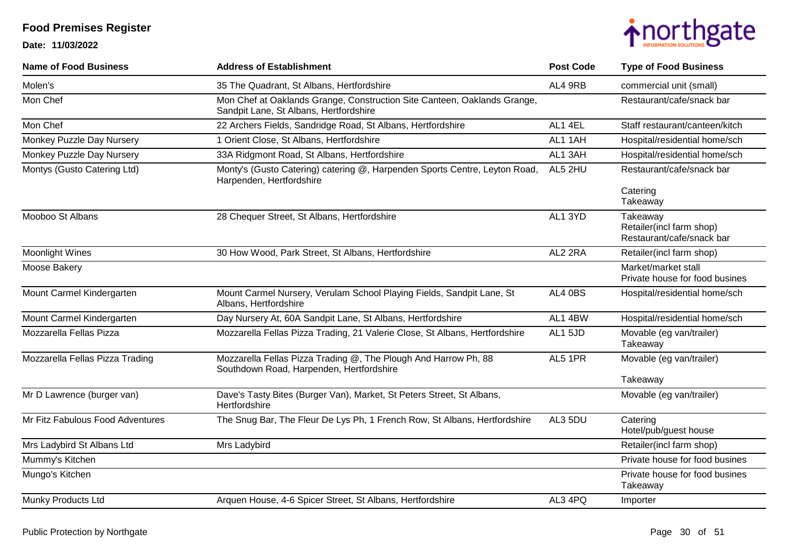

| <b>Name of Food Business</b>     | <b>Address of Establishment</b>                                                                                    | <b>Post Code</b> | <b>Type of Food Business</b>                                      |
|----------------------------------|--------------------------------------------------------------------------------------------------------------------|------------------|-------------------------------------------------------------------|
| Molen's                          | 35 The Quadrant, St Albans, Hertfordshire                                                                          | AL4 9RB          | commercial unit (small)                                           |
| Mon Chef                         | Mon Chef at Oaklands Grange, Construction Site Canteen, Oaklands Grange,<br>Sandpit Lane, St Albans, Hertfordshire |                  | Restaurant/cafe/snack bar                                         |
| Mon Chef                         | 22 Archers Fields, Sandridge Road, St Albans, Hertfordshire                                                        | AL1 4EL          | Staff restaurant/canteen/kitch                                    |
| Monkey Puzzle Day Nursery        | 1 Orient Close, St Albans, Hertfordshire                                                                           | AL1 1AH          | Hospital/residential home/sch                                     |
| Monkey Puzzle Day Nursery        | 33A Ridgmont Road, St Albans, Hertfordshire                                                                        | AL1 3AH          | Hospital/residential home/sch                                     |
| Montys (Gusto Catering Ltd)      | Monty's (Gusto Catering) catering @, Harpenden Sports Centre, Leyton Road,<br>Harpenden, Hertfordshire             | AL5 2HU          | Restaurant/cafe/snack bar                                         |
|                                  |                                                                                                                    |                  | Catering<br>Takeaway                                              |
| Mooboo St Albans                 | 28 Chequer Street, St Albans, Hertfordshire                                                                        | AL1 3YD          | Takeaway<br>Retailer(incl farm shop)<br>Restaurant/cafe/snack bar |
| <b>Moonlight Wines</b>           | 30 How Wood, Park Street, St Albans, Hertfordshire                                                                 | AL2 2RA          | Retailer(incl farm shop)                                          |
| Moose Bakery                     |                                                                                                                    |                  | Market/market stall<br>Private house for food busines             |
| Mount Carmel Kindergarten        | Mount Carmel Nursery, Verulam School Playing Fields, Sandpit Lane, St<br>Albans, Hertfordshire                     | AL4 0BS          | Hospital/residential home/sch                                     |
| Mount Carmel Kindergarten        | Day Nursery At, 60A Sandpit Lane, St Albans, Hertfordshire                                                         | AL1 4BW          | Hospital/residential home/sch                                     |
| Mozzarella Fellas Pizza          | Mozzarella Fellas Pizza Trading, 21 Valerie Close, St Albans, Hertfordshire                                        | AL1 5JD          | Movable (eg van/trailer)<br>Takeaway                              |
| Mozzarella Fellas Pizza Trading  | Mozzarella Fellas Pizza Trading @, The Plough And Harrow Ph, 88<br>Southdown Road, Harpenden, Hertfordshire        | AL5 1PR          | Movable (eg van/trailer)                                          |
|                                  |                                                                                                                    |                  | Takeaway                                                          |
| Mr D Lawrence (burger van)       | Dave's Tasty Bites (Burger Van), Market, St Peters Street, St Albans,<br>Hertfordshire                             |                  | Movable (eg van/trailer)                                          |
| Mr Fitz Fabulous Food Adventures | The Snug Bar, The Fleur De Lys Ph, 1 French Row, St Albans, Hertfordshire                                          | AL3 5DU          | Catering<br>Hotel/pub/guest house                                 |
| Mrs Ladybird St Albans Ltd       | Mrs Ladybird                                                                                                       |                  | Retailer(incl farm shop)                                          |
| Mummy's Kitchen                  |                                                                                                                    |                  | Private house for food busines                                    |
| Mungo's Kitchen                  |                                                                                                                    |                  | Private house for food busines<br>Takeaway                        |
| Munky Products Ltd               | Arquen House, 4-6 Spicer Street, St Albans, Hertfordshire                                                          | AL3 4PQ          | Importer                                                          |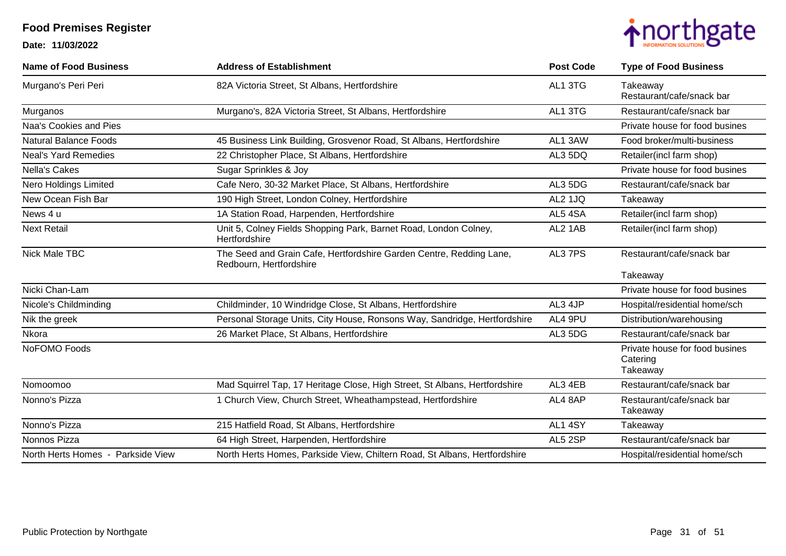

| <b>Name of Food Business</b>      | <b>Address of Establishment</b>                                                                | <b>Post Code</b> | <b>Type of Food Business</b>                           |
|-----------------------------------|------------------------------------------------------------------------------------------------|------------------|--------------------------------------------------------|
| Murgano's Peri Peri               | 82A Victoria Street, St Albans, Hertfordshire                                                  | AL1 3TG          | Takeaway<br>Restaurant/cafe/snack bar                  |
| Murganos                          | Murgano's, 82A Victoria Street, St Albans, Hertfordshire                                       | AL1 3TG          | Restaurant/cafe/snack bar                              |
| Naa's Cookies and Pies            |                                                                                                |                  | Private house for food busines                         |
| <b>Natural Balance Foods</b>      | 45 Business Link Building, Grosvenor Road, St Albans, Hertfordshire                            | AL1 3AW          | Food broker/multi-business                             |
| <b>Neal's Yard Remedies</b>       | 22 Christopher Place, St Albans, Hertfordshire                                                 | AL3 5DQ          | Retailer(incl farm shop)                               |
| <b>Nella's Cakes</b>              | Sugar Sprinkles & Joy                                                                          |                  | Private house for food busines                         |
| Nero Holdings Limited             | Cafe Nero, 30-32 Market Place, St Albans, Hertfordshire                                        | AL3 5DG          | Restaurant/cafe/snack bar                              |
| New Ocean Fish Bar                | 190 High Street, London Colney, Hertfordshire                                                  | AL2 1JQ          | Takeaway                                               |
| News 4 u                          | 1A Station Road, Harpenden, Hertfordshire                                                      | AL54SA           | Retailer(incl farm shop)                               |
| <b>Next Retail</b>                | Unit 5, Colney Fields Shopping Park, Barnet Road, London Colney,<br>Hertfordshire              | AL2 1AB          | Retailer(incl farm shop)                               |
| Nick Male TBC                     | The Seed and Grain Cafe, Hertfordshire Garden Centre, Redding Lane,<br>Redbourn, Hertfordshire | AL3 7PS          | Restaurant/cafe/snack bar                              |
|                                   |                                                                                                |                  | Takeaway                                               |
| Nicki Chan-Lam                    |                                                                                                |                  | Private house for food busines                         |
| Nicole's Childminding             | Childminder, 10 Windridge Close, St Albans, Hertfordshire                                      | AL3 4JP          | Hospital/residential home/sch                          |
| Nik the greek                     | Personal Storage Units, City House, Ronsons Way, Sandridge, Hertfordshire                      | AL4 9PU          | Distribution/warehousing                               |
| Nkora                             | 26 Market Place, St Albans, Hertfordshire                                                      | AL3 5DG          | Restaurant/cafe/snack bar                              |
| NoFOMO Foods                      |                                                                                                |                  | Private house for food busines<br>Catering<br>Takeaway |
| Nomoomoo                          | Mad Squirrel Tap, 17 Heritage Close, High Street, St Albans, Hertfordshire                     | AL3 4EB          | Restaurant/cafe/snack bar                              |
| Nonno's Pizza                     | 1 Church View, Church Street, Wheathampstead, Hertfordshire                                    | AL4 8AP          | Restaurant/cafe/snack bar<br>Takeaway                  |
| Nonno's Pizza                     | 215 Hatfield Road, St Albans, Hertfordshire                                                    | AL1 4SY          | Takeaway                                               |
| Nonnos Pizza                      | 64 High Street, Harpenden, Hertfordshire                                                       | AL5 2SP          | Restaurant/cafe/snack bar                              |
| North Herts Homes - Parkside View | North Herts Homes, Parkside View, Chiltern Road, St Albans, Hertfordshire                      |                  | Hospital/residential home/sch                          |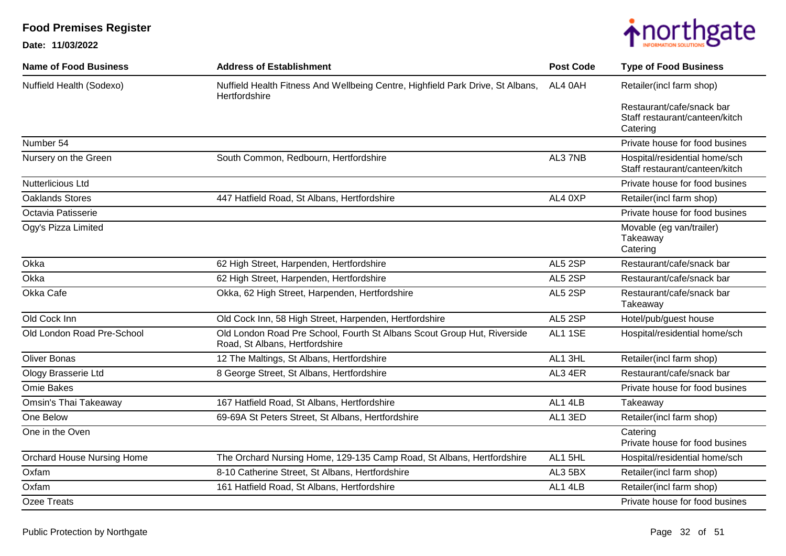

| <b>Name of Food Business</b> | <b>Address of Establishment</b>                                                                           | <b>Post Code</b> | <b>Type of Food Business</b>                                            |
|------------------------------|-----------------------------------------------------------------------------------------------------------|------------------|-------------------------------------------------------------------------|
| Nuffield Health (Sodexo)     | Nuffield Health Fitness And Wellbeing Centre, Highfield Park Drive, St Albans,<br>Hertfordshire           | AL4 0AH          | Retailer(incl farm shop)                                                |
|                              |                                                                                                           |                  | Restaurant/cafe/snack bar<br>Staff restaurant/canteen/kitch<br>Catering |
| Number 54                    |                                                                                                           |                  | Private house for food busines                                          |
| Nursery on the Green         | South Common, Redbourn, Hertfordshire                                                                     | AL37NB           | Hospital/residential home/sch<br>Staff restaurant/canteen/kitch         |
| Nutterlicious Ltd            |                                                                                                           |                  | Private house for food busines                                          |
| <b>Oaklands Stores</b>       | 447 Hatfield Road, St Albans, Hertfordshire                                                               | AL4 0XP          | Retailer(incl farm shop)                                                |
| Octavia Patisserie           |                                                                                                           |                  | Private house for food busines                                          |
| Ogy's Pizza Limited          |                                                                                                           |                  | Movable (eg van/trailer)<br>Takeaway<br>Catering                        |
| Okka                         | 62 High Street, Harpenden, Hertfordshire                                                                  | AL5 2SP          | Restaurant/cafe/snack bar                                               |
| Okka                         | 62 High Street, Harpenden, Hertfordshire                                                                  | AL5 2SP          | Restaurant/cafe/snack bar                                               |
| Okka Cafe                    | Okka, 62 High Street, Harpenden, Hertfordshire                                                            | AL5 2SP          | Restaurant/cafe/snack bar<br>Takeaway                                   |
| Old Cock Inn                 | Old Cock Inn, 58 High Street, Harpenden, Hertfordshire                                                    | AL5 2SP          | Hotel/pub/guest house                                                   |
| Old London Road Pre-School   | Old London Road Pre School, Fourth St Albans Scout Group Hut, Riverside<br>Road, St Albans, Hertfordshire | AL1 1SE          | Hospital/residential home/sch                                           |
| <b>Oliver Bonas</b>          | 12 The Maltings, St Albans, Hertfordshire                                                                 | AL1 3HL          | Retailer(incl farm shop)                                                |
| Ology Brasserie Ltd          | 8 George Street, St Albans, Hertfordshire                                                                 | AL3 4ER          | Restaurant/cafe/snack bar                                               |
| Omie Bakes                   |                                                                                                           |                  | Private house for food busines                                          |
| Omsin's Thai Takeaway        | 167 Hatfield Road, St Albans, Hertfordshire                                                               | AL1 4LB          | Takeaway                                                                |
| One Below                    | 69-69A St Peters Street, St Albans, Hertfordshire                                                         | AL1 3ED          | Retailer(incl farm shop)                                                |
| One in the Oven              |                                                                                                           |                  | Catering<br>Private house for food busines                              |
| Orchard House Nursing Home   | The Orchard Nursing Home, 129-135 Camp Road, St Albans, Hertfordshire                                     | AL1 5HL          | Hospital/residential home/sch                                           |
| Oxfam                        | 8-10 Catherine Street, St Albans, Hertfordshire                                                           | AL3 5BX          | Retailer(incl farm shop)                                                |
| Oxfam                        | 161 Hatfield Road, St Albans, Hertfordshire                                                               | AL1 4LB          | Retailer(incl farm shop)                                                |
| Ozee Treats                  |                                                                                                           |                  | Private house for food busines                                          |
|                              |                                                                                                           |                  |                                                                         |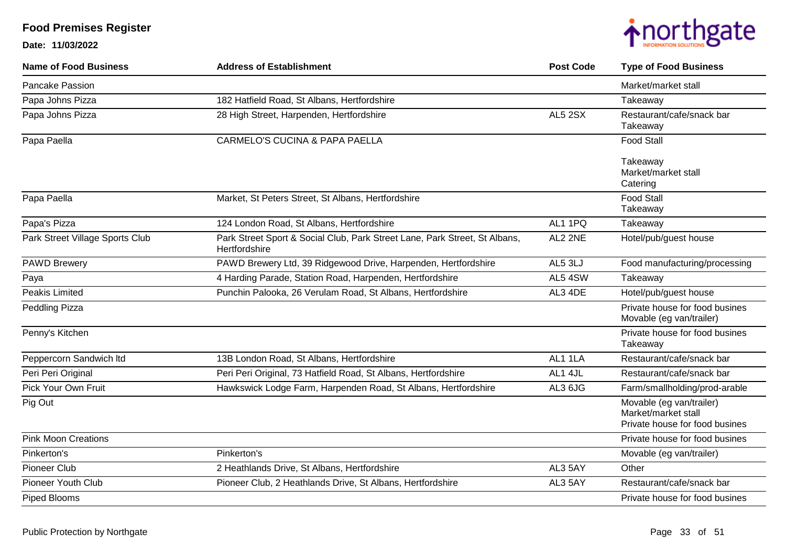

| <b>Address of Establishment</b>                                                             | <b>Post Code</b> | <b>Type of Food Business</b>                                                      |
|---------------------------------------------------------------------------------------------|------------------|-----------------------------------------------------------------------------------|
|                                                                                             |                  | Market/market stall                                                               |
| 182 Hatfield Road, St Albans, Hertfordshire                                                 |                  | Takeaway                                                                          |
| 28 High Street, Harpenden, Hertfordshire                                                    | <b>AL5 2SX</b>   | Restaurant/cafe/snack bar<br>Takeaway                                             |
| <b>CARMELO'S CUCINA &amp; PAPA PAELLA</b>                                                   |                  | <b>Food Stall</b>                                                                 |
|                                                                                             |                  | Takeaway<br>Market/market stall<br>Catering                                       |
| Market, St Peters Street, St Albans, Hertfordshire                                          |                  | <b>Food Stall</b><br>Takeaway                                                     |
| 124 London Road, St Albans, Hertfordshire                                                   | AL1 1PQ          | Takeaway                                                                          |
| Park Street Sport & Social Club, Park Street Lane, Park Street, St Albans,<br>Hertfordshire | AL2 2NE          | Hotel/pub/guest house                                                             |
| PAWD Brewery Ltd, 39 Ridgewood Drive, Harpenden, Hertfordshire                              | AL5 3LJ          | Food manufacturing/processing                                                     |
| 4 Harding Parade, Station Road, Harpenden, Hertfordshire                                    | AL54SW           | Takeaway                                                                          |
| Punchin Palooka, 26 Verulam Road, St Albans, Hertfordshire                                  | AL3 4DE          | Hotel/pub/guest house                                                             |
|                                                                                             |                  | Private house for food busines<br>Movable (eg van/trailer)                        |
|                                                                                             |                  | Private house for food busines<br>Takeaway                                        |
| 13B London Road, St Albans, Hertfordshire                                                   | AL1 1LA          | Restaurant/cafe/snack bar                                                         |
| Peri Peri Original, 73 Hatfield Road, St Albans, Hertfordshire                              | AL1 4JL          | Restaurant/cafe/snack bar                                                         |
| Hawkswick Lodge Farm, Harpenden Road, St Albans, Hertfordshire                              | AL3 6JG          | Farm/smallholding/prod-arable                                                     |
|                                                                                             |                  | Movable (eg van/trailer)<br>Market/market stall<br>Private house for food busines |
|                                                                                             |                  | Private house for food busines                                                    |
| Pinkerton's                                                                                 |                  | Movable (eg van/trailer)                                                          |
| 2 Heathlands Drive, St Albans, Hertfordshire                                                | AL3 5AY          | Other                                                                             |
| Pioneer Club, 2 Heathlands Drive, St Albans, Hertfordshire                                  | AL3 5AY          | Restaurant/cafe/snack bar                                                         |
|                                                                                             |                  | Private house for food busines                                                    |
|                                                                                             |                  |                                                                                   |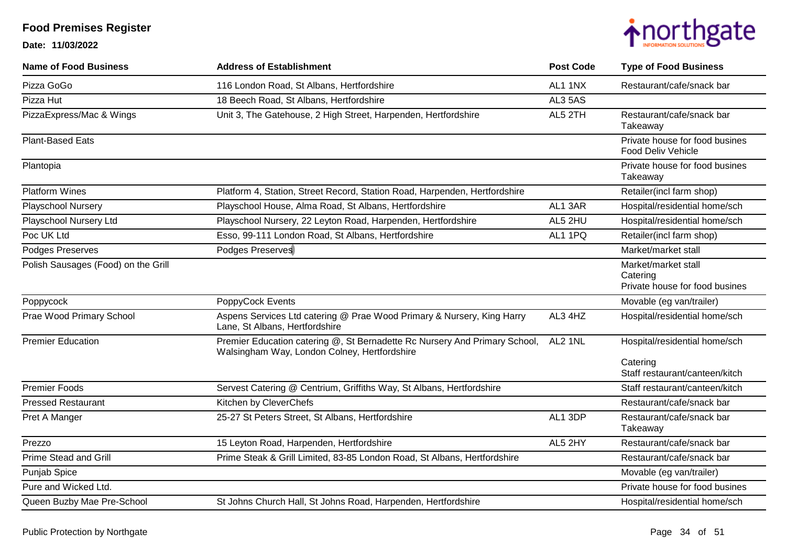

| <b>Name of Food Business</b>        | <b>Address of Establishment</b>                                                                                            | <b>Post Code</b> | <b>Type of Food Business</b>                                      |
|-------------------------------------|----------------------------------------------------------------------------------------------------------------------------|------------------|-------------------------------------------------------------------|
| Pizza GoGo                          | 116 London Road, St Albans, Hertfordshire                                                                                  | AL1 1NX          | Restaurant/cafe/snack bar                                         |
| Pizza Hut                           | 18 Beech Road, St Albans, Hertfordshire                                                                                    | AL3 5AS          |                                                                   |
| PizzaExpress/Mac & Wings            | Unit 3, The Gatehouse, 2 High Street, Harpenden, Hertfordshire                                                             | AL5 2TH          | Restaurant/cafe/snack bar<br>Takeaway                             |
| <b>Plant-Based Eats</b>             |                                                                                                                            |                  | Private house for food busines<br><b>Food Deliv Vehicle</b>       |
| Plantopia                           |                                                                                                                            |                  | Private house for food busines<br>Takeaway                        |
| <b>Platform Wines</b>               | Platform 4, Station, Street Record, Station Road, Harpenden, Hertfordshire                                                 |                  | Retailer(incl farm shop)                                          |
| Playschool Nursery                  | Playschool House, Alma Road, St Albans, Hertfordshire                                                                      | AL1 3AR          | Hospital/residential home/sch                                     |
| Playschool Nursery Ltd              | Playschool Nursery, 22 Leyton Road, Harpenden, Hertfordshire                                                               | AL5 2HU          | Hospital/residential home/sch                                     |
| Poc UK Ltd                          | Esso, 99-111 London Road, St Albans, Hertfordshire                                                                         | AL1 1PQ          | Retailer(incl farm shop)                                          |
| Podges Preserves                    | Podges Preserves                                                                                                           |                  | Market/market stall                                               |
| Polish Sausages (Food) on the Grill |                                                                                                                            |                  | Market/market stall<br>Catering<br>Private house for food busines |
| Poppycock                           | PoppyCock Events                                                                                                           |                  | Movable (eg van/trailer)                                          |
| Prae Wood Primary School            | Aspens Services Ltd catering @ Prae Wood Primary & Nursery, King Harry<br>Lane, St Albans, Hertfordshire                   | AL3 4HZ          | Hospital/residential home/sch                                     |
| <b>Premier Education</b>            | Premier Education catering @, St Bernadette Rc Nursery And Primary School,<br>Walsingham Way, London Colney, Hertfordshire | AL2 1NL          | Hospital/residential home/sch                                     |
|                                     |                                                                                                                            |                  | Catering<br>Staff restaurant/canteen/kitch                        |
| <b>Premier Foods</b>                | Servest Catering @ Centrium, Griffiths Way, St Albans, Hertfordshire                                                       |                  | Staff restaurant/canteen/kitch                                    |
| <b>Pressed Restaurant</b>           | Kitchen by CleverChefs                                                                                                     |                  | Restaurant/cafe/snack bar                                         |
| Pret A Manger                       | 25-27 St Peters Street, St Albans, Hertfordshire                                                                           | AL1 3DP          | Restaurant/cafe/snack bar<br>Takeaway                             |
| Prezzo                              | 15 Leyton Road, Harpenden, Hertfordshire                                                                                   | AL5 2HY          | Restaurant/cafe/snack bar                                         |
| <b>Prime Stead and Grill</b>        | Prime Steak & Grill Limited, 83-85 London Road, St Albans, Hertfordshire                                                   |                  | Restaurant/cafe/snack bar                                         |
| Punjab Spice                        |                                                                                                                            |                  | Movable (eg van/trailer)                                          |
| Pure and Wicked Ltd.                |                                                                                                                            |                  | Private house for food busines                                    |
| Queen Buzby Mae Pre-School          | St Johns Church Hall, St Johns Road, Harpenden, Hertfordshire                                                              |                  | Hospital/residential home/sch                                     |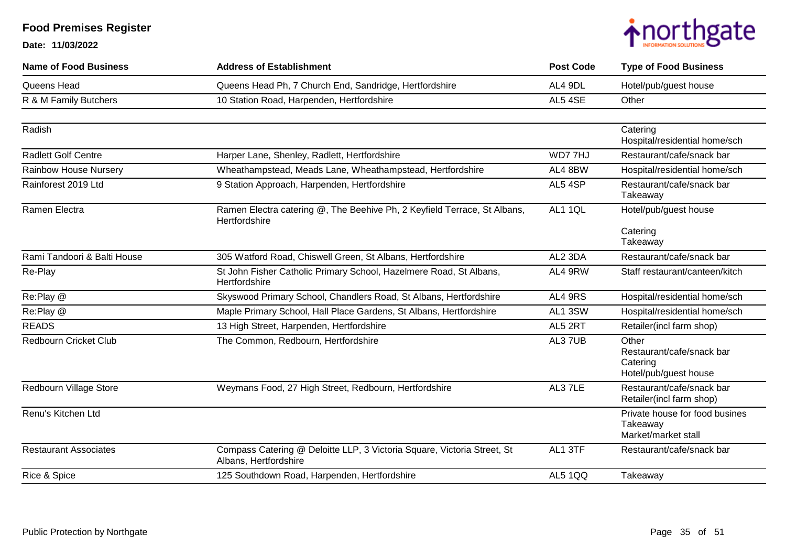

| <b>Name of Food Business</b> | <b>Address of Establishment</b>                                                                  | <b>Post Code</b> | <b>Type of Food Business</b>                                            |
|------------------------------|--------------------------------------------------------------------------------------------------|------------------|-------------------------------------------------------------------------|
| Queens Head                  | Queens Head Ph, 7 Church End, Sandridge, Hertfordshire                                           | AL4 9DL          | Hotel/pub/guest house                                                   |
| R & M Family Butchers        | 10 Station Road, Harpenden, Hertfordshire                                                        | AL5 4SE          | Other                                                                   |
| Radish                       |                                                                                                  |                  | Catering<br>Hospital/residential home/sch                               |
| <b>Radlett Golf Centre</b>   | Harper Lane, Shenley, Radlett, Hertfordshire                                                     | WD77HJ           | Restaurant/cafe/snack bar                                               |
| <b>Rainbow House Nursery</b> | Wheathampstead, Meads Lane, Wheathampstead, Hertfordshire                                        | AL4 8BW          | Hospital/residential home/sch                                           |
| Rainforest 2019 Ltd          | 9 Station Approach, Harpenden, Hertfordshire                                                     | AL5 4SP          | Restaurant/cafe/snack bar<br>Takeaway                                   |
| Ramen Electra                | Ramen Electra catering @, The Beehive Ph, 2 Keyfield Terrace, St Albans,<br>Hertfordshire        | AL1 1QL          | Hotel/pub/guest house                                                   |
|                              |                                                                                                  |                  | Catering<br>Takeaway                                                    |
| Rami Tandoori & Balti House  | 305 Watford Road, Chiswell Green, St Albans, Hertfordshire                                       | AL2 3DA          | Restaurant/cafe/snack bar                                               |
| Re-Play                      | St John Fisher Catholic Primary School, Hazelmere Road, St Albans,<br>Hertfordshire              | AL4 9RW          | Staff restaurant/canteen/kitch                                          |
| Re:Play @                    | Skyswood Primary School, Chandlers Road, St Albans, Hertfordshire                                | AL4 9RS          | Hospital/residential home/sch                                           |
| Re:Play @                    | Maple Primary School, Hall Place Gardens, St Albans, Hertfordshire                               | AL1 3SW          | Hospital/residential home/sch                                           |
| <b>READS</b>                 | 13 High Street, Harpenden, Hertfordshire                                                         | AL5 2RT          | Retailer(incl farm shop)                                                |
| <b>Redbourn Cricket Club</b> | The Common, Redbourn, Hertfordshire                                                              | AL37UB           | Other<br>Restaurant/cafe/snack bar<br>Catering<br>Hotel/pub/guest house |
| Redbourn Village Store       | Weymans Food, 27 High Street, Redbourn, Hertfordshire                                            | AL37LE           | Restaurant/cafe/snack bar<br>Retailer(incl farm shop)                   |
| Renu's Kitchen Ltd           |                                                                                                  |                  | Private house for food busines<br>Takeaway<br>Market/market stall       |
| <b>Restaurant Associates</b> | Compass Catering @ Deloitte LLP, 3 Victoria Square, Victoria Street, St<br>Albans, Hertfordshire | AL1 3TF          | Restaurant/cafe/snack bar                                               |
| Rice & Spice                 | 125 Southdown Road, Harpenden, Hertfordshire                                                     | <b>AL5 1QQ</b>   | Takeaway                                                                |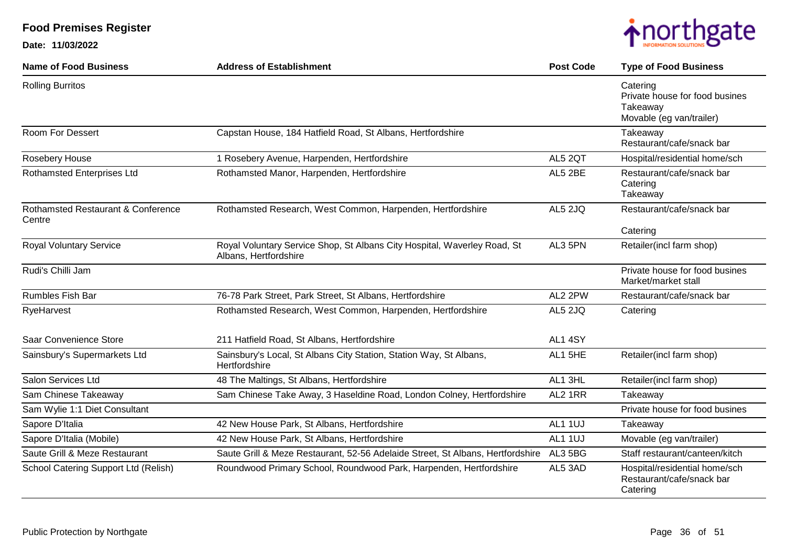

| <b>Name of Food Business</b>                            | <b>Address of Establishment</b>                                                                   | <b>Post Code</b> | <b>Type of Food Business</b>                                                       |
|---------------------------------------------------------|---------------------------------------------------------------------------------------------------|------------------|------------------------------------------------------------------------------------|
| <b>Rolling Burritos</b>                                 |                                                                                                   |                  | Catering<br>Private house for food busines<br>Takeaway<br>Movable (eg van/trailer) |
| Room For Dessert                                        | Capstan House, 184 Hatfield Road, St Albans, Hertfordshire                                        |                  | Takeaway<br>Restaurant/cafe/snack bar                                              |
| Rosebery House                                          | 1 Rosebery Avenue, Harpenden, Hertfordshire                                                       | AL5 2QT          | Hospital/residential home/sch                                                      |
| <b>Rothamsted Enterprises Ltd</b>                       | Rothamsted Manor, Harpenden, Hertfordshire                                                        | AL5 2BE          | Restaurant/cafe/snack bar<br>Catering<br>Takeaway                                  |
| <b>Rothamsted Restaurant &amp; Conference</b><br>Centre | Rothamsted Research, West Common, Harpenden, Hertfordshire                                        | AL5 2JQ          | Restaurant/cafe/snack bar                                                          |
| <b>Royal Voluntary Service</b>                          | Royal Voluntary Service Shop, St Albans City Hospital, Waverley Road, St<br>Albans, Hertfordshire | AL3 5PN          | Catering<br>Retailer(incl farm shop)                                               |
| Rudi's Chilli Jam                                       |                                                                                                   |                  | Private house for food busines<br>Market/market stall                              |
| <b>Rumbles Fish Bar</b>                                 | 76-78 Park Street, Park Street, St Albans, Hertfordshire                                          | AL2 2PW          | Restaurant/cafe/snack bar                                                          |
| RyeHarvest                                              | Rothamsted Research, West Common, Harpenden, Hertfordshire                                        | AL5 2JQ          | Catering                                                                           |
| Saar Convenience Store                                  | 211 Hatfield Road, St Albans, Hertfordshire                                                       | AL1 4SY          |                                                                                    |
| Sainsbury's Supermarkets Ltd                            | Sainsbury's Local, St Albans City Station, Station Way, St Albans,<br>Hertfordshire               | AL1 5HE          | Retailer(incl farm shop)                                                           |
| Salon Services Ltd                                      | 48 The Maltings, St Albans, Hertfordshire                                                         | AL1 3HL          | Retailer(incl farm shop)                                                           |
| Sam Chinese Takeaway                                    | Sam Chinese Take Away, 3 Haseldine Road, London Colney, Hertfordshire                             | AL2 1RR          | Takeaway                                                                           |
| Sam Wylie 1:1 Diet Consultant                           |                                                                                                   |                  | Private house for food busines                                                     |
| Sapore D'Italia                                         | 42 New House Park, St Albans, Hertfordshire                                                       | AL1 1UJ          | Takeaway                                                                           |
| Sapore D'Italia (Mobile)                                | 42 New House Park, St Albans, Hertfordshire                                                       | AL1 1UJ          | Movable (eg van/trailer)                                                           |
| Saute Grill & Meze Restaurant                           | Saute Grill & Meze Restaurant, 52-56 Adelaide Street, St Albans, Hertfordshire                    | AL3 5BG          | Staff restaurant/canteen/kitch                                                     |
| School Catering Support Ltd (Relish)                    | Roundwood Primary School, Roundwood Park, Harpenden, Hertfordshire                                | AL5 3AD          | Hospital/residential home/sch<br>Restaurant/cafe/snack bar<br>Catering             |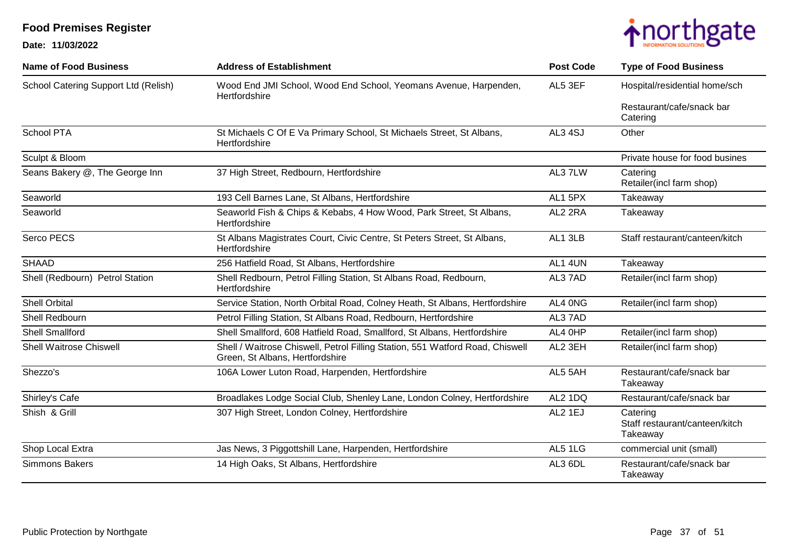

| <b>Name of Food Business</b>         | <b>Address of Establishment</b>                                                                                  | <b>Post Code</b> | <b>Type of Food Business</b>                           |
|--------------------------------------|------------------------------------------------------------------------------------------------------------------|------------------|--------------------------------------------------------|
| School Catering Support Ltd (Relish) | Wood End JMI School, Wood End School, Yeomans Avenue, Harpenden,<br>Hertfordshire                                | AL5 3EF          | Hospital/residential home/sch                          |
|                                      |                                                                                                                  |                  | Restaurant/cafe/snack bar<br>Catering                  |
| <b>School PTA</b>                    | St Michaels C Of E Va Primary School, St Michaels Street, St Albans,<br>Hertfordshire                            | AL3 4SJ          | Other                                                  |
| Sculpt & Bloom                       |                                                                                                                  |                  | Private house for food busines                         |
| Seans Bakery @, The George Inn       | 37 High Street, Redbourn, Hertfordshire                                                                          | AL3 7LW          | Catering<br>Retailer(incl farm shop)                   |
| Seaworld                             | 193 Cell Barnes Lane, St Albans, Hertfordshire                                                                   | AL1 5PX          | Takeaway                                               |
| Seaworld                             | Seaworld Fish & Chips & Kebabs, 4 How Wood, Park Street, St Albans,<br>Hertfordshire                             | AL2 2RA          | Takeaway                                               |
| Serco PECS                           | St Albans Magistrates Court, Civic Centre, St Peters Street, St Albans,<br>Hertfordshire                         | AL1 3LB          | Staff restaurant/canteen/kitch                         |
| <b>SHAAD</b>                         | 256 Hatfield Road, St Albans, Hertfordshire                                                                      | AL1 4UN          | Takeaway                                               |
| Shell (Redbourn) Petrol Station      | Shell Redbourn, Petrol Filling Station, St Albans Road, Redbourn,<br>Hertfordshire                               | AL37AD           | Retailer(incl farm shop)                               |
| <b>Shell Orbital</b>                 | Service Station, North Orbital Road, Colney Heath, St Albans, Hertfordshire                                      | AL4 ONG          | Retailer(incl farm shop)                               |
| Shell Redbourn                       | Petrol Filling Station, St Albans Road, Redbourn, Hertfordshire                                                  | AL37AD           |                                                        |
| <b>Shell Smallford</b>               | Shell Smallford, 608 Hatfield Road, Smallford, St Albans, Hertfordshire                                          | AL4 OHP          | Retailer(incl farm shop)                               |
| <b>Shell Waitrose Chiswell</b>       | Shell / Waitrose Chiswell, Petrol Filling Station, 551 Watford Road, Chiswell<br>Green, St Albans, Hertfordshire | AL2 3EH          | Retailer(incl farm shop)                               |
| Shezzo's                             | 106A Lower Luton Road, Harpenden, Hertfordshire                                                                  | AL5 5AH          | Restaurant/cafe/snack bar<br>Takeaway                  |
| Shirley's Cafe                       | Broadlakes Lodge Social Club, Shenley Lane, London Colney, Hertfordshire                                         | AL2 1DQ          | Restaurant/cafe/snack bar                              |
| Shish & Grill                        | 307 High Street, London Colney, Hertfordshire                                                                    | AL2 1EJ          | Catering<br>Staff restaurant/canteen/kitch<br>Takeaway |
| Shop Local Extra                     | Jas News, 3 Piggottshill Lane, Harpenden, Hertfordshire                                                          | AL5 1LG          | commercial unit (small)                                |
| Simmons Bakers                       | 14 High Oaks, St Albans, Hertfordshire                                                                           | AL3 6DL          | Restaurant/cafe/snack bar<br>Takeaway                  |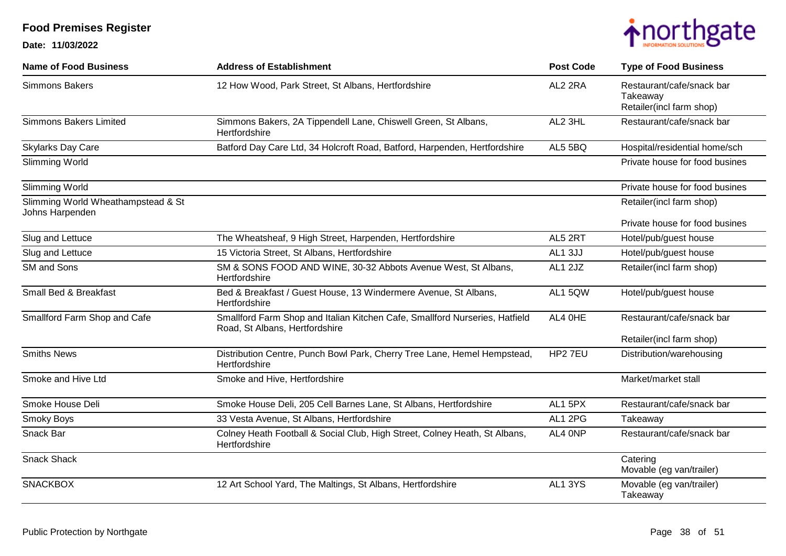

| <b>Name of Food Business</b>                          | <b>Address of Establishment</b>                                                                               | <b>Post Code</b> | <b>Type of Food Business</b>                                      |
|-------------------------------------------------------|---------------------------------------------------------------------------------------------------------------|------------------|-------------------------------------------------------------------|
| Simmons Bakers                                        | 12 How Wood, Park Street, St Albans, Hertfordshire                                                            | AL2 2RA          | Restaurant/cafe/snack bar<br>Takeaway<br>Retailer(incl farm shop) |
| <b>Simmons Bakers Limited</b>                         | Simmons Bakers, 2A Tippendell Lane, Chiswell Green, St Albans,<br>Hertfordshire                               | AL2 3HL          | Restaurant/cafe/snack bar                                         |
| <b>Skylarks Day Care</b>                              | Batford Day Care Ltd, 34 Holcroft Road, Batford, Harpenden, Hertfordshire                                     | AL5 5BQ          | Hospital/residential home/sch                                     |
| Slimming World                                        |                                                                                                               |                  | Private house for food busines                                    |
| Slimming World                                        |                                                                                                               |                  | Private house for food busines                                    |
| Slimming World Wheathampstead & St<br>Johns Harpenden |                                                                                                               |                  | Retailer(incl farm shop)                                          |
|                                                       |                                                                                                               |                  | Private house for food busines                                    |
| Slug and Lettuce                                      | The Wheatsheaf, 9 High Street, Harpenden, Hertfordshire                                                       | AL5 2RT          | Hotel/pub/guest house                                             |
| Slug and Lettuce                                      | 15 Victoria Street, St Albans, Hertfordshire                                                                  | AL1 3JJ          | Hotel/pub/guest house                                             |
| SM and Sons                                           | SM & SONS FOOD AND WINE, 30-32 Abbots Avenue West, St Albans,<br>Hertfordshire                                | AL1 2JZ          | Retailer(incl farm shop)                                          |
| Small Bed & Breakfast                                 | Bed & Breakfast / Guest House, 13 Windermere Avenue, St Albans,<br>Hertfordshire                              | AL1 5QW          | Hotel/pub/guest house                                             |
| Smallford Farm Shop and Cafe                          | Smallford Farm Shop and Italian Kitchen Cafe, Smallford Nurseries, Hatfield<br>Road, St Albans, Hertfordshire | AL4 OHE          | Restaurant/cafe/snack bar                                         |
|                                                       |                                                                                                               |                  | Retailer(incl farm shop)                                          |
| <b>Smiths News</b>                                    | Distribution Centre, Punch Bowl Park, Cherry Tree Lane, Hemel Hempstead,<br>Hertfordshire                     | HP2 7EU          | Distribution/warehousing                                          |
| Smoke and Hive Ltd                                    | Smoke and Hive, Hertfordshire                                                                                 |                  | Market/market stall                                               |
| Smoke House Deli                                      | Smoke House Deli, 205 Cell Barnes Lane, St Albans, Hertfordshire                                              | AL1 5PX          | Restaurant/cafe/snack bar                                         |
| Smoky Boys                                            | 33 Vesta Avenue, St Albans, Hertfordshire                                                                     | AL1 2PG          | Takeaway                                                          |
| Snack Bar                                             | Colney Heath Football & Social Club, High Street, Colney Heath, St Albans,<br>Hertfordshire                   | AL4 ONP          | Restaurant/cafe/snack bar                                         |
| <b>Snack Shack</b>                                    |                                                                                                               |                  | Catering<br>Movable (eg van/trailer)                              |
| <b>SNACKBOX</b>                                       | 12 Art School Yard, The Maltings, St Albans, Hertfordshire                                                    | AL1 3YS          | Movable (eg van/trailer)<br>Takeaway                              |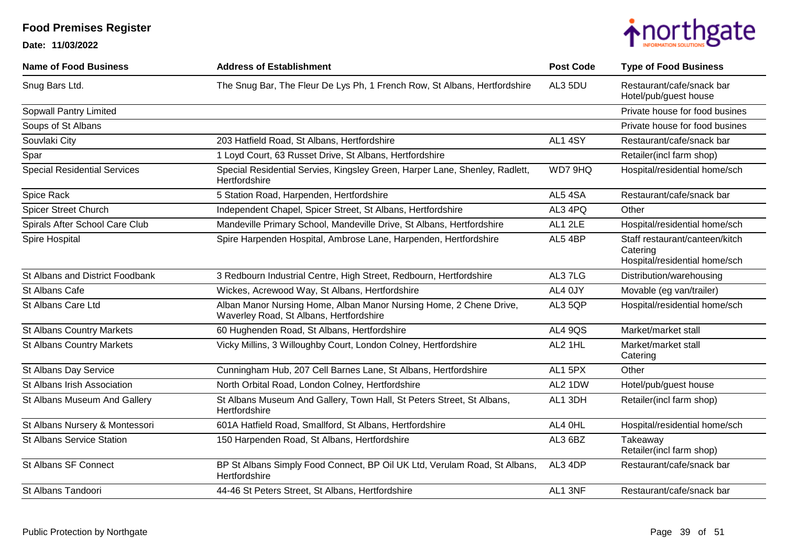

| <b>Name of Food Business</b>        | <b>Address of Establishment</b>                                                                               | <b>Post Code</b> | <b>Type of Food Business</b>                                                |
|-------------------------------------|---------------------------------------------------------------------------------------------------------------|------------------|-----------------------------------------------------------------------------|
| Snug Bars Ltd.                      | The Snug Bar, The Fleur De Lys Ph, 1 French Row, St Albans, Hertfordshire                                     | AL3 5DU          | Restaurant/cafe/snack bar<br>Hotel/pub/guest house                          |
| Sopwall Pantry Limited              |                                                                                                               |                  | Private house for food busines                                              |
| Soups of St Albans                  |                                                                                                               |                  | Private house for food busines                                              |
| Souvlaki City                       | 203 Hatfield Road, St Albans, Hertfordshire                                                                   | AL1 4SY          | Restaurant/cafe/snack bar                                                   |
| Spar                                | 1 Loyd Court, 63 Russet Drive, St Albans, Hertfordshire                                                       |                  | Retailer(incl farm shop)                                                    |
| <b>Special Residential Services</b> | Special Residential Servies, Kingsley Green, Harper Lane, Shenley, Radlett,<br>Hertfordshire                  | WD7 9HQ          | Hospital/residential home/sch                                               |
| Spice Rack                          | 5 Station Road, Harpenden, Hertfordshire                                                                      | AL5 4SA          | Restaurant/cafe/snack bar                                                   |
| <b>Spicer Street Church</b>         | Independent Chapel, Spicer Street, St Albans, Hertfordshire                                                   | AL3 4PQ          | Other                                                                       |
| Spirals After School Care Club      | Mandeville Primary School, Mandeville Drive, St Albans, Hertfordshire                                         | AL1 2LE          | Hospital/residential home/sch                                               |
| Spire Hospital                      | Spire Harpenden Hospital, Ambrose Lane, Harpenden, Hertfordshire                                              | AL5 4BP          | Staff restaurant/canteen/kitch<br>Catering<br>Hospital/residential home/sch |
| St Albans and District Foodbank     | 3 Redbourn Industrial Centre, High Street, Redbourn, Hertfordshire                                            | AL37LG           | Distribution/warehousing                                                    |
| St Albans Cafe                      | Wickes, Acrewood Way, St Albans, Hertfordshire                                                                | AL4 0JY          | Movable (eg van/trailer)                                                    |
| St Albans Care Ltd                  | Alban Manor Nursing Home, Alban Manor Nursing Home, 2 Chene Drive,<br>Waverley Road, St Albans, Hertfordshire | AL3 5QP          | Hospital/residential home/sch                                               |
| <b>St Albans Country Markets</b>    | 60 Hughenden Road, St Albans, Hertfordshire                                                                   | <b>AL4 9QS</b>   | Market/market stall                                                         |
| <b>St Albans Country Markets</b>    | Vicky Millins, 3 Willoughby Court, London Colney, Hertfordshire                                               | AL2 1HL          | Market/market stall<br>Catering                                             |
| St Albans Day Service               | Cunningham Hub, 207 Cell Barnes Lane, St Albans, Hertfordshire                                                | AL1 5PX          | Other                                                                       |
| St Albans Irish Association         | North Orbital Road, London Colney, Hertfordshire                                                              | AL2 1DW          | Hotel/pub/guest house                                                       |
| St Albans Museum And Gallery        | St Albans Museum And Gallery, Town Hall, St Peters Street, St Albans,<br>Hertfordshire                        | AL1 3DH          | Retailer(incl farm shop)                                                    |
| St Albans Nursery & Montessori      | 601A Hatfield Road, Smallford, St Albans, Hertfordshire                                                       | AL4 OHL          | Hospital/residential home/sch                                               |
| <b>St Albans Service Station</b>    | 150 Harpenden Road, St Albans, Hertfordshire                                                                  | AL3 6BZ          | Takeaway<br>Retailer(incl farm shop)                                        |
| St Albans SF Connect                | BP St Albans Simply Food Connect, BP Oil UK Ltd, Verulam Road, St Albans,<br>Hertfordshire                    | AL3 4DP          | Restaurant/cafe/snack bar                                                   |
| St Albans Tandoori                  | 44-46 St Peters Street, St Albans, Hertfordshire                                                              | AL1 3NF          | Restaurant/cafe/snack bar                                                   |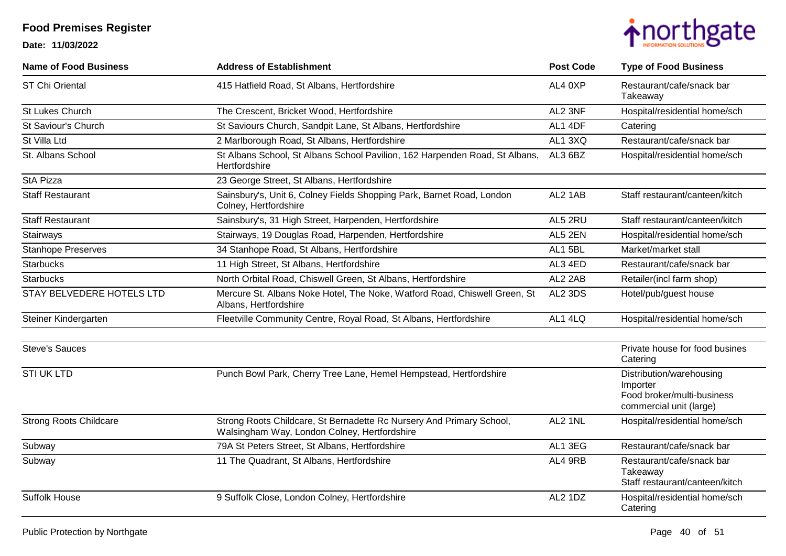

| <b>Name of Food Business</b>  | <b>Address of Establishment</b>                                                                                      | <b>Post Code</b> | <b>Type of Food Business</b>                                                                  |
|-------------------------------|----------------------------------------------------------------------------------------------------------------------|------------------|-----------------------------------------------------------------------------------------------|
| ST Chi Oriental               | 415 Hatfield Road, St Albans, Hertfordshire                                                                          | AL4 0XP          | Restaurant/cafe/snack bar<br>Takeaway                                                         |
| St Lukes Church               | The Crescent, Bricket Wood, Hertfordshire                                                                            | AL2 3NF          | Hospital/residential home/sch                                                                 |
| St Saviour's Church           | St Saviours Church, Sandpit Lane, St Albans, Hertfordshire                                                           | AL1 4DF          | Catering                                                                                      |
| St Villa Ltd                  | 2 Marlborough Road, St Albans, Hertfordshire                                                                         | AL1 3XQ          | Restaurant/cafe/snack bar                                                                     |
| St. Albans School             | St Albans School, St Albans School Pavilion, 162 Harpenden Road, St Albans,<br>Hertfordshire                         | AL3 6BZ          | Hospital/residential home/sch                                                                 |
| <b>StA Pizza</b>              | 23 George Street, St Albans, Hertfordshire                                                                           |                  |                                                                                               |
| <b>Staff Restaurant</b>       | Sainsbury's, Unit 6, Colney Fields Shopping Park, Barnet Road, London<br>Colney, Hertfordshire                       | AL2 1AB          | Staff restaurant/canteen/kitch                                                                |
| <b>Staff Restaurant</b>       | Sainsbury's, 31 High Street, Harpenden, Hertfordshire                                                                | AL5 2RU          | Staff restaurant/canteen/kitch                                                                |
| Stairways                     | Stairways, 19 Douglas Road, Harpenden, Hertfordshire                                                                 | AL5 2EN          | Hospital/residential home/sch                                                                 |
| <b>Stanhope Preserves</b>     | 34 Stanhope Road, St Albans, Hertfordshire                                                                           | AL1 5BL          | Market/market stall                                                                           |
| <b>Starbucks</b>              | 11 High Street, St Albans, Hertfordshire                                                                             | AL3 4ED          | Restaurant/cafe/snack bar                                                                     |
| <b>Starbucks</b>              | North Orbital Road, Chiswell Green, St Albans, Hertfordshire                                                         | AL2 2AB          | Retailer(incl farm shop)                                                                      |
| STAY BELVEDERE HOTELS LTD     | Mercure St. Albans Noke Hotel, The Noke, Watford Road, Chiswell Green, St<br>Albans, Hertfordshire                   | AL2 3DS          | Hotel/pub/guest house                                                                         |
| Steiner Kindergarten          | Fleetville Community Centre, Royal Road, St Albans, Hertfordshire                                                    | AL1 4LQ          | Hospital/residential home/sch                                                                 |
| <b>Steve's Sauces</b>         |                                                                                                                      |                  | Private house for food busines<br>Catering                                                    |
| <b>STI UK LTD</b>             | Punch Bowl Park, Cherry Tree Lane, Hemel Hempstead, Hertfordshire                                                    |                  | Distribution/warehousing<br>Importer<br>Food broker/multi-business<br>commercial unit (large) |
| <b>Strong Roots Childcare</b> | Strong Roots Childcare, St Bernadette Rc Nursery And Primary School,<br>Walsingham Way, London Colney, Hertfordshire | AL2 1NL          | Hospital/residential home/sch                                                                 |
| Subway                        | 79A St Peters Street, St Albans, Hertfordshire                                                                       | AL1 3EG          | Restaurant/cafe/snack bar                                                                     |
| Subway                        | 11 The Quadrant, St Albans, Hertfordshire                                                                            | AL4 9RB          | Restaurant/cafe/snack bar<br>Takeaway<br>Staff restaurant/canteen/kitch                       |
| <b>Suffolk House</b>          | 9 Suffolk Close, London Colney, Hertfordshire                                                                        | AL2 1DZ          | Hospital/residential home/sch<br>Catering                                                     |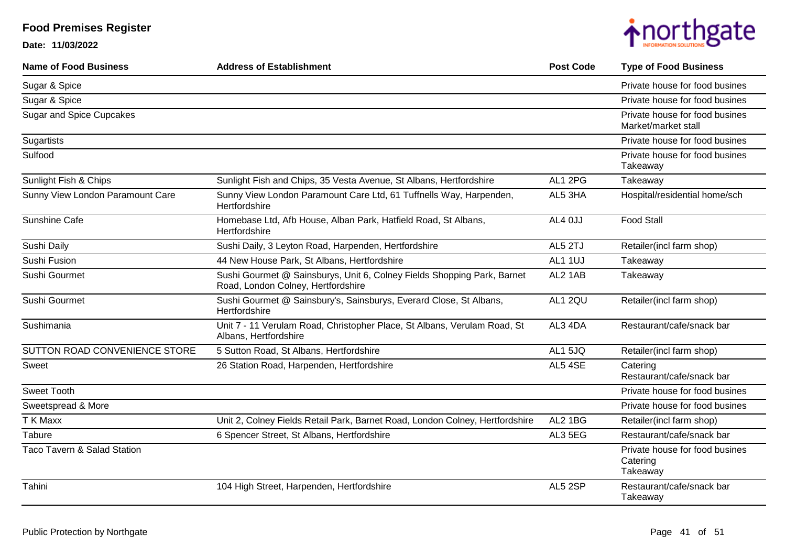| <b>Name of Food Business</b>     | <b>Address of Establishment</b>                                                                               | <b>Post Code</b> | <b>Type of Food Business</b>                           |
|----------------------------------|---------------------------------------------------------------------------------------------------------------|------------------|--------------------------------------------------------|
| Sugar & Spice                    |                                                                                                               |                  | Private house for food busines                         |
| Sugar & Spice                    |                                                                                                               |                  | Private house for food busines                         |
| <b>Sugar and Spice Cupcakes</b>  |                                                                                                               |                  | Private house for food busines<br>Market/market stall  |
| Sugartists                       |                                                                                                               |                  | Private house for food busines                         |
| Sulfood                          |                                                                                                               |                  | Private house for food busines<br>Takeaway             |
| Sunlight Fish & Chips            | Sunlight Fish and Chips, 35 Vesta Avenue, St Albans, Hertfordshire                                            | AL1 2PG          | Takeaway                                               |
| Sunny View London Paramount Care | Sunny View London Paramount Care Ltd, 61 Tuffnells Way, Harpenden,<br>Hertfordshire                           | AL5 3HA          | Hospital/residential home/sch                          |
| Sunshine Cafe                    | Homebase Ltd, Afb House, Alban Park, Hatfield Road, St Albans,<br>Hertfordshire                               | AL4 0JJ          | <b>Food Stall</b>                                      |
| Sushi Daily                      | Sushi Daily, 3 Leyton Road, Harpenden, Hertfordshire                                                          | AL5 2TJ          | Retailer(incl farm shop)                               |
| Sushi Fusion                     | 44 New House Park, St Albans, Hertfordshire                                                                   | AL1 1UJ          | Takeaway                                               |
| Sushi Gourmet                    | Sushi Gourmet @ Sainsburys, Unit 6, Colney Fields Shopping Park, Barnet<br>Road, London Colney, Hertfordshire | AL2 1AB          | Takeaway                                               |
| Sushi Gourmet                    | Sushi Gourmet @ Sainsbury's, Sainsburys, Everard Close, St Albans,<br>Hertfordshire                           | AL1 2QU          | Retailer(incl farm shop)                               |
| Sushimania                       | Unit 7 - 11 Verulam Road, Christopher Place, St Albans, Verulam Road, St<br>Albans, Hertfordshire             | AL3 4DA          | Restaurant/cafe/snack bar                              |
| SUTTON ROAD CONVENIENCE STORE    | 5 Sutton Road, St Albans, Hertfordshire                                                                       | AL1 5JQ          | Retailer(incl farm shop)                               |
| <b>Sweet</b>                     | 26 Station Road, Harpenden, Hertfordshire                                                                     | AL5 4SE          | Catering<br>Restaurant/cafe/snack bar                  |
| <b>Sweet Tooth</b>               |                                                                                                               |                  | Private house for food busines                         |
| Sweetspread & More               |                                                                                                               |                  | Private house for food busines                         |
| T K Maxx                         | Unit 2, Colney Fields Retail Park, Barnet Road, London Colney, Hertfordshire                                  | AL2 1BG          | Retailer(incl farm shop)                               |
| Tabure                           | 6 Spencer Street, St Albans, Hertfordshire                                                                    | AL3 5EG          | Restaurant/cafe/snack bar                              |
| Taco Tavern & Salad Station      |                                                                                                               |                  | Private house for food busines<br>Catering<br>Takeaway |
| Tahini                           | 104 High Street, Harpenden, Hertfordshire                                                                     | AL5 2SP          | Restaurant/cafe/snack bar<br>Takeaway                  |

## **Food Premises Register Date: 11/03/2022**

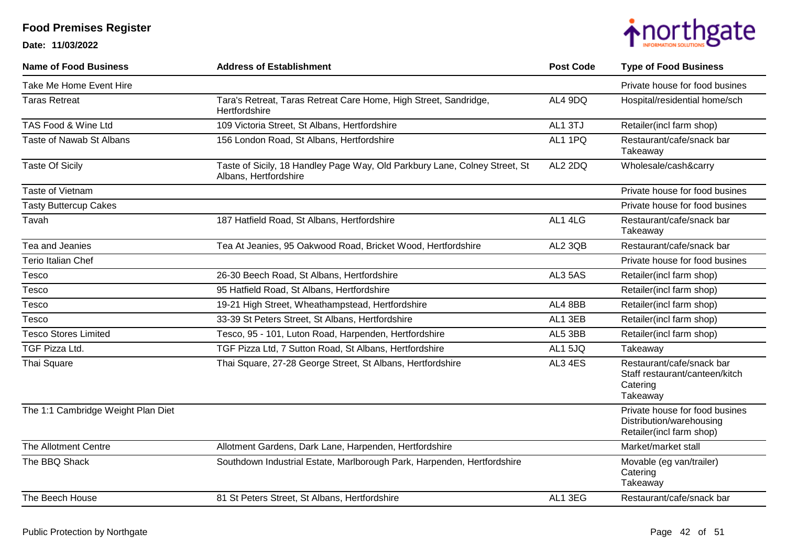

| <b>Name of Food Business</b>       | <b>Address of Establishment</b>                                                                     | <b>Post Code</b> | <b>Type of Food Business</b>                                                           |
|------------------------------------|-----------------------------------------------------------------------------------------------------|------------------|----------------------------------------------------------------------------------------|
| Take Me Home Event Hire            |                                                                                                     |                  | Private house for food busines                                                         |
| <b>Taras Retreat</b>               | Tara's Retreat, Taras Retreat Care Home, High Street, Sandridge,<br>Hertfordshire                   | AL4 9DQ          | Hospital/residential home/sch                                                          |
| TAS Food & Wine Ltd                | 109 Victoria Street, St Albans, Hertfordshire                                                       | AL1 3TJ          | Retailer(incl farm shop)                                                               |
| Taste of Nawab St Albans           | 156 London Road, St Albans, Hertfordshire                                                           | AL1 1PQ          | Restaurant/cafe/snack bar<br>Takeaway                                                  |
| <b>Taste Of Sicily</b>             | Taste of Sicily, 18 Handley Page Way, Old Parkbury Lane, Colney Street, St<br>Albans, Hertfordshire | AL2 2DQ          | Wholesale/cash&carry                                                                   |
| Taste of Vietnam                   |                                                                                                     |                  | Private house for food busines                                                         |
| <b>Tasty Buttercup Cakes</b>       |                                                                                                     |                  | Private house for food busines                                                         |
| Tavah                              | 187 Hatfield Road, St Albans, Hertfordshire                                                         | AL1 4LG          | Restaurant/cafe/snack bar<br>Takeaway                                                  |
| Tea and Jeanies                    | Tea At Jeanies, 95 Oakwood Road, Bricket Wood, Hertfordshire                                        | AL2 3QB          | Restaurant/cafe/snack bar                                                              |
| <b>Terio Italian Chef</b>          |                                                                                                     |                  | Private house for food busines                                                         |
| Tesco                              | 26-30 Beech Road, St Albans, Hertfordshire                                                          | AL3 5AS          | Retailer(incl farm shop)                                                               |
| Tesco                              | 95 Hatfield Road, St Albans, Hertfordshire                                                          |                  | Retailer(incl farm shop)                                                               |
| Tesco                              | 19-21 High Street, Wheathampstead, Hertfordshire                                                    | AL4 8BB          | Retailer(incl farm shop)                                                               |
| Tesco                              | 33-39 St Peters Street, St Albans, Hertfordshire                                                    | AL1 3EB          | Retailer(incl farm shop)                                                               |
| <b>Tesco Stores Limited</b>        | Tesco, 95 - 101, Luton Road, Harpenden, Hertfordshire                                               | AL5 3BB          | Retailer(incl farm shop)                                                               |
| TGF Pizza Ltd.                     | TGF Pizza Ltd, 7 Sutton Road, St Albans, Hertfordshire                                              | AL1 5JQ          | Takeaway                                                                               |
| Thai Square                        | Thai Square, 27-28 George Street, St Albans, Hertfordshire                                          | AL3 4ES          | Restaurant/cafe/snack bar<br>Staff restaurant/canteen/kitch<br>Catering<br>Takeaway    |
| The 1:1 Cambridge Weight Plan Diet |                                                                                                     |                  | Private house for food busines<br>Distribution/warehousing<br>Retailer(incl farm shop) |
| The Allotment Centre               | Allotment Gardens, Dark Lane, Harpenden, Hertfordshire                                              |                  | Market/market stall                                                                    |
| The BBQ Shack                      | Southdown Industrial Estate, Marlborough Park, Harpenden, Hertfordshire                             |                  | Movable (eg van/trailer)<br>Catering<br>Takeaway                                       |
| The Beech House                    | 81 St Peters Street, St Albans, Hertfordshire                                                       | AL1 3EG          | Restaurant/cafe/snack bar                                                              |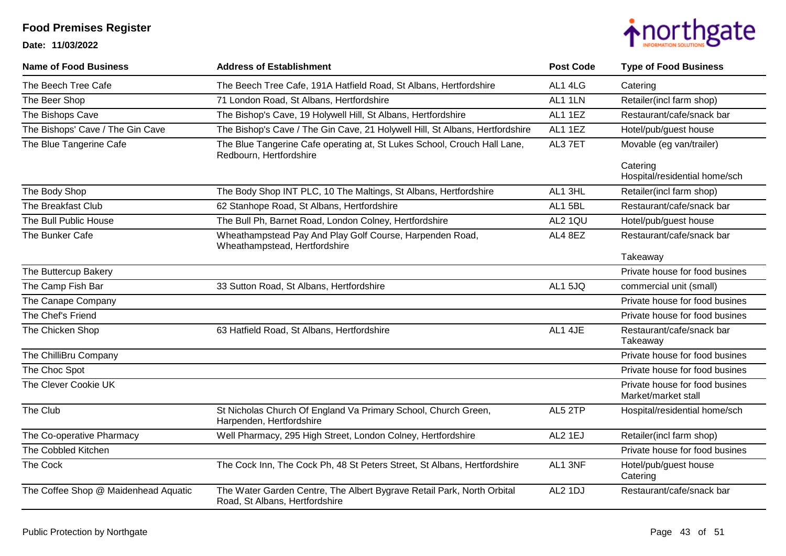

| <b>Name of Food Business</b>         | <b>Address of Establishment</b>                                                                          | <b>Post Code</b> | <b>Type of Food Business</b>                          |
|--------------------------------------|----------------------------------------------------------------------------------------------------------|------------------|-------------------------------------------------------|
| The Beech Tree Cafe                  | The Beech Tree Cafe, 191A Hatfield Road, St Albans, Hertfordshire                                        | AL1 4LG          | Catering                                              |
| The Beer Shop                        | 71 London Road, St Albans, Hertfordshire                                                                 | AL1 1LN          | Retailer(incl farm shop)                              |
| The Bishops Cave                     | The Bishop's Cave, 19 Holywell Hill, St Albans, Hertfordshire                                            | AL1 1EZ          | Restaurant/cafe/snack bar                             |
| The Bishops' Cave / The Gin Cave     | The Bishop's Cave / The Gin Cave, 21 Holywell Hill, St Albans, Hertfordshire                             | AL1 1EZ          | Hotel/pub/guest house                                 |
| The Blue Tangerine Cafe              | The Blue Tangerine Cafe operating at, St Lukes School, Crouch Hall Lane,<br>Redbourn, Hertfordshire      | AL3 7ET          | Movable (eg van/trailer)                              |
|                                      |                                                                                                          |                  | Catering<br>Hospital/residential home/sch             |
| The Body Shop                        | The Body Shop INT PLC, 10 The Maltings, St Albans, Hertfordshire                                         | AL1 3HL          | Retailer(incl farm shop)                              |
| The Breakfast Club                   | 62 Stanhope Road, St Albans, Hertfordshire                                                               | AL1 5BL          | Restaurant/cafe/snack bar                             |
| The Bull Public House                | The Bull Ph, Barnet Road, London Colney, Hertfordshire                                                   | AL2 1QU          | Hotel/pub/guest house                                 |
| The Bunker Cafe                      | Wheathampstead Pay And Play Golf Course, Harpenden Road,<br>Wheathampstead, Hertfordshire                | AL4 8EZ          | Restaurant/cafe/snack bar                             |
|                                      |                                                                                                          |                  | Takeaway                                              |
| The Buttercup Bakery                 |                                                                                                          |                  | Private house for food busines                        |
| The Camp Fish Bar                    | 33 Sutton Road, St Albans, Hertfordshire                                                                 | AL1 5JQ          | commercial unit (small)                               |
| The Canape Company                   |                                                                                                          |                  | Private house for food busines                        |
| The Chef's Friend                    |                                                                                                          |                  | Private house for food busines                        |
| The Chicken Shop                     | 63 Hatfield Road, St Albans, Hertfordshire                                                               | AL1 4JE          | Restaurant/cafe/snack bar<br>Takeaway                 |
| The ChilliBru Company                |                                                                                                          |                  | Private house for food busines                        |
| The Choc Spot                        |                                                                                                          |                  | Private house for food busines                        |
| The Clever Cookie UK                 |                                                                                                          |                  | Private house for food busines<br>Market/market stall |
| The Club                             | St Nicholas Church Of England Va Primary School, Church Green,<br>Harpenden, Hertfordshire               | AL5 2TP          | Hospital/residential home/sch                         |
| The Co-operative Pharmacy            | Well Pharmacy, 295 High Street, London Colney, Hertfordshire                                             | AL2 1EJ          | Retailer(incl farm shop)                              |
| The Cobbled Kitchen                  |                                                                                                          |                  | Private house for food busines                        |
| The Cock                             | The Cock Inn, The Cock Ph, 48 St Peters Street, St Albans, Hertfordshire                                 | AL1 3NF          | Hotel/pub/guest house<br>Catering                     |
| The Coffee Shop @ Maidenhead Aquatic | The Water Garden Centre, The Albert Bygrave Retail Park, North Orbital<br>Road, St Albans, Hertfordshire | AL2 1DJ          | Restaurant/cafe/snack bar                             |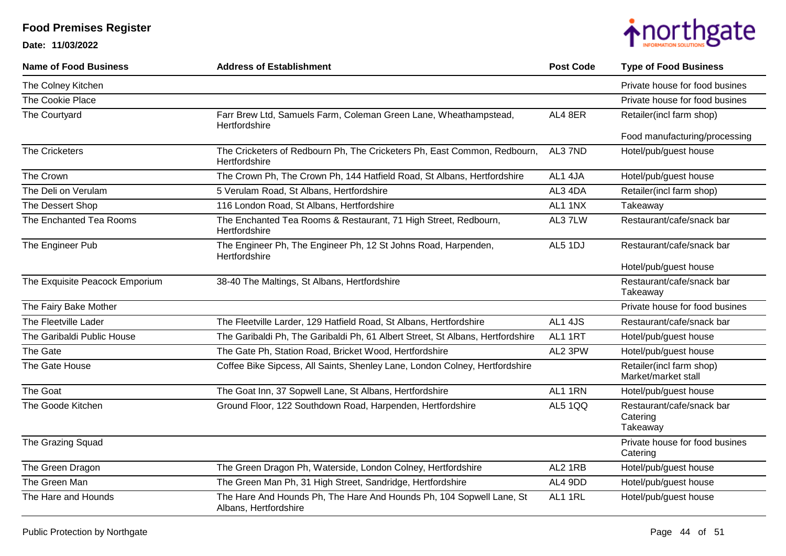

| <b>Name of Food Business</b>   | <b>Address of Establishment</b>                                                               | <b>Post Code</b> | <b>Type of Food Business</b>                      |
|--------------------------------|-----------------------------------------------------------------------------------------------|------------------|---------------------------------------------------|
| The Colney Kitchen             |                                                                                               |                  | Private house for food busines                    |
| The Cookie Place               |                                                                                               |                  | Private house for food busines                    |
| The Courtyard                  | Farr Brew Ltd, Samuels Farm, Coleman Green Lane, Wheathampstead,<br>Hertfordshire             | AL4 8ER          | Retailer(incl farm shop)                          |
|                                |                                                                                               |                  | Food manufacturing/processing                     |
| The Cricketers                 | The Cricketers of Redbourn Ph, The Cricketers Ph, East Common, Redbourn,<br>Hertfordshire     | AL3 7ND          | Hotel/pub/guest house                             |
| The Crown                      | The Crown Ph, The Crown Ph, 144 Hatfield Road, St Albans, Hertfordshire                       | AL1 4JA          | Hotel/pub/guest house                             |
| The Deli on Verulam            | 5 Verulam Road, St Albans, Hertfordshire                                                      | AL3 4DA          | Retailer(incl farm shop)                          |
| The Dessert Shop               | 116 London Road, St Albans, Hertfordshire                                                     | AL1 1NX          | Takeaway                                          |
| The Enchanted Tea Rooms        | The Enchanted Tea Rooms & Restaurant, 71 High Street, Redbourn,<br>Hertfordshire              | AL37LW           | Restaurant/cafe/snack bar                         |
| The Engineer Pub               | The Engineer Ph, The Engineer Ph, 12 St Johns Road, Harpenden,<br>Hertfordshire               | AL5 1DJ          | Restaurant/cafe/snack bar                         |
|                                |                                                                                               |                  | Hotel/pub/guest house                             |
| The Exquisite Peacock Emporium | 38-40 The Maltings, St Albans, Hertfordshire                                                  |                  | Restaurant/cafe/snack bar<br>Takeaway             |
| The Fairy Bake Mother          |                                                                                               |                  | Private house for food busines                    |
| The Fleetville Lader           | The Fleetville Larder, 129 Hatfield Road, St Albans, Hertfordshire                            | AL1 4JS          | Restaurant/cafe/snack bar                         |
| The Garibaldi Public House     | The Garibaldi Ph, The Garibaldi Ph, 61 Albert Street, St Albans, Hertfordshire                | AL1 1RT          | Hotel/pub/guest house                             |
| The Gate                       | The Gate Ph, Station Road, Bricket Wood, Hertfordshire                                        | AL2 3PW          | Hotel/pub/guest house                             |
| The Gate House                 | Coffee Bike Sipcess, All Saints, Shenley Lane, London Colney, Hertfordshire                   |                  | Retailer(incl farm shop)<br>Market/market stall   |
| The Goat                       | The Goat Inn, 37 Sopwell Lane, St Albans, Hertfordshire                                       | AL1 1RN          | Hotel/pub/guest house                             |
| The Goode Kitchen              | Ground Floor, 122 Southdown Road, Harpenden, Hertfordshire                                    | AL5 1QQ          | Restaurant/cafe/snack bar<br>Catering<br>Takeaway |
| The Grazing Squad              |                                                                                               |                  | Private house for food busines<br>Catering        |
| The Green Dragon               | The Green Dragon Ph, Waterside, London Colney, Hertfordshire                                  | AL2 1RB          | Hotel/pub/guest house                             |
| The Green Man                  | The Green Man Ph, 31 High Street, Sandridge, Hertfordshire                                    | AL4 9DD          | Hotel/pub/guest house                             |
| The Hare and Hounds            | The Hare And Hounds Ph, The Hare And Hounds Ph, 104 Sopwell Lane, St<br>Albans, Hertfordshire | AL1 1RL          | Hotel/pub/guest house                             |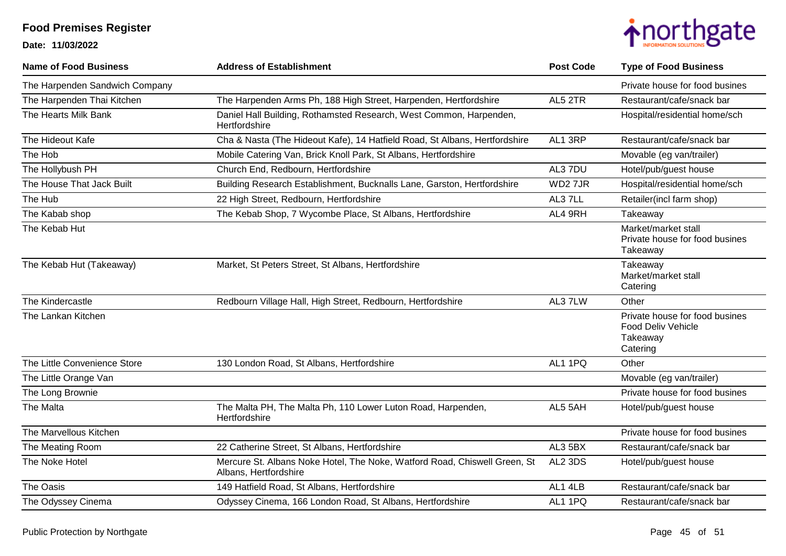

| <b>Name of Food Business</b>   | <b>Address of Establishment</b>                                                                    | <b>Post Code</b> | <b>Type of Food Business</b>                                                 |
|--------------------------------|----------------------------------------------------------------------------------------------------|------------------|------------------------------------------------------------------------------|
| The Harpenden Sandwich Company |                                                                                                    |                  | Private house for food busines                                               |
| The Harpenden Thai Kitchen     | The Harpenden Arms Ph, 188 High Street, Harpenden, Hertfordshire                                   | AL5 2TR          | Restaurant/cafe/snack bar                                                    |
| The Hearts Milk Bank           | Daniel Hall Building, Rothamsted Research, West Common, Harpenden,<br>Hertfordshire                |                  | Hospital/residential home/sch                                                |
| The Hideout Kafe               | Cha & Nasta (The Hideout Kafe), 14 Hatfield Road, St Albans, Hertfordshire                         | AL1 3RP          | Restaurant/cafe/snack bar                                                    |
| The Hob                        | Mobile Catering Van, Brick Knoll Park, St Albans, Hertfordshire                                    |                  | Movable (eg van/trailer)                                                     |
| The Hollybush PH               | Church End, Redbourn, Hertfordshire                                                                | AL3 7DU          | Hotel/pub/guest house                                                        |
| The House That Jack Built      | Building Research Establishment, Bucknalls Lane, Garston, Hertfordshire                            | WD27JR           | Hospital/residential home/sch                                                |
| The Hub                        | 22 High Street, Redbourn, Hertfordshire                                                            | AL37LL           | Retailer(incl farm shop)                                                     |
| The Kabab shop                 | The Kebab Shop, 7 Wycombe Place, St Albans, Hertfordshire                                          | AL4 9RH          | Takeaway                                                                     |
| The Kebab Hut                  |                                                                                                    |                  | Market/market stall<br>Private house for food busines<br>Takeaway            |
| The Kebab Hut (Takeaway)       | Market, St Peters Street, St Albans, Hertfordshire                                                 |                  | Takeaway<br>Market/market stall<br>Catering                                  |
| The Kindercastle               | Redbourn Village Hall, High Street, Redbourn, Hertfordshire                                        | AL37LW           | Other                                                                        |
| The Lankan Kitchen             |                                                                                                    |                  | Private house for food busines<br>Food Deliv Vehicle<br>Takeaway<br>Catering |
| The Little Convenience Store   | 130 London Road, St Albans, Hertfordshire                                                          | AL1 1PQ          | Other                                                                        |
| The Little Orange Van          |                                                                                                    |                  | Movable (eg van/trailer)                                                     |
| The Long Brownie               |                                                                                                    |                  | Private house for food busines                                               |
| The Malta                      | The Malta PH, The Malta Ph, 110 Lower Luton Road, Harpenden,<br>Hertfordshire                      | AL5 5AH          | Hotel/pub/guest house                                                        |
| The Marvellous Kitchen         |                                                                                                    |                  | Private house for food busines                                               |
| The Meating Room               | 22 Catherine Street, St Albans, Hertfordshire                                                      | AL3 5BX          | Restaurant/cafe/snack bar                                                    |
| The Noke Hotel                 | Mercure St. Albans Noke Hotel, The Noke, Watford Road, Chiswell Green, St<br>Albans, Hertfordshire | AL2 3DS          | Hotel/pub/guest house                                                        |
| The Oasis                      | 149 Hatfield Road, St Albans, Hertfordshire                                                        | AL1 4LB          | Restaurant/cafe/snack bar                                                    |
| The Odyssey Cinema             | Odyssey Cinema, 166 London Road, St Albans, Hertfordshire                                          | AL1 1PQ          | Restaurant/cafe/snack bar                                                    |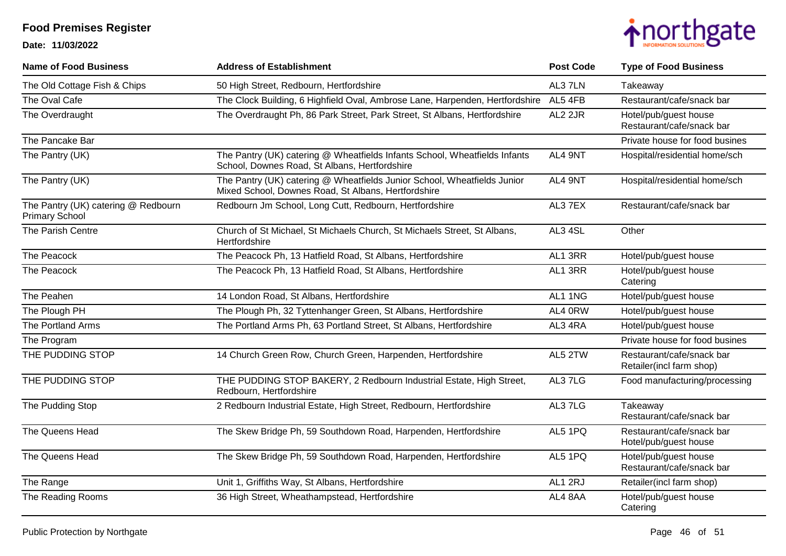

| <b>Name of Food Business</b>                                 | <b>Address of Establishment</b>                                                                                                 | <b>Post Code</b> | <b>Type of Food Business</b>                          |
|--------------------------------------------------------------|---------------------------------------------------------------------------------------------------------------------------------|------------------|-------------------------------------------------------|
| The Old Cottage Fish & Chips                                 | 50 High Street, Redbourn, Hertfordshire                                                                                         | AL37LN           | Takeaway                                              |
| The Oval Cafe                                                | The Clock Building, 6 Highfield Oval, Ambrose Lane, Harpenden, Hertfordshire                                                    | AL5 4FB          | Restaurant/cafe/snack bar                             |
| The Overdraught                                              | The Overdraught Ph, 86 Park Street, Park Street, St Albans, Hertfordshire                                                       | AL2 2JR          | Hotel/pub/guest house<br>Restaurant/cafe/snack bar    |
| The Pancake Bar                                              |                                                                                                                                 |                  | Private house for food busines                        |
| The Pantry (UK)                                              | The Pantry (UK) catering @ Wheatfields Infants School, Wheatfields Infants<br>School, Downes Road, St Albans, Hertfordshire     | AL4 9NT          | Hospital/residential home/sch                         |
| The Pantry (UK)                                              | The Pantry (UK) catering @ Wheatfields Junior School, Wheatfields Junior<br>Mixed School, Downes Road, St Albans, Hertfordshire | AL4 9NT          | Hospital/residential home/sch                         |
| The Pantry (UK) catering @ Redbourn<br><b>Primary School</b> | Redbourn Jm School, Long Cutt, Redbourn, Hertfordshire                                                                          | AL37EX           | Restaurant/cafe/snack bar                             |
| The Parish Centre                                            | Church of St Michael, St Michaels Church, St Michaels Street, St Albans,<br>Hertfordshire                                       | AL3 4SL          | Other                                                 |
| The Peacock                                                  | The Peacock Ph, 13 Hatfield Road, St Albans, Hertfordshire                                                                      | AL1 3RR          | Hotel/pub/guest house                                 |
| The Peacock                                                  | The Peacock Ph, 13 Hatfield Road, St Albans, Hertfordshire                                                                      | AL1 3RR          | Hotel/pub/guest house<br>Catering                     |
| The Peahen                                                   | 14 London Road, St Albans, Hertfordshire                                                                                        | AL1 1NG          | Hotel/pub/guest house                                 |
| The Plough PH                                                | The Plough Ph, 32 Tyttenhanger Green, St Albans, Hertfordshire                                                                  | AL4 0RW          | Hotel/pub/guest house                                 |
| The Portland Arms                                            | The Portland Arms Ph, 63 Portland Street, St Albans, Hertfordshire                                                              | AL3 4RA          | Hotel/pub/guest house                                 |
| The Program                                                  |                                                                                                                                 |                  | Private house for food busines                        |
| THE PUDDING STOP                                             | 14 Church Green Row, Church Green, Harpenden, Hertfordshire                                                                     | AL5 2TW          | Restaurant/cafe/snack bar<br>Retailer(incl farm shop) |
| THE PUDDING STOP                                             | THE PUDDING STOP BAKERY, 2 Redbourn Industrial Estate, High Street,<br>Redbourn, Hertfordshire                                  | AL37LG           | Food manufacturing/processing                         |
| The Pudding Stop                                             | 2 Redbourn Industrial Estate, High Street, Redbourn, Hertfordshire                                                              | AL37LG           | Takeaway<br>Restaurant/cafe/snack bar                 |
| The Queens Head                                              | The Skew Bridge Ph, 59 Southdown Road, Harpenden, Hertfordshire                                                                 | AL5 1PQ          | Restaurant/cafe/snack bar<br>Hotel/pub/guest house    |
| The Queens Head                                              | The Skew Bridge Ph, 59 Southdown Road, Harpenden, Hertfordshire                                                                 | AL5 1PQ          | Hotel/pub/guest house<br>Restaurant/cafe/snack bar    |
| The Range                                                    | Unit 1, Griffiths Way, St Albans, Hertfordshire                                                                                 | AL1 2RJ          | Retailer(incl farm shop)                              |
| The Reading Rooms                                            | 36 High Street, Wheathampstead, Hertfordshire                                                                                   | AL4 8AA          | Hotel/pub/guest house<br>Catering                     |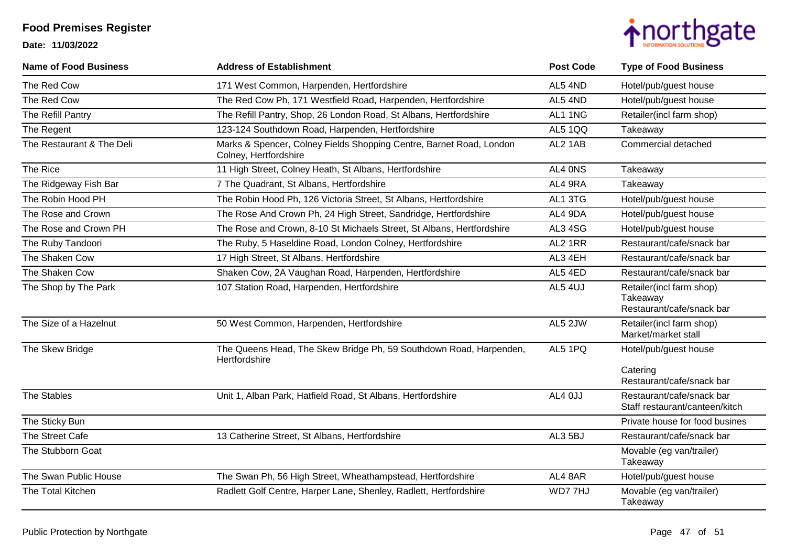

| <b>Name of Food Business</b> | <b>Address of Establishment</b>                                                              | <b>Post Code</b> | <b>Type of Food Business</b>                                      |
|------------------------------|----------------------------------------------------------------------------------------------|------------------|-------------------------------------------------------------------|
| The Red Cow                  | 171 West Common, Harpenden, Hertfordshire                                                    | AL5 4ND          | Hotel/pub/guest house                                             |
| The Red Cow                  | The Red Cow Ph, 171 Westfield Road, Harpenden, Hertfordshire                                 | AL5 4ND          | Hotel/pub/guest house                                             |
| The Refill Pantry            | The Refill Pantry, Shop, 26 London Road, St Albans, Hertfordshire                            | AL1 1NG          | Retailer(incl farm shop)                                          |
| The Regent                   | 123-124 Southdown Road, Harpenden, Hertfordshire                                             | <b>AL5 1QQ</b>   | Takeaway                                                          |
| The Restaurant & The Deli    | Marks & Spencer, Colney Fields Shopping Centre, Barnet Road, London<br>Colney, Hertfordshire | AL2 1AB          | Commercial detached                                               |
| The Rice                     | 11 High Street, Colney Heath, St Albans, Hertfordshire                                       | AL4 ONS          | Takeaway                                                          |
| The Ridgeway Fish Bar        | 7 The Quadrant, St Albans, Hertfordshire                                                     | AL4 9RA          | Takeaway                                                          |
| The Robin Hood PH            | The Robin Hood Ph, 126 Victoria Street, St Albans, Hertfordshire                             | AL1 3TG          | Hotel/pub/guest house                                             |
| The Rose and Crown           | The Rose And Crown Ph, 24 High Street, Sandridge, Hertfordshire                              | AL4 9DA          | Hotel/pub/guest house                                             |
| The Rose and Crown PH        | The Rose and Crown, 8-10 St Michaels Street, St Albans, Hertfordshire                        | AL3 4SG          | Hotel/pub/guest house                                             |
| The Ruby Tandoori            | The Ruby, 5 Haseldine Road, London Colney, Hertfordshire                                     | AL2 1RR          | Restaurant/cafe/snack bar                                         |
| The Shaken Cow               | 17 High Street, St Albans, Hertfordshire                                                     | AL3 4EH          | Restaurant/cafe/snack bar                                         |
| The Shaken Cow               | Shaken Cow, 2A Vaughan Road, Harpenden, Hertfordshire                                        | AL5 4ED          | Restaurant/cafe/snack bar                                         |
| The Shop by The Park         | 107 Station Road, Harpenden, Hertfordshire                                                   | AL5 4UJ          | Retailer(incl farm shop)<br>Takeaway<br>Restaurant/cafe/snack bar |
| The Size of a Hazelnut       | 50 West Common, Harpenden, Hertfordshire                                                     | AL5 2JW          | Retailer(incl farm shop)<br>Market/market stall                   |
| The Skew Bridge              | The Queens Head, The Skew Bridge Ph, 59 Southdown Road, Harpenden,<br>Hertfordshire          | AL5 1PQ          | Hotel/pub/guest house                                             |
|                              |                                                                                              |                  | Catering<br>Restaurant/cafe/snack bar                             |
| <b>The Stables</b>           | Unit 1, Alban Park, Hatfield Road, St Albans, Hertfordshire                                  | AL4 OJJ          | Restaurant/cafe/snack bar<br>Staff restaurant/canteen/kitch       |
| The Sticky Bun               |                                                                                              |                  | Private house for food busines                                    |
| The Street Cafe              | 13 Catherine Street, St Albans, Hertfordshire                                                | AL3 5BJ          | Restaurant/cafe/snack bar                                         |
| The Stubborn Goat            |                                                                                              |                  | Movable (eg van/trailer)<br>Takeaway                              |
| The Swan Public House        | The Swan Ph, 56 High Street, Wheathampstead, Hertfordshire                                   | AL4 8AR          | Hotel/pub/guest house                                             |
| The Total Kitchen            | Radlett Golf Centre, Harper Lane, Shenley, Radlett, Hertfordshire                            | WD77HJ           | Movable (eg van/trailer)<br>Takeaway                              |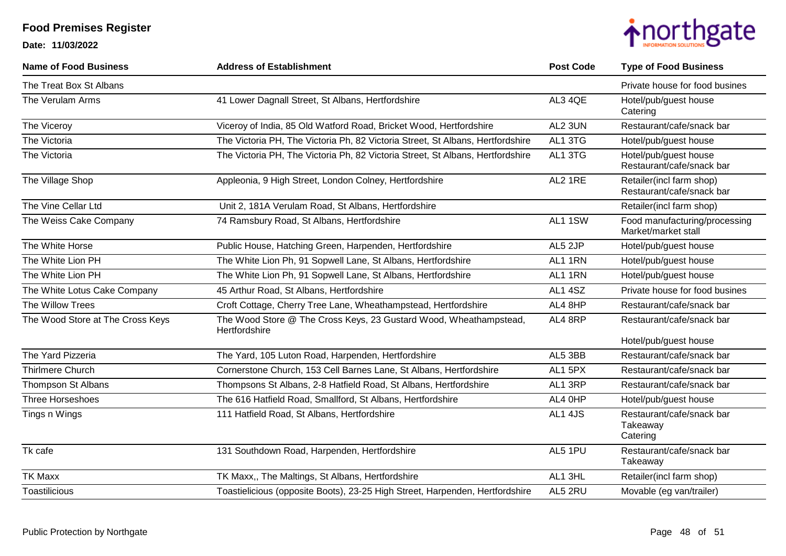

| <b>Name of Food Business</b>     | <b>Address of Establishment</b>                                                    | <b>Post Code</b> | <b>Type of Food Business</b>                          |
|----------------------------------|------------------------------------------------------------------------------------|------------------|-------------------------------------------------------|
| The Treat Box St Albans          |                                                                                    |                  | Private house for food busines                        |
| The Verulam Arms                 | 41 Lower Dagnall Street, St Albans, Hertfordshire                                  | AL3 4QE          | Hotel/pub/guest house<br>Catering                     |
| The Viceroy                      | Viceroy of India, 85 Old Watford Road, Bricket Wood, Hertfordshire                 | AL2 3UN          | Restaurant/cafe/snack bar                             |
| The Victoria                     | The Victoria PH, The Victoria Ph, 82 Victoria Street, St Albans, Hertfordshire     | AL1 3TG          | Hotel/pub/guest house                                 |
| The Victoria                     | The Victoria PH, The Victoria Ph, 82 Victoria Street, St Albans, Hertfordshire     | AL1 3TG          | Hotel/pub/guest house<br>Restaurant/cafe/snack bar    |
| The Village Shop                 | Appleonia, 9 High Street, London Colney, Hertfordshire                             | AL2 1RE          | Retailer(incl farm shop)<br>Restaurant/cafe/snack bar |
| The Vine Cellar Ltd              | Unit 2, 181A Verulam Road, St Albans, Hertfordshire                                |                  | Retailer(incl farm shop)                              |
| The Weiss Cake Company           | 74 Ramsbury Road, St Albans, Hertfordshire                                         | AL1 1SW          | Food manufacturing/processing<br>Market/market stall  |
| The White Horse                  | Public House, Hatching Green, Harpenden, Hertfordshire                             | AL5 2JP          | Hotel/pub/guest house                                 |
| The White Lion PH                | The White Lion Ph, 91 Sopwell Lane, St Albans, Hertfordshire                       | AL1 1RN          | Hotel/pub/guest house                                 |
| The White Lion PH                | The White Lion Ph, 91 Sopwell Lane, St Albans, Hertfordshire                       | AL1 1RN          | Hotel/pub/guest house                                 |
| The White Lotus Cake Company     | 45 Arthur Road, St Albans, Hertfordshire                                           | AL1 4SZ          | Private house for food busines                        |
| The Willow Trees                 | Croft Cottage, Cherry Tree Lane, Wheathampstead, Hertfordshire                     | AL4 8HP          | Restaurant/cafe/snack bar                             |
| The Wood Store at The Cross Keys | The Wood Store @ The Cross Keys, 23 Gustard Wood, Wheathampstead,<br>Hertfordshire | AL4 8RP          | Restaurant/cafe/snack bar                             |
|                                  |                                                                                    |                  | Hotel/pub/guest house                                 |
| The Yard Pizzeria                | The Yard, 105 Luton Road, Harpenden, Hertfordshire                                 | AL5 3BB          | Restaurant/cafe/snack bar                             |
| Thirlmere Church                 | Cornerstone Church, 153 Cell Barnes Lane, St Albans, Hertfordshire                 | AL1 5PX          | Restaurant/cafe/snack bar                             |
| Thompson St Albans               | Thompsons St Albans, 2-8 Hatfield Road, St Albans, Hertfordshire                   | AL1 3RP          | Restaurant/cafe/snack bar                             |
| <b>Three Horseshoes</b>          | The 616 Hatfield Road, Smallford, St Albans, Hertfordshire                         | AL4 0HP          | Hotel/pub/guest house                                 |
| Tings n Wings                    | 111 Hatfield Road, St Albans, Hertfordshire                                        | AL1 4JS          | Restaurant/cafe/snack bar<br>Takeaway<br>Catering     |
| Tk cafe                          | 131 Southdown Road, Harpenden, Hertfordshire                                       | AL5 1PU          | Restaurant/cafe/snack bar<br>Takeaway                 |
| <b>TK Maxx</b>                   | TK Maxx,, The Maltings, St Albans, Hertfordshire                                   | AL1 3HL          | Retailer(incl farm shop)                              |
| <b>Toastilicious</b>             | Toastielicious (opposite Boots), 23-25 High Street, Harpenden, Hertfordshire       | AL5 2RU          | Movable (eg van/trailer)                              |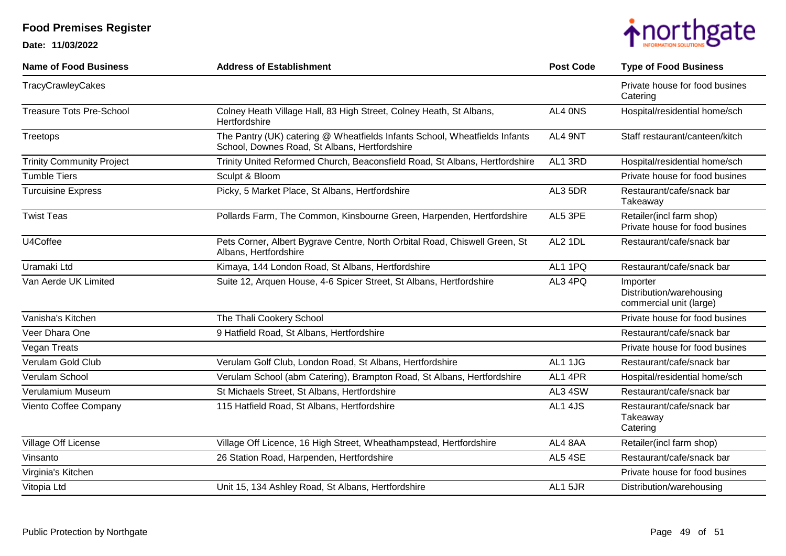

| <b>Name of Food Business</b>     | <b>Address of Establishment</b>                                                                                             | <b>Post Code</b> | <b>Type of Food Business</b>                                    |
|----------------------------------|-----------------------------------------------------------------------------------------------------------------------------|------------------|-----------------------------------------------------------------|
| TracyCrawleyCakes                |                                                                                                                             |                  | Private house for food busines<br>Catering                      |
| <b>Treasure Tots Pre-School</b>  | Colney Heath Village Hall, 83 High Street, Colney Heath, St Albans,<br>Hertfordshire                                        | AL4 ONS          | Hospital/residential home/sch                                   |
| Treetops                         | The Pantry (UK) catering @ Wheatfields Infants School, Wheatfields Infants<br>School, Downes Road, St Albans, Hertfordshire | AL4 9NT          | Staff restaurant/canteen/kitch                                  |
| <b>Trinity Community Project</b> | Trinity United Reformed Church, Beaconsfield Road, St Albans, Hertfordshire                                                 | AL1 3RD          | Hospital/residential home/sch                                   |
| <b>Tumble Tiers</b>              | Sculpt & Bloom                                                                                                              |                  | Private house for food busines                                  |
| <b>Turcuisine Express</b>        | Picky, 5 Market Place, St Albans, Hertfordshire                                                                             | AL3 5DR          | Restaurant/cafe/snack bar<br>Takeaway                           |
| <b>Twist Teas</b>                | Pollards Farm, The Common, Kinsbourne Green, Harpenden, Hertfordshire                                                       | AL5 3PE          | Retailer(incl farm shop)<br>Private house for food busines      |
| U4Coffee                         | Pets Corner, Albert Bygrave Centre, North Orbital Road, Chiswell Green, St<br>Albans, Hertfordshire                         | AL2 1DL          | Restaurant/cafe/snack bar                                       |
| Uramaki Ltd                      | Kimaya, 144 London Road, St Albans, Hertfordshire                                                                           | AL1 1PQ          | Restaurant/cafe/snack bar                                       |
| Van Aerde UK Limited             | Suite 12, Arquen House, 4-6 Spicer Street, St Albans, Hertfordshire                                                         | AL3 4PQ          | Importer<br>Distribution/warehousing<br>commercial unit (large) |
| Vanisha's Kitchen                | The Thali Cookery School                                                                                                    |                  | Private house for food busines                                  |
| Veer Dhara One                   | 9 Hatfield Road, St Albans, Hertfordshire                                                                                   |                  | Restaurant/cafe/snack bar                                       |
| <b>Vegan Treats</b>              |                                                                                                                             |                  | Private house for food busines                                  |
| Verulam Gold Club                | Verulam Golf Club, London Road, St Albans, Hertfordshire                                                                    | AL1 1JG          | Restaurant/cafe/snack bar                                       |
| Verulam School                   | Verulam School (abm Catering), Brampton Road, St Albans, Hertfordshire                                                      | AL1 4PR          | Hospital/residential home/sch                                   |
| Verulamium Museum                | St Michaels Street, St Albans, Hertfordshire                                                                                | AL3 4SW          | Restaurant/cafe/snack bar                                       |
| Viento Coffee Company            | 115 Hatfield Road, St Albans, Hertfordshire                                                                                 | AL1 4JS          | Restaurant/cafe/snack bar<br>Takeaway<br>Catering               |
| Village Off License              | Village Off Licence, 16 High Street, Wheathampstead, Hertfordshire                                                          | AL4 8AA          | Retailer(incl farm shop)                                        |
| Vinsanto                         | 26 Station Road, Harpenden, Hertfordshire                                                                                   | AL5 4SE          | Restaurant/cafe/snack bar                                       |
| Virginia's Kitchen               |                                                                                                                             |                  | Private house for food busines                                  |
| Vitopia Ltd                      | Unit 15, 134 Ashley Road, St Albans, Hertfordshire                                                                          | AL1 5JR          | Distribution/warehousing                                        |
|                                  |                                                                                                                             |                  |                                                                 |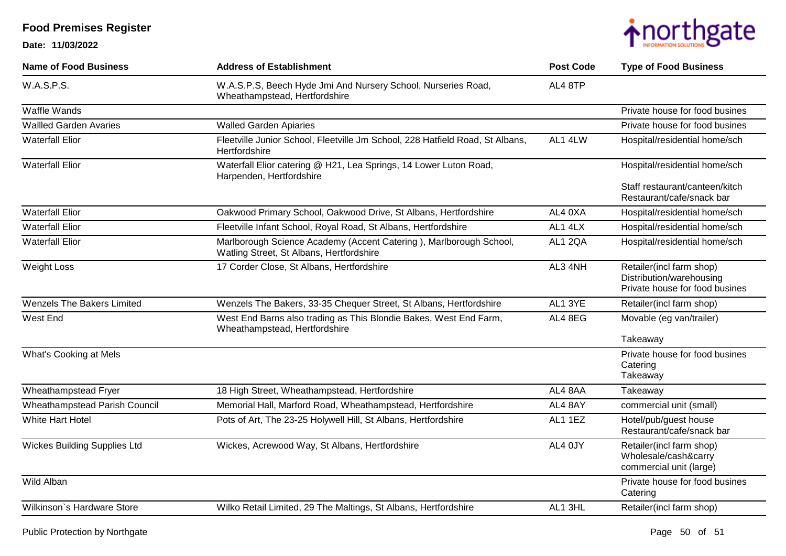

| <b>Name of Food Business</b>         | <b>Address of Establishment</b>                                                                                | <b>Post Code</b> | <b>Type of Food Business</b>                                                           |
|--------------------------------------|----------------------------------------------------------------------------------------------------------------|------------------|----------------------------------------------------------------------------------------|
| W.A.S.P.S.                           | W.A.S.P.S, Beech Hyde Jmi And Nursery School, Nurseries Road,<br>Wheathampstead, Hertfordshire                 | AL4 8TP          |                                                                                        |
| Waffle Wands                         |                                                                                                                |                  | Private house for food busines                                                         |
| <b>Wallled Garden Avaries</b>        | <b>Walled Garden Apiaries</b>                                                                                  |                  | Private house for food busines                                                         |
| <b>Waterfall Elior</b>               | Fleetville Junior School, Fleetville Jm School, 228 Hatfield Road, St Albans,<br>Hertfordshire                 | AL1 4LW          | Hospital/residential home/sch                                                          |
| <b>Waterfall Elior</b>               | Waterfall Elior catering @ H21, Lea Springs, 14 Lower Luton Road,<br>Harpenden, Hertfordshire                  |                  | Hospital/residential home/sch                                                          |
|                                      |                                                                                                                |                  | Staff restaurant/canteen/kitch<br>Restaurant/cafe/snack bar                            |
| <b>Waterfall Elior</b>               | Oakwood Primary School, Oakwood Drive, St Albans, Hertfordshire                                                | AL4 0XA          | Hospital/residential home/sch                                                          |
| <b>Waterfall Elior</b>               | Fleetville Infant School, Royal Road, St Albans, Hertfordshire                                                 | AL1 4LX          | Hospital/residential home/sch                                                          |
| <b>Waterfall Elior</b>               | Marlborough Science Academy (Accent Catering), Marlborough School,<br>Watling Street, St Albans, Hertfordshire | AL1 2QA          | Hospital/residential home/sch                                                          |
| <b>Weight Loss</b>                   | 17 Corder Close, St Albans, Hertfordshire                                                                      | AL3 4NH          | Retailer(incl farm shop)<br>Distribution/warehousing<br>Private house for food busines |
| <b>Wenzels The Bakers Limited</b>    | Wenzels The Bakers, 33-35 Chequer Street, St Albans, Hertfordshire                                             | AL1 3YE          | Retailer(incl farm shop)                                                               |
| West End                             | West End Barns also trading as This Blondie Bakes, West End Farm,<br>Wheathampstead, Hertfordshire             | AL4 8EG          | Movable (eg van/trailer)                                                               |
|                                      |                                                                                                                |                  | Takeaway                                                                               |
| What's Cooking at Mels               |                                                                                                                |                  | Private house for food busines<br>Catering<br>Takeaway                                 |
| Wheathampstead Fryer                 | 18 High Street, Wheathampstead, Hertfordshire                                                                  | AL4 8AA          | Takeaway                                                                               |
| <b>Wheathampstead Parish Council</b> | Memorial Hall, Marford Road, Wheathampstead, Hertfordshire                                                     | AL4 8AY          | commercial unit (small)                                                                |
| White Hart Hotel                     | Pots of Art, The 23-25 Holywell Hill, St Albans, Hertfordshire                                                 | AL1 1EZ          | Hotel/pub/guest house<br>Restaurant/cafe/snack bar                                     |
| <b>Wickes Building Supplies Ltd</b>  | Wickes, Acrewood Way, St Albans, Hertfordshire                                                                 | AL4 0JY          | Retailer(incl farm shop)<br>Wholesale/cash&carry<br>commercial unit (large)            |
| Wild Alban                           |                                                                                                                |                  | Private house for food busines<br>Catering                                             |
| Wilkinson's Hardware Store           | Wilko Retail Limited, 29 The Maltings, St Albans, Hertfordshire                                                | AL1 3HL          | Retailer(incl farm shop)                                                               |